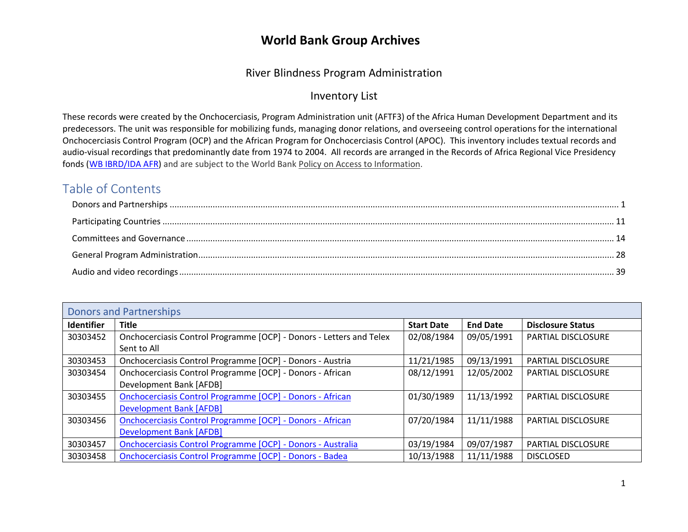#### River Blindness Program Administration

#### Inventory List

These records were created by the Onchocerciasis, Program Administration unit (AFTF3) of the Africa Human Development Department and its predecessors. The unit was responsible for mobilizing funds, managing donor relations, and overseeing control operations for the international Onchocerciasis Control Program (OCP) and the African Program for Onchocerciasis Control (APOC). This inventory includes textual records and audio-visual recordings that predominantly date from 1974 to 2004. All records are arranged in the Records of Africa Regional Vice Presidency fonds [\(WB IBRD/IDA AFR\) a](https://archivesholdings.worldbank.org/records-of-africa-regional-vice-presidency)nd are subject to the World Ban[k Policy on Access to Information.](https://www.worldbank.org/en/access-to-information)

#### Table of Contents

<span id="page-0-0"></span>

| <b>Donors and Partnerships</b> |                                                                     |                   |                 |                           |
|--------------------------------|---------------------------------------------------------------------|-------------------|-----------------|---------------------------|
| <b>Identifier</b>              | <b>Title</b>                                                        | <b>Start Date</b> | <b>End Date</b> | <b>Disclosure Status</b>  |
| 30303452                       | Onchocerciasis Control Programme [OCP] - Donors - Letters and Telex | 02/08/1984        | 09/05/1991      | <b>PARTIAL DISCLOSURE</b> |
|                                | Sent to All                                                         |                   |                 |                           |
| 30303453                       | Onchocerciasis Control Programme [OCP] - Donors - Austria           | 11/21/1985        | 09/13/1991      | <b>PARTIAL DISCLOSURE</b> |
| 30303454                       | Onchocerciasis Control Programme [OCP] - Donors - African           | 08/12/1991        | 12/05/2002      | <b>PARTIAL DISCLOSURE</b> |
|                                | Development Bank [AFDB]                                             |                   |                 |                           |
| 30303455                       | <b>Onchocerciasis Control Programme [OCP] - Donors - African</b>    | 01/30/1989        | 11/13/1992      | <b>PARTIAL DISCLOSURE</b> |
|                                | <b>Development Bank [AFDB]</b>                                      |                   |                 |                           |
| 30303456                       | <b>Onchocerciasis Control Programme [OCP] - Donors - African</b>    | 07/20/1984        | 11/11/1988      | <b>PARTIAL DISCLOSURE</b> |
|                                | <b>Development Bank [AFDB]</b>                                      |                   |                 |                           |
| 30303457                       | Onchocerciasis Control Programme [OCP] - Donors - Australia         | 03/19/1984        | 09/07/1987      | <b>PARTIAL DISCLOSURE</b> |
| 30303458                       | <b>Onchocerciasis Control Programme [OCP] - Donors - Badea</b>      | 10/13/1988        | 11/11/1988      | <b>DISCLOSED</b>          |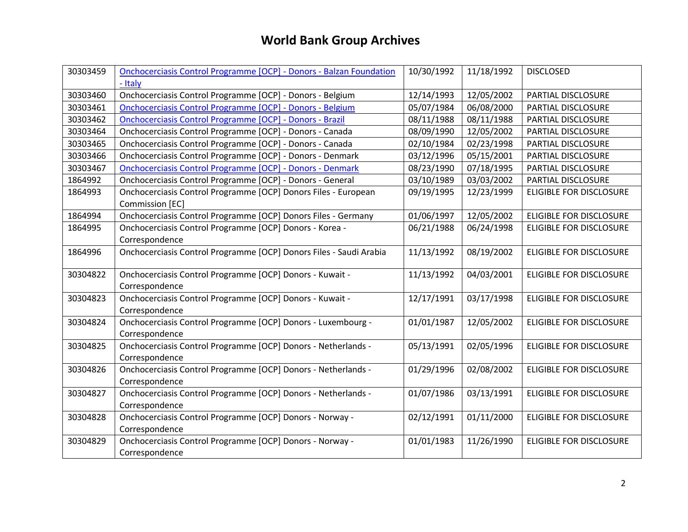| 30303459 | <b>Onchocerciasis Control Programme [OCP] - Donors - Balzan Foundation</b> | 10/30/1992 | 11/18/1992 | <b>DISCLOSED</b>               |
|----------|----------------------------------------------------------------------------|------------|------------|--------------------------------|
|          | - Italy                                                                    |            |            |                                |
| 30303460 | Onchocerciasis Control Programme [OCP] - Donors - Belgium                  | 12/14/1993 | 12/05/2002 | PARTIAL DISCLOSURE             |
| 30303461 | Onchocerciasis Control Programme [OCP] - Donors - Belgium                  | 05/07/1984 | 06/08/2000 | PARTIAL DISCLOSURE             |
| 30303462 | <b>Onchocerciasis Control Programme [OCP] - Donors - Brazil</b>            | 08/11/1988 | 08/11/1988 | PARTIAL DISCLOSURE             |
| 30303464 | Onchocerciasis Control Programme [OCP] - Donors - Canada                   | 08/09/1990 | 12/05/2002 | PARTIAL DISCLOSURE             |
| 30303465 | Onchocerciasis Control Programme [OCP] - Donors - Canada                   | 02/10/1984 | 02/23/1998 | PARTIAL DISCLOSURE             |
| 30303466 | Onchocerciasis Control Programme [OCP] - Donors - Denmark                  | 03/12/1996 | 05/15/2001 | PARTIAL DISCLOSURE             |
| 30303467 | Onchocerciasis Control Programme [OCP] - Donors - Denmark                  | 08/23/1990 | 07/18/1995 | PARTIAL DISCLOSURE             |
| 1864992  | Onchocerciasis Control Programme [OCP] - Donors - General                  | 03/10/1989 | 03/03/2002 | PARTIAL DISCLOSURE             |
| 1864993  | Onchocerciasis Control Programme [OCP] Donors Files - European             | 09/19/1995 | 12/23/1999 | ELIGIBLE FOR DISCLOSURE        |
|          | Commission [EC]                                                            |            |            |                                |
| 1864994  | Onchocerciasis Control Programme [OCP] Donors Files - Germany              | 01/06/1997 | 12/05/2002 | <b>ELIGIBLE FOR DISCLOSURE</b> |
| 1864995  | Onchocerciasis Control Programme [OCP] Donors - Korea -                    | 06/21/1988 | 06/24/1998 | <b>ELIGIBLE FOR DISCLOSURE</b> |
|          | Correspondence                                                             |            |            |                                |
| 1864996  | Onchocerciasis Control Programme [OCP] Donors Files - Saudi Arabia         | 11/13/1992 | 08/19/2002 | <b>ELIGIBLE FOR DISCLOSURE</b> |
| 30304822 | Onchocerciasis Control Programme [OCP] Donors - Kuwait -                   | 11/13/1992 | 04/03/2001 | <b>ELIGIBLE FOR DISCLOSURE</b> |
|          | Correspondence                                                             |            |            |                                |
| 30304823 | Onchocerciasis Control Programme [OCP] Donors - Kuwait -                   | 12/17/1991 | 03/17/1998 | <b>ELIGIBLE FOR DISCLOSURE</b> |
|          | Correspondence                                                             |            |            |                                |
| 30304824 | Onchocerciasis Control Programme [OCP] Donors - Luxembourg -               | 01/01/1987 | 12/05/2002 | ELIGIBLE FOR DISCLOSURE        |
|          | Correspondence                                                             |            |            |                                |
| 30304825 | Onchocerciasis Control Programme [OCP] Donors - Netherlands -              | 05/13/1991 | 02/05/1996 | <b>ELIGIBLE FOR DISCLOSURE</b> |
|          | Correspondence                                                             |            |            |                                |
| 30304826 | Onchocerciasis Control Programme [OCP] Donors - Netherlands -              | 01/29/1996 | 02/08/2002 | <b>ELIGIBLE FOR DISCLOSURE</b> |
|          | Correspondence                                                             |            |            |                                |
| 30304827 | Onchocerciasis Control Programme [OCP] Donors - Netherlands -              | 01/07/1986 | 03/13/1991 | <b>ELIGIBLE FOR DISCLOSURE</b> |
|          | Correspondence                                                             |            |            |                                |
| 30304828 | Onchocerciasis Control Programme [OCP] Donors - Norway -                   | 02/12/1991 | 01/11/2000 | <b>ELIGIBLE FOR DISCLOSURE</b> |
|          | Correspondence                                                             |            |            |                                |
| 30304829 | Onchocerciasis Control Programme [OCP] Donors - Norway -                   | 01/01/1983 | 11/26/1990 | <b>ELIGIBLE FOR DISCLOSURE</b> |
|          | Correspondence                                                             |            |            |                                |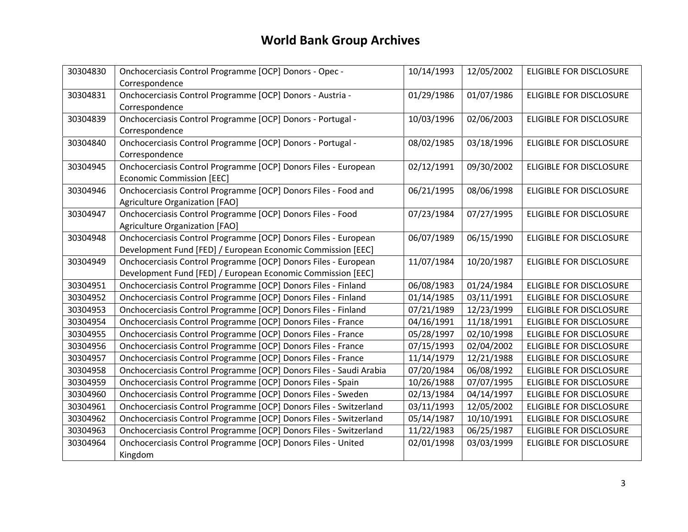| 30304830 | Onchocerciasis Control Programme [OCP] Donors - Opec -             | 10/14/1993 | 12/05/2002 | <b>ELIGIBLE FOR DISCLOSURE</b> |
|----------|--------------------------------------------------------------------|------------|------------|--------------------------------|
|          | Correspondence                                                     |            |            |                                |
| 30304831 | Onchocerciasis Control Programme [OCP] Donors - Austria -          | 01/29/1986 | 01/07/1986 | <b>ELIGIBLE FOR DISCLOSURE</b> |
|          | Correspondence                                                     |            |            |                                |
| 30304839 | Onchocerciasis Control Programme [OCP] Donors - Portugal -         | 10/03/1996 | 02/06/2003 | <b>ELIGIBLE FOR DISCLOSURE</b> |
|          | Correspondence                                                     |            |            |                                |
| 30304840 | Onchocerciasis Control Programme [OCP] Donors - Portugal -         | 08/02/1985 | 03/18/1996 | <b>ELIGIBLE FOR DISCLOSURE</b> |
|          | Correspondence                                                     |            |            |                                |
| 30304945 | Onchocerciasis Control Programme [OCP] Donors Files - European     | 02/12/1991 | 09/30/2002 | ELIGIBLE FOR DISCLOSURE        |
|          | <b>Economic Commission [EEC]</b>                                   |            |            |                                |
| 30304946 | Onchocerciasis Control Programme [OCP] Donors Files - Food and     | 06/21/1995 | 08/06/1998 | <b>ELIGIBLE FOR DISCLOSURE</b> |
|          | Agriculture Organization [FAO]                                     |            |            |                                |
| 30304947 | Onchocerciasis Control Programme [OCP] Donors Files - Food         | 07/23/1984 | 07/27/1995 | ELIGIBLE FOR DISCLOSURE        |
|          | Agriculture Organization [FAO]                                     |            |            |                                |
| 30304948 | Onchocerciasis Control Programme [OCP] Donors Files - European     | 06/07/1989 | 06/15/1990 | <b>ELIGIBLE FOR DISCLOSURE</b> |
|          | Development Fund [FED] / European Economic Commission [EEC]        |            |            |                                |
| 30304949 | Onchocerciasis Control Programme [OCP] Donors Files - European     | 11/07/1984 | 10/20/1987 | <b>ELIGIBLE FOR DISCLOSURE</b> |
|          | Development Fund [FED] / European Economic Commission [EEC]        |            |            |                                |
| 30304951 | Onchocerciasis Control Programme [OCP] Donors Files - Finland      | 06/08/1983 | 01/24/1984 | ELIGIBLE FOR DISCLOSURE        |
| 30304952 | Onchocerciasis Control Programme [OCP] Donors Files - Finland      | 01/14/1985 | 03/11/1991 | <b>ELIGIBLE FOR DISCLOSURE</b> |
| 30304953 | Onchocerciasis Control Programme [OCP] Donors Files - Finland      | 07/21/1989 | 12/23/1999 | ELIGIBLE FOR DISCLOSURE        |
| 30304954 | Onchocerciasis Control Programme [OCP] Donors Files - France       | 04/16/1991 | 11/18/1991 | <b>ELIGIBLE FOR DISCLOSURE</b> |
| 30304955 | Onchocerciasis Control Programme [OCP] Donors Files - France       | 05/28/1997 | 02/10/1998 | <b>ELIGIBLE FOR DISCLOSURE</b> |
| 30304956 | Onchocerciasis Control Programme [OCP] Donors Files - France       | 07/15/1993 | 02/04/2002 | <b>ELIGIBLE FOR DISCLOSURE</b> |
| 30304957 | Onchocerciasis Control Programme [OCP] Donors Files - France       | 11/14/1979 | 12/21/1988 | ELIGIBLE FOR DISCLOSURE        |
| 30304958 | Onchocerciasis Control Programme [OCP] Donors Files - Saudi Arabia | 07/20/1984 | 06/08/1992 | <b>ELIGIBLE FOR DISCLOSURE</b> |
| 30304959 | Onchocerciasis Control Programme [OCP] Donors Files - Spain        | 10/26/1988 | 07/07/1995 | ELIGIBLE FOR DISCLOSURE        |
| 30304960 | Onchocerciasis Control Programme [OCP] Donors Files - Sweden       | 02/13/1984 | 04/14/1997 | <b>ELIGIBLE FOR DISCLOSURE</b> |
| 30304961 | Onchocerciasis Control Programme [OCP] Donors Files - Switzerland  | 03/11/1993 | 12/05/2002 | <b>ELIGIBLE FOR DISCLOSURE</b> |
| 30304962 | Onchocerciasis Control Programme [OCP] Donors Files - Switzerland  | 05/14/1987 | 10/10/1991 | <b>ELIGIBLE FOR DISCLOSURE</b> |
| 30304963 | Onchocerciasis Control Programme [OCP] Donors Files - Switzerland  | 11/22/1983 | 06/25/1987 | ELIGIBLE FOR DISCLOSURE        |
| 30304964 | Onchocerciasis Control Programme [OCP] Donors Files - United       | 02/01/1998 | 03/03/1999 | <b>ELIGIBLE FOR DISCLOSURE</b> |
|          | Kingdom                                                            |            |            |                                |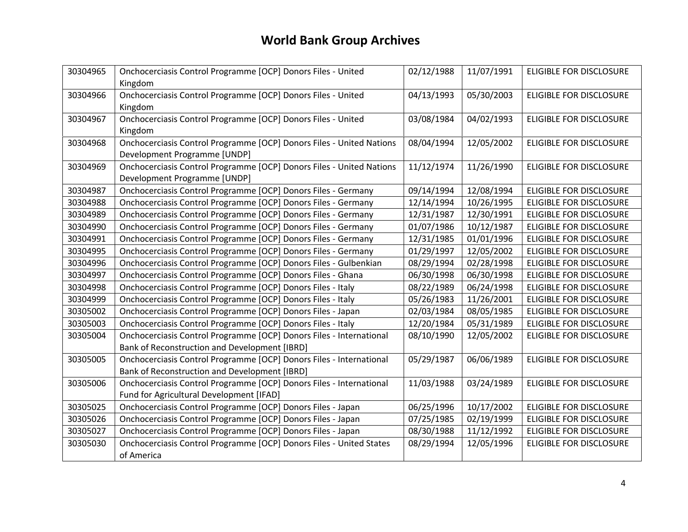| 30304965 | Onchocerciasis Control Programme [OCP] Donors Files - United         | 02/12/1988 | 11/07/1991 | <b>ELIGIBLE FOR DISCLOSURE</b> |
|----------|----------------------------------------------------------------------|------------|------------|--------------------------------|
|          | Kingdom                                                              |            |            |                                |
| 30304966 | Onchocerciasis Control Programme [OCP] Donors Files - United         | 04/13/1993 | 05/30/2003 | <b>ELIGIBLE FOR DISCLOSURE</b> |
|          | Kingdom                                                              |            |            |                                |
| 30304967 | Onchocerciasis Control Programme [OCP] Donors Files - United         | 03/08/1984 | 04/02/1993 | <b>ELIGIBLE FOR DISCLOSURE</b> |
|          | Kingdom                                                              |            |            |                                |
| 30304968 | Onchocerciasis Control Programme [OCP] Donors Files - United Nations | 08/04/1994 | 12/05/2002 | <b>ELIGIBLE FOR DISCLOSURE</b> |
|          | Development Programme [UNDP]                                         |            |            |                                |
| 30304969 | Onchocerciasis Control Programme [OCP] Donors Files - United Nations | 11/12/1974 | 11/26/1990 | <b>ELIGIBLE FOR DISCLOSURE</b> |
|          | Development Programme [UNDP]                                         |            |            |                                |
| 30304987 | Onchocerciasis Control Programme [OCP] Donors Files - Germany        | 09/14/1994 | 12/08/1994 | <b>ELIGIBLE FOR DISCLOSURE</b> |
| 30304988 | Onchocerciasis Control Programme [OCP] Donors Files - Germany        | 12/14/1994 | 10/26/1995 | ELIGIBLE FOR DISCLOSURE        |
| 30304989 | Onchocerciasis Control Programme [OCP] Donors Files - Germany        | 12/31/1987 | 12/30/1991 | <b>ELIGIBLE FOR DISCLOSURE</b> |
| 30304990 | Onchocerciasis Control Programme [OCP] Donors Files - Germany        | 01/07/1986 | 10/12/1987 | ELIGIBLE FOR DISCLOSURE        |
| 30304991 | Onchocerciasis Control Programme [OCP] Donors Files - Germany        | 12/31/1985 | 01/01/1996 | ELIGIBLE FOR DISCLOSURE        |
| 30304995 | Onchocerciasis Control Programme [OCP] Donors Files - Germany        | 01/29/1997 | 12/05/2002 | <b>ELIGIBLE FOR DISCLOSURE</b> |
| 30304996 | Onchocerciasis Control Programme [OCP] Donors Files - Gulbenkian     | 08/29/1994 | 02/28/1998 | <b>ELIGIBLE FOR DISCLOSURE</b> |
| 30304997 | Onchocerciasis Control Programme [OCP] Donors Files - Ghana          | 06/30/1998 | 06/30/1998 | ELIGIBLE FOR DISCLOSURE        |
| 30304998 | Onchocerciasis Control Programme [OCP] Donors Files - Italy          | 08/22/1989 | 06/24/1998 | <b>ELIGIBLE FOR DISCLOSURE</b> |
| 30304999 | Onchocerciasis Control Programme [OCP] Donors Files - Italy          | 05/26/1983 | 11/26/2001 | ELIGIBLE FOR DISCLOSURE        |
| 30305002 | Onchocerciasis Control Programme [OCP] Donors Files - Japan          | 02/03/1984 | 08/05/1985 | <b>ELIGIBLE FOR DISCLOSURE</b> |
| 30305003 | Onchocerciasis Control Programme [OCP] Donors Files - Italy          | 12/20/1984 | 05/31/1989 | <b>ELIGIBLE FOR DISCLOSURE</b> |
| 30305004 | Onchocerciasis Control Programme [OCP] Donors Files - International  | 08/10/1990 | 12/05/2002 | <b>ELIGIBLE FOR DISCLOSURE</b> |
|          | Bank of Reconstruction and Development [IBRD]                        |            |            |                                |
| 30305005 | Onchocerciasis Control Programme [OCP] Donors Files - International  | 05/29/1987 | 06/06/1989 | <b>ELIGIBLE FOR DISCLOSURE</b> |
|          | Bank of Reconstruction and Development [IBRD]                        |            |            |                                |
| 30305006 | Onchocerciasis Control Programme [OCP] Donors Files - International  | 11/03/1988 | 03/24/1989 | <b>ELIGIBLE FOR DISCLOSURE</b> |
|          | Fund for Agricultural Development [IFAD]                             |            |            |                                |
| 30305025 | Onchocerciasis Control Programme [OCP] Donors Files - Japan          | 06/25/1996 | 10/17/2002 | <b>ELIGIBLE FOR DISCLOSURE</b> |
| 30305026 | Onchocerciasis Control Programme [OCP] Donors Files - Japan          | 07/25/1985 | 02/19/1999 | ELIGIBLE FOR DISCLOSURE        |
| 30305027 | Onchocerciasis Control Programme [OCP] Donors Files - Japan          | 08/30/1988 | 11/12/1992 | <b>ELIGIBLE FOR DISCLOSURE</b> |
| 30305030 | Onchocerciasis Control Programme [OCP] Donors Files - United States  | 08/29/1994 | 12/05/1996 | <b>ELIGIBLE FOR DISCLOSURE</b> |
|          | of America                                                           |            |            |                                |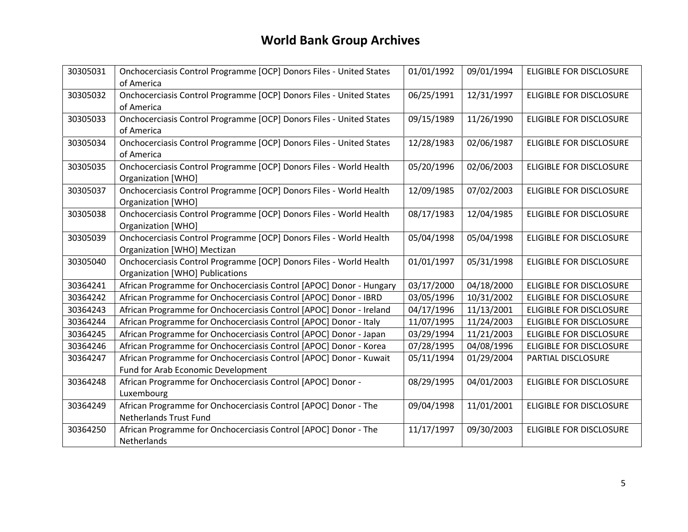| 30305031 | Onchocerciasis Control Programme [OCP] Donors Files - United States | 01/01/1992 | 09/01/1994 | <b>ELIGIBLE FOR DISCLOSURE</b> |
|----------|---------------------------------------------------------------------|------------|------------|--------------------------------|
|          | of America                                                          |            |            |                                |
| 30305032 | Onchocerciasis Control Programme [OCP] Donors Files - United States | 06/25/1991 | 12/31/1997 | ELIGIBLE FOR DISCLOSURE        |
|          | of America                                                          |            |            |                                |
|          |                                                                     |            |            |                                |
| 30305033 | Onchocerciasis Control Programme [OCP] Donors Files - United States | 09/15/1989 | 11/26/1990 | <b>ELIGIBLE FOR DISCLOSURE</b> |
|          | of America                                                          |            |            |                                |
| 30305034 | Onchocerciasis Control Programme [OCP] Donors Files - United States | 12/28/1983 | 02/06/1987 | <b>ELIGIBLE FOR DISCLOSURE</b> |
|          | of America                                                          |            |            |                                |
| 30305035 | Onchocerciasis Control Programme [OCP] Donors Files - World Health  | 05/20/1996 | 02/06/2003 | ELIGIBLE FOR DISCLOSURE        |
|          |                                                                     |            |            |                                |
|          | Organization [WHO]                                                  |            |            |                                |
| 30305037 | Onchocerciasis Control Programme [OCP] Donors Files - World Health  | 12/09/1985 | 07/02/2003 | <b>ELIGIBLE FOR DISCLOSURE</b> |
|          | <b>Organization [WHO]</b>                                           |            |            |                                |
| 30305038 | Onchocerciasis Control Programme [OCP] Donors Files - World Health  | 08/17/1983 | 12/04/1985 | ELIGIBLE FOR DISCLOSURE        |
|          | Organization [WHO]                                                  |            |            |                                |
| 30305039 | Onchocerciasis Control Programme [OCP] Donors Files - World Health  | 05/04/1998 | 05/04/1998 | ELIGIBLE FOR DISCLOSURE        |
|          | Organization [WHO] Mectizan                                         |            |            |                                |
|          |                                                                     |            |            |                                |
| 30305040 | Onchocerciasis Control Programme [OCP] Donors Files - World Health  | 01/01/1997 | 05/31/1998 | <b>ELIGIBLE FOR DISCLOSURE</b> |
|          | Organization [WHO] Publications                                     |            |            |                                |
| 30364241 | African Programme for Onchocerciasis Control [APOC] Donor - Hungary | 03/17/2000 | 04/18/2000 | <b>ELIGIBLE FOR DISCLOSURE</b> |
| 30364242 | African Programme for Onchocerciasis Control [APOC] Donor - IBRD    | 03/05/1996 | 10/31/2002 | <b>ELIGIBLE FOR DISCLOSURE</b> |
| 30364243 | African Programme for Onchocerciasis Control [APOC] Donor - Ireland | 04/17/1996 | 11/13/2001 | ELIGIBLE FOR DISCLOSURE        |
| 30364244 | African Programme for Onchocerciasis Control [APOC] Donor - Italy   | 11/07/1995 | 11/24/2003 | ELIGIBLE FOR DISCLOSURE        |
| 30364245 | African Programme for Onchocerciasis Control [APOC] Donor - Japan   | 03/29/1994 | 11/21/2003 | <b>ELIGIBLE FOR DISCLOSURE</b> |
| 30364246 | African Programme for Onchocerciasis Control [APOC] Donor - Korea   | 07/28/1995 | 04/08/1996 | <b>ELIGIBLE FOR DISCLOSURE</b> |
| 30364247 | African Programme for Onchocerciasis Control [APOC] Donor - Kuwait  | 05/11/1994 | 01/29/2004 | PARTIAL DISCLOSURE             |
|          | Fund for Arab Economic Development                                  |            |            |                                |
| 30364248 | African Programme for Onchocerciasis Control [APOC] Donor -         | 08/29/1995 | 04/01/2003 | <b>ELIGIBLE FOR DISCLOSURE</b> |
|          | Luxembourg                                                          |            |            |                                |
| 30364249 | African Programme for Onchocerciasis Control [APOC] Donor - The     | 09/04/1998 | 11/01/2001 | <b>ELIGIBLE FOR DISCLOSURE</b> |
|          | <b>Netherlands Trust Fund</b>                                       |            |            |                                |
| 30364250 | African Programme for Onchocerciasis Control [APOC] Donor - The     | 11/17/1997 | 09/30/2003 | ELIGIBLE FOR DISCLOSURE        |
|          | Netherlands                                                         |            |            |                                |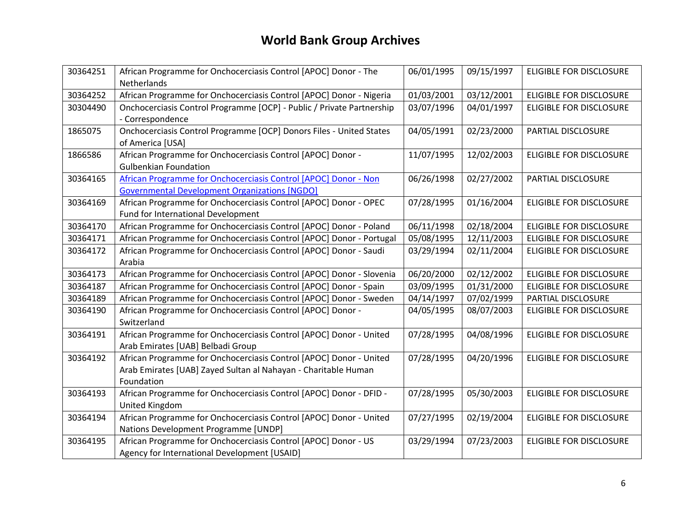| 30364251 | African Programme for Onchocerciasis Control [APOC] Donor - The<br>Netherlands | 06/01/1995 | 09/15/1997 | <b>ELIGIBLE FOR DISCLOSURE</b> |
|----------|--------------------------------------------------------------------------------|------------|------------|--------------------------------|
| 30364252 | African Programme for Onchocerciasis Control [APOC] Donor - Nigeria            | 01/03/2001 | 03/12/2001 | <b>ELIGIBLE FOR DISCLOSURE</b> |
| 30304490 | Onchocerciasis Control Programme [OCP] - Public / Private Partnership          | 03/07/1996 | 04/01/1997 | <b>ELIGIBLE FOR DISCLOSURE</b> |
|          | - Correspondence                                                               |            |            |                                |
| 1865075  | Onchocerciasis Control Programme [OCP] Donors Files - United States            | 04/05/1991 | 02/23/2000 | PARTIAL DISCLOSURE             |
|          | of America [USA]                                                               |            |            |                                |
| 1866586  | African Programme for Onchocerciasis Control [APOC] Donor -                    | 11/07/1995 | 12/02/2003 | ELIGIBLE FOR DISCLOSURE        |
|          | <b>Gulbenkian Foundation</b>                                                   |            |            |                                |
| 30364165 | African Programme for Onchocerciasis Control [APOC] Donor - Non                | 06/26/1998 | 02/27/2002 | PARTIAL DISCLOSURE             |
|          | <b>Governmental Development Organizations [NGDO]</b>                           |            |            |                                |
| 30364169 | African Programme for Onchocerciasis Control [APOC] Donor - OPEC               | 07/28/1995 | 01/16/2004 | ELIGIBLE FOR DISCLOSURE        |
|          | Fund for International Development                                             |            |            |                                |
| 30364170 | African Programme for Onchocerciasis Control [APOC] Donor - Poland             | 06/11/1998 | 02/18/2004 | <b>ELIGIBLE FOR DISCLOSURE</b> |
| 30364171 | African Programme for Onchocerciasis Control [APOC] Donor - Portugal           | 05/08/1995 | 12/11/2003 | <b>ELIGIBLE FOR DISCLOSURE</b> |
| 30364172 | African Programme for Onchocerciasis Control [APOC] Donor - Saudi              | 03/29/1994 | 02/11/2004 | ELIGIBLE FOR DISCLOSURE        |
|          | Arabia                                                                         |            |            |                                |
| 30364173 | African Programme for Onchocerciasis Control [APOC] Donor - Slovenia           | 06/20/2000 | 02/12/2002 | <b>ELIGIBLE FOR DISCLOSURE</b> |
| 30364187 | African Programme for Onchocerciasis Control [APOC] Donor - Spain              | 03/09/1995 | 01/31/2000 | ELIGIBLE FOR DISCLOSURE        |
| 30364189 | African Programme for Onchocerciasis Control [APOC] Donor - Sweden             | 04/14/1997 | 07/02/1999 | PARTIAL DISCLOSURE             |
| 30364190 | African Programme for Onchocerciasis Control [APOC] Donor -                    | 04/05/1995 | 08/07/2003 | <b>ELIGIBLE FOR DISCLOSURE</b> |
|          | Switzerland                                                                    |            |            |                                |
| 30364191 | African Programme for Onchocerciasis Control [APOC] Donor - United             | 07/28/1995 | 04/08/1996 | ELIGIBLE FOR DISCLOSURE        |
|          | Arab Emirates [UAB] Belbadi Group                                              |            |            |                                |
| 30364192 | African Programme for Onchocerciasis Control [APOC] Donor - United             | 07/28/1995 | 04/20/1996 | ELIGIBLE FOR DISCLOSURE        |
|          | Arab Emirates [UAB] Zayed Sultan al Nahayan - Charitable Human                 |            |            |                                |
|          | Foundation                                                                     |            |            |                                |
| 30364193 | African Programme for Onchocerciasis Control [APOC] Donor - DFID -             | 07/28/1995 | 05/30/2003 | <b>ELIGIBLE FOR DISCLOSURE</b> |
|          | United Kingdom                                                                 |            |            |                                |
| 30364194 | African Programme for Onchocerciasis Control [APOC] Donor - United             | 07/27/1995 | 02/19/2004 | <b>ELIGIBLE FOR DISCLOSURE</b> |
|          | Nations Development Programme [UNDP]                                           |            |            |                                |
| 30364195 | African Programme for Onchocerciasis Control [APOC] Donor - US                 | 03/29/1994 | 07/23/2003 | <b>ELIGIBLE FOR DISCLOSURE</b> |
|          | Agency for International Development [USAID]                                   |            |            |                                |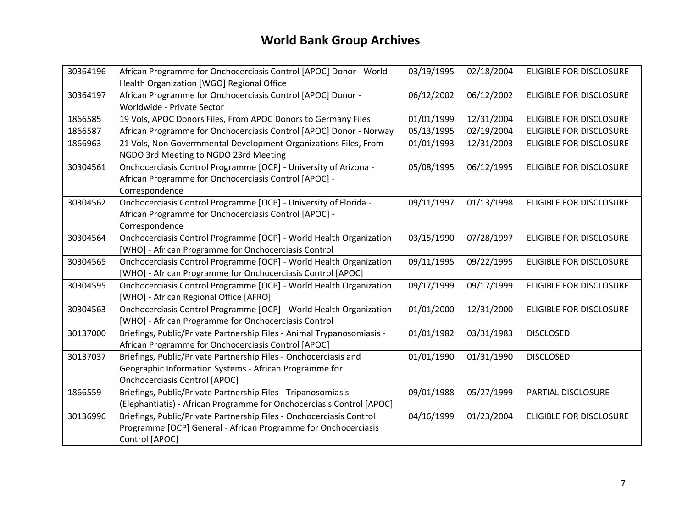| 30364196 | African Programme for Onchocerciasis Control [APOC] Donor - World      | 03/19/1995 | 02/18/2004 | <b>ELIGIBLE FOR DISCLOSURE</b> |
|----------|------------------------------------------------------------------------|------------|------------|--------------------------------|
|          | Health Organization [WGO] Regional Office                              |            |            |                                |
| 30364197 | African Programme for Onchocerciasis Control [APOC] Donor -            | 06/12/2002 | 06/12/2002 | <b>ELIGIBLE FOR DISCLOSURE</b> |
|          | Worldwide - Private Sector                                             |            |            |                                |
| 1866585  | 19 Vols, APOC Donors Files, From APOC Donors to Germany Files          | 01/01/1999 | 12/31/2004 | ELIGIBLE FOR DISCLOSURE        |
| 1866587  | African Programme for Onchocerciasis Control [APOC] Donor - Norway     | 05/13/1995 | 02/19/2004 | <b>ELIGIBLE FOR DISCLOSURE</b> |
| 1866963  | 21 Vols, Non Govermmental Development Organizations Files, From        | 01/01/1993 | 12/31/2003 | ELIGIBLE FOR DISCLOSURE        |
|          | NGDO 3rd Meeting to NGDO 23rd Meeting                                  |            |            |                                |
| 30304561 | Onchocerciasis Control Programme [OCP] - University of Arizona -       | 05/08/1995 | 06/12/1995 | ELIGIBLE FOR DISCLOSURE        |
|          | African Programme for Onchocerciasis Control [APOC] -                  |            |            |                                |
|          | Correspondence                                                         |            |            |                                |
| 30304562 | Onchocerciasis Control Programme [OCP] - University of Florida -       | 09/11/1997 | 01/13/1998 | <b>ELIGIBLE FOR DISCLOSURE</b> |
|          | African Programme for Onchocerciasis Control [APOC] -                  |            |            |                                |
|          | Correspondence                                                         |            |            |                                |
| 30304564 | Onchocerciasis Control Programme [OCP] - World Health Organization     | 03/15/1990 | 07/28/1997 | <b>ELIGIBLE FOR DISCLOSURE</b> |
|          | [WHO] - African Programme for Onchocerciasis Control                   |            |            |                                |
| 30304565 | Onchocerciasis Control Programme [OCP] - World Health Organization     | 09/11/1995 | 09/22/1995 | ELIGIBLE FOR DISCLOSURE        |
|          | [WHO] - African Programme for Onchocerciasis Control [APOC]            |            |            |                                |
| 30304595 | Onchocerciasis Control Programme [OCP] - World Health Organization     | 09/17/1999 | 09/17/1999 | ELIGIBLE FOR DISCLOSURE        |
|          | [WHO] - African Regional Office [AFRO]                                 |            |            |                                |
| 30304563 | Onchocerciasis Control Programme [OCP] - World Health Organization     | 01/01/2000 | 12/31/2000 | ELIGIBLE FOR DISCLOSURE        |
|          | [WHO] - African Programme for Onchocerciasis Control                   |            |            |                                |
| 30137000 | Briefings, Public/Private Partnership Files - Animal Trypanosomiasis - | 01/01/1982 | 03/31/1983 | <b>DISCLOSED</b>               |
|          | African Programme for Onchocerciasis Control [APOC]                    |            |            |                                |
| 30137037 | Briefings, Public/Private Partnership Files - Onchocerciasis and       | 01/01/1990 | 01/31/1990 | <b>DISCLOSED</b>               |
|          | Geographic Information Systems - African Programme for                 |            |            |                                |
|          | <b>Onchocerciasis Control [APOC]</b>                                   |            |            |                                |
| 1866559  | Briefings, Public/Private Partnership Files - Tripanosomiasis          | 09/01/1988 | 05/27/1999 | PARTIAL DISCLOSURE             |
|          | (Elephantiatis) - African Programme for Onchocerciasis Control [APOC]  |            |            |                                |
| 30136996 | Briefings, Public/Private Partnership Files - Onchocerciasis Control   | 04/16/1999 | 01/23/2004 | ELIGIBLE FOR DISCLOSURE        |
|          | Programme [OCP] General - African Programme for Onchocerciasis         |            |            |                                |
|          | Control [APOC]                                                         |            |            |                                |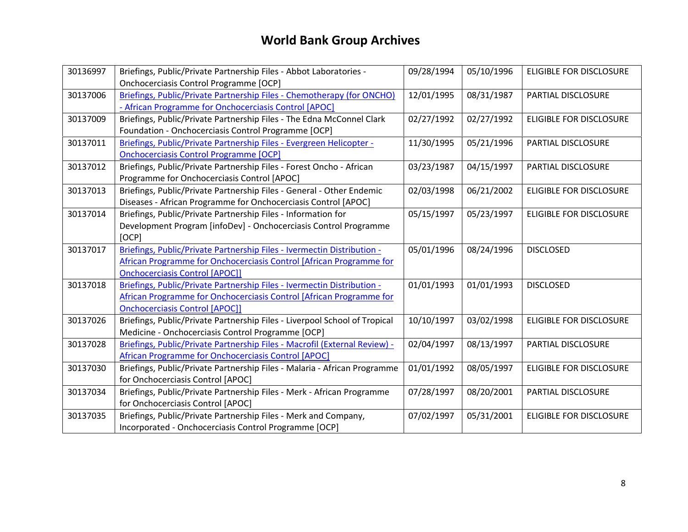| 30136997 | Briefings, Public/Private Partnership Files - Abbot Laboratories -<br>Onchocerciasis Control Programme [OCP]                                                                            | 09/28/1994 | 05/10/1996 | <b>ELIGIBLE FOR DISCLOSURE</b> |
|----------|-----------------------------------------------------------------------------------------------------------------------------------------------------------------------------------------|------------|------------|--------------------------------|
| 30137006 | Briefings, Public/Private Partnership Files - Chemotherapy (for ONCHO)<br>- African Programme for Onchocerciasis Control [APOC]                                                         | 12/01/1995 | 08/31/1987 | PARTIAL DISCLOSURE             |
| 30137009 | Briefings, Public/Private Partnership Files - The Edna McConnel Clark<br>Foundation - Onchocerciasis Control Programme [OCP]                                                            | 02/27/1992 | 02/27/1992 | ELIGIBLE FOR DISCLOSURE        |
| 30137011 | Briefings, Public/Private Partnership Files - Evergreen Helicopter -<br><b>Onchocerciasis Control Programme [OCP]</b>                                                                   | 11/30/1995 | 05/21/1996 | PARTIAL DISCLOSURE             |
| 30137012 | Briefings, Public/Private Partnership Files - Forest Oncho - African<br>Programme for Onchocerciasis Control [APOC]                                                                     | 03/23/1987 | 04/15/1997 | PARTIAL DISCLOSURE             |
| 30137013 | Briefings, Public/Private Partnership Files - General - Other Endemic<br>Diseases - African Programme for Onchocerciasis Control [APOC]                                                 | 02/03/1998 | 06/21/2002 | <b>ELIGIBLE FOR DISCLOSURE</b> |
| 30137014 | Briefings, Public/Private Partnership Files - Information for<br>Development Program [infoDev] - Onchocerciasis Control Programme<br>[OCP]                                              | 05/15/1997 | 05/23/1997 | <b>ELIGIBLE FOR DISCLOSURE</b> |
| 30137017 | Briefings, Public/Private Partnership Files - Ivermectin Distribution -<br>African Programme for Onchocerciasis Control [African Programme for<br><b>Onchocerciasis Control [APOC]]</b> | 05/01/1996 | 08/24/1996 | <b>DISCLOSED</b>               |
| 30137018 | Briefings, Public/Private Partnership Files - Ivermectin Distribution -<br>African Programme for Onchocerciasis Control [African Programme for<br><b>Onchocerciasis Control [APOC]]</b> | 01/01/1993 | 01/01/1993 | <b>DISCLOSED</b>               |
| 30137026 | Briefings, Public/Private Partnership Files - Liverpool School of Tropical<br>Medicine - Onchocerciasis Control Programme [OCP]                                                         | 10/10/1997 | 03/02/1998 | <b>ELIGIBLE FOR DISCLOSURE</b> |
| 30137028 | Briefings, Public/Private Partnership Files - Macrofil (External Review) -<br>African Programme for Onchocerciasis Control [APOC]                                                       | 02/04/1997 | 08/13/1997 | PARTIAL DISCLOSURE             |
| 30137030 | Briefings, Public/Private Partnership Files - Malaria - African Programme<br>for Onchocerciasis Control [APOC]                                                                          | 01/01/1992 | 08/05/1997 | <b>ELIGIBLE FOR DISCLOSURE</b> |
| 30137034 | Briefings, Public/Private Partnership Files - Merk - African Programme<br>for Onchocerciasis Control [APOC]                                                                             | 07/28/1997 | 08/20/2001 | PARTIAL DISCLOSURE             |
| 30137035 | Briefings, Public/Private Partnership Files - Merk and Company,<br>Incorporated - Onchocerciasis Control Programme [OCP]                                                                | 07/02/1997 | 05/31/2001 | <b>ELIGIBLE FOR DISCLOSURE</b> |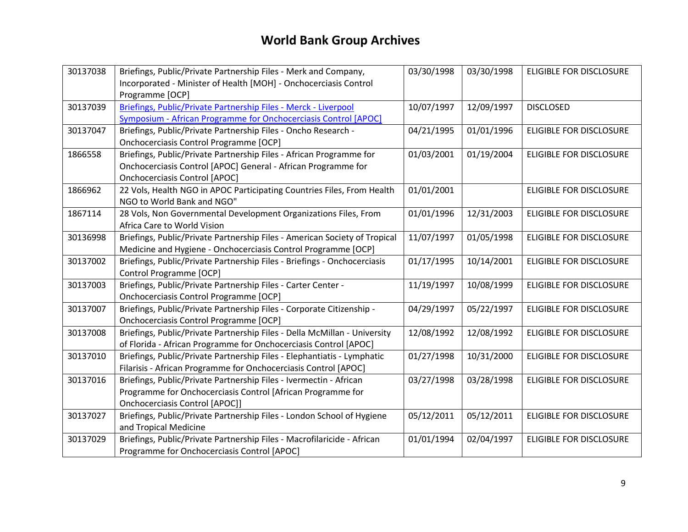| 30137038 | Briefings, Public/Private Partnership Files - Merk and Company,            | 03/30/1998 | 03/30/1998 | <b>ELIGIBLE FOR DISCLOSURE</b> |
|----------|----------------------------------------------------------------------------|------------|------------|--------------------------------|
|          | Incorporated - Minister of Health [MOH] - Onchocerciasis Control           |            |            |                                |
|          | Programme [OCP]                                                            |            |            |                                |
| 30137039 | Briefings, Public/Private Partnership Files - Merck - Liverpool            | 10/07/1997 | 12/09/1997 | <b>DISCLOSED</b>               |
|          | Symposium - African Programme for Onchocerciasis Control [APOC]            |            |            |                                |
| 30137047 | Briefings, Public/Private Partnership Files - Oncho Research -             | 04/21/1995 | 01/01/1996 | <b>ELIGIBLE FOR DISCLOSURE</b> |
|          | Onchocerciasis Control Programme [OCP]                                     |            |            |                                |
| 1866558  | Briefings, Public/Private Partnership Files - African Programme for        | 01/03/2001 | 01/19/2004 | <b>ELIGIBLE FOR DISCLOSURE</b> |
|          | Onchocerciasis Control [APOC] General - African Programme for              |            |            |                                |
|          | <b>Onchocerciasis Control [APOC]</b>                                       |            |            |                                |
| 1866962  | 22 Vols, Health NGO in APOC Participating Countries Files, From Health     | 01/01/2001 |            | <b>ELIGIBLE FOR DISCLOSURE</b> |
|          | NGO to World Bank and NGO"                                                 |            |            |                                |
| 1867114  | 28 Vols, Non Governmental Development Organizations Files, From            | 01/01/1996 | 12/31/2003 | <b>ELIGIBLE FOR DISCLOSURE</b> |
|          | Africa Care to World Vision                                                |            |            |                                |
| 30136998 | Briefings, Public/Private Partnership Files - American Society of Tropical | 11/07/1997 | 01/05/1998 | <b>ELIGIBLE FOR DISCLOSURE</b> |
|          | Medicine and Hygiene - Onchocerciasis Control Programme [OCP]              |            |            |                                |
| 30137002 | Briefings, Public/Private Partnership Files - Briefings - Onchocerciasis   | 01/17/1995 | 10/14/2001 | <b>ELIGIBLE FOR DISCLOSURE</b> |
|          | Control Programme [OCP]                                                    |            |            |                                |
| 30137003 | Briefings, Public/Private Partnership Files - Carter Center -              | 11/19/1997 | 10/08/1999 | <b>ELIGIBLE FOR DISCLOSURE</b> |
|          | Onchocerciasis Control Programme [OCP]                                     |            |            |                                |
| 30137007 | Briefings, Public/Private Partnership Files - Corporate Citizenship -      | 04/29/1997 | 05/22/1997 | ELIGIBLE FOR DISCLOSURE        |
|          | Onchocerciasis Control Programme [OCP]                                     |            |            |                                |
| 30137008 | Briefings, Public/Private Partnership Files - Della McMillan - University  | 12/08/1992 | 12/08/1992 | <b>ELIGIBLE FOR DISCLOSURE</b> |
|          | of Florida - African Programme for Onchocerciasis Control [APOC]           |            |            |                                |
| 30137010 | Briefings, Public/Private Partnership Files - Elephantiatis - Lymphatic    | 01/27/1998 | 10/31/2000 | <b>ELIGIBLE FOR DISCLOSURE</b> |
|          | Filarisis - African Programme for Onchocerciasis Control [APOC]            |            |            |                                |
| 30137016 | Briefings, Public/Private Partnership Files - Ivermectin - African         | 03/27/1998 | 03/28/1998 | ELIGIBLE FOR DISCLOSURE        |
|          | Programme for Onchocerciasis Control [African Programme for                |            |            |                                |
|          | Onchocerciasis Control [APOC]]                                             |            |            |                                |
| 30137027 | Briefings, Public/Private Partnership Files - London School of Hygiene     | 05/12/2011 | 05/12/2011 | <b>ELIGIBLE FOR DISCLOSURE</b> |
|          | and Tropical Medicine                                                      |            |            |                                |
| 30137029 | Briefings, Public/Private Partnership Files - Macrofilaricide - African    | 01/01/1994 | 02/04/1997 | <b>ELIGIBLE FOR DISCLOSURE</b> |
|          | Programme for Onchocerciasis Control [APOC]                                |            |            |                                |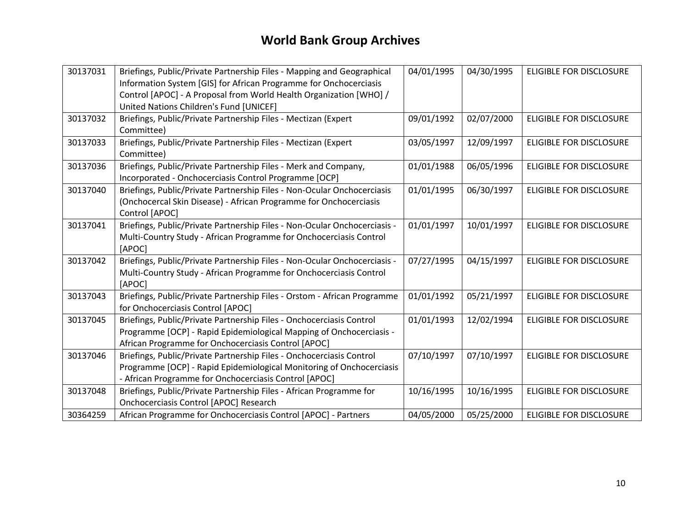| 30137031 | Briefings, Public/Private Partnership Files - Mapping and Geographical<br>Information System [GIS] for African Programme for Onchocerciasis<br>Control [APOC] - A Proposal from World Health Organization [WHO] /<br>United Nations Children's Fund [UNICEF] | 04/01/1995 | 04/30/1995 | <b>ELIGIBLE FOR DISCLOSURE</b> |
|----------|--------------------------------------------------------------------------------------------------------------------------------------------------------------------------------------------------------------------------------------------------------------|------------|------------|--------------------------------|
| 30137032 | Briefings, Public/Private Partnership Files - Mectizan (Expert<br>Committee)                                                                                                                                                                                 | 09/01/1992 | 02/07/2000 | ELIGIBLE FOR DISCLOSURE        |
| 30137033 | Briefings, Public/Private Partnership Files - Mectizan (Expert<br>Committee)                                                                                                                                                                                 | 03/05/1997 | 12/09/1997 | <b>ELIGIBLE FOR DISCLOSURE</b> |
| 30137036 | Briefings, Public/Private Partnership Files - Merk and Company,<br>Incorporated - Onchocerciasis Control Programme [OCP]                                                                                                                                     | 01/01/1988 | 06/05/1996 | <b>ELIGIBLE FOR DISCLOSURE</b> |
| 30137040 | Briefings, Public/Private Partnership Files - Non-Ocular Onchocerciasis<br>(Onchocercal Skin Disease) - African Programme for Onchocerciasis<br>Control [APOC]                                                                                               | 01/01/1995 | 06/30/1997 | <b>ELIGIBLE FOR DISCLOSURE</b> |
| 30137041 | Briefings, Public/Private Partnership Files - Non-Ocular Onchocerciasis -<br>Multi-Country Study - African Programme for Onchocerciasis Control<br>[APOC]                                                                                                    | 01/01/1997 | 10/01/1997 | <b>ELIGIBLE FOR DISCLOSURE</b> |
| 30137042 | Briefings, Public/Private Partnership Files - Non-Ocular Onchocerciasis -<br>Multi-Country Study - African Programme for Onchocerciasis Control<br>[APOC]                                                                                                    | 07/27/1995 | 04/15/1997 | <b>ELIGIBLE FOR DISCLOSURE</b> |
| 30137043 | Briefings, Public/Private Partnership Files - Orstom - African Programme<br>for Onchocerciasis Control [APOC]                                                                                                                                                | 01/01/1992 | 05/21/1997 | <b>ELIGIBLE FOR DISCLOSURE</b> |
| 30137045 | Briefings, Public/Private Partnership Files - Onchocerciasis Control<br>Programme [OCP] - Rapid Epidemiological Mapping of Onchocerciasis -<br>African Programme for Onchocerciasis Control [APOC]                                                           | 01/01/1993 | 12/02/1994 | ELIGIBLE FOR DISCLOSURE        |
| 30137046 | Briefings, Public/Private Partnership Files - Onchocerciasis Control<br>Programme [OCP] - Rapid Epidemiological Monitoring of Onchocerciasis<br>- African Programme for Onchocerciasis Control [APOC]                                                        | 07/10/1997 | 07/10/1997 | <b>ELIGIBLE FOR DISCLOSURE</b> |
| 30137048 | Briefings, Public/Private Partnership Files - African Programme for<br>Onchocerciasis Control [APOC] Research                                                                                                                                                | 10/16/1995 | 10/16/1995 | <b>ELIGIBLE FOR DISCLOSURE</b> |
| 30364259 | African Programme for Onchocerciasis Control [APOC] - Partners                                                                                                                                                                                               | 04/05/2000 | 05/25/2000 | <b>ELIGIBLE FOR DISCLOSURE</b> |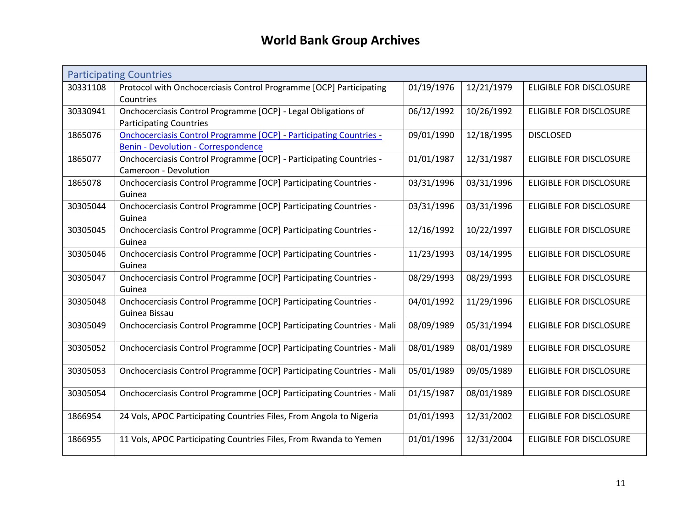<span id="page-10-0"></span>

|          | <b>Participating Countries</b>                                            |            |            |                                |
|----------|---------------------------------------------------------------------------|------------|------------|--------------------------------|
| 30331108 | Protocol with Onchocerciasis Control Programme [OCP] Participating        | 01/19/1976 | 12/21/1979 | <b>ELIGIBLE FOR DISCLOSURE</b> |
|          | Countries                                                                 |            |            |                                |
| 30330941 | Onchocerciasis Control Programme [OCP] - Legal Obligations of             | 06/12/1992 | 10/26/1992 | <b>ELIGIBLE FOR DISCLOSURE</b> |
|          | <b>Participating Countries</b>                                            |            |            |                                |
| 1865076  | <b>Onchocerciasis Control Programme [OCP] - Participating Countries -</b> | 09/01/1990 | 12/18/1995 | <b>DISCLOSED</b>               |
|          | <b>Benin - Devolution - Correspondence</b>                                |            |            |                                |
| 1865077  | Onchocerciasis Control Programme [OCP] - Participating Countries -        | 01/01/1987 | 12/31/1987 | <b>ELIGIBLE FOR DISCLOSURE</b> |
|          | Cameroon - Devolution                                                     |            |            |                                |
| 1865078  | Onchocerciasis Control Programme [OCP] Participating Countries -          | 03/31/1996 | 03/31/1996 | <b>ELIGIBLE FOR DISCLOSURE</b> |
|          | Guinea                                                                    |            |            |                                |
| 30305044 | Onchocerciasis Control Programme [OCP] Participating Countries -          | 03/31/1996 | 03/31/1996 | ELIGIBLE FOR DISCLOSURE        |
|          | Guinea                                                                    |            |            |                                |
| 30305045 | Onchocerciasis Control Programme [OCP] Participating Countries -          | 12/16/1992 | 10/22/1997 | ELIGIBLE FOR DISCLOSURE        |
|          | Guinea                                                                    |            |            |                                |
| 30305046 | Onchocerciasis Control Programme [OCP] Participating Countries -          | 11/23/1993 | 03/14/1995 | <b>ELIGIBLE FOR DISCLOSURE</b> |
|          | Guinea                                                                    |            |            |                                |
| 30305047 | Onchocerciasis Control Programme [OCP] Participating Countries -          | 08/29/1993 | 08/29/1993 | ELIGIBLE FOR DISCLOSURE        |
|          | Guinea                                                                    |            |            |                                |
| 30305048 | Onchocerciasis Control Programme [OCP] Participating Countries -          | 04/01/1992 | 11/29/1996 | <b>ELIGIBLE FOR DISCLOSURE</b> |
|          | Guinea Bissau                                                             |            |            |                                |
| 30305049 | Onchocerciasis Control Programme [OCP] Participating Countries - Mali     | 08/09/1989 | 05/31/1994 | <b>ELIGIBLE FOR DISCLOSURE</b> |
|          |                                                                           |            |            |                                |
| 30305052 | Onchocerciasis Control Programme [OCP] Participating Countries - Mali     | 08/01/1989 | 08/01/1989 | <b>ELIGIBLE FOR DISCLOSURE</b> |
|          |                                                                           |            |            |                                |
| 30305053 | Onchocerciasis Control Programme [OCP] Participating Countries - Mali     | 05/01/1989 | 09/05/1989 | ELIGIBLE FOR DISCLOSURE        |
|          |                                                                           |            |            |                                |
| 30305054 | Onchocerciasis Control Programme [OCP] Participating Countries - Mali     | 01/15/1987 | 08/01/1989 | ELIGIBLE FOR DISCLOSURE        |
| 1866954  | 24 Vols, APOC Participating Countries Files, From Angola to Nigeria       | 01/01/1993 | 12/31/2002 | <b>ELIGIBLE FOR DISCLOSURE</b> |
|          |                                                                           |            |            |                                |
| 1866955  | 11 Vols, APOC Participating Countries Files, From Rwanda to Yemen         | 01/01/1996 | 12/31/2004 | ELIGIBLE FOR DISCLOSURE        |
|          |                                                                           |            |            |                                |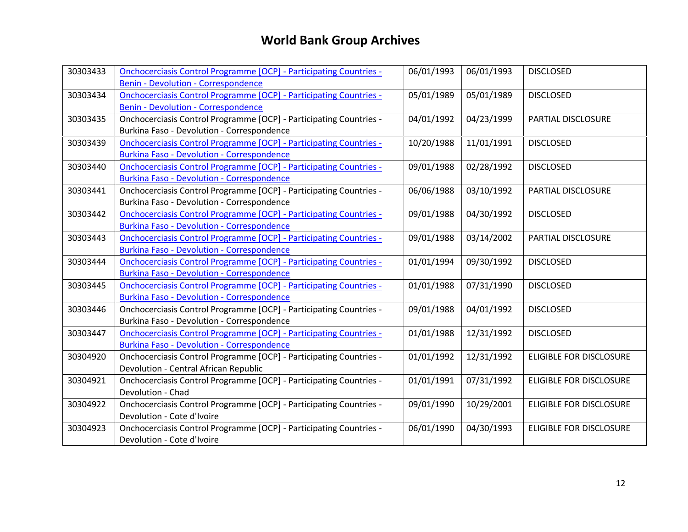| 30303433 | <b>Onchocerciasis Control Programme [OCP] - Participating Countries -</b> | 06/01/1993 | 06/01/1993 | <b>DISCLOSED</b>               |
|----------|---------------------------------------------------------------------------|------------|------------|--------------------------------|
|          | <b>Benin - Devolution - Correspondence</b>                                |            |            |                                |
| 30303434 | <b>Onchocerciasis Control Programme [OCP] - Participating Countries -</b> | 05/01/1989 | 05/01/1989 | <b>DISCLOSED</b>               |
|          | <b>Benin - Devolution - Correspondence</b>                                |            |            |                                |
| 30303435 | Onchocerciasis Control Programme [OCP] - Participating Countries -        | 04/01/1992 | 04/23/1999 | PARTIAL DISCLOSURE             |
|          | Burkina Faso - Devolution - Correspondence                                |            |            |                                |
| 30303439 | <b>Onchocerciasis Control Programme [OCP] - Participating Countries -</b> | 10/20/1988 | 11/01/1991 | <b>DISCLOSED</b>               |
|          | <b>Burkina Faso - Devolution - Correspondence</b>                         |            |            |                                |
| 30303440 | <b>Onchocerciasis Control Programme [OCP] - Participating Countries -</b> | 09/01/1988 | 02/28/1992 | <b>DISCLOSED</b>               |
|          | <b>Burkina Faso - Devolution - Correspondence</b>                         |            |            |                                |
| 30303441 | Onchocerciasis Control Programme [OCP] - Participating Countries -        | 06/06/1988 | 03/10/1992 | PARTIAL DISCLOSURE             |
|          | Burkina Faso - Devolution - Correspondence                                |            |            |                                |
| 30303442 | <b>Onchocerciasis Control Programme [OCP] - Participating Countries -</b> | 09/01/1988 | 04/30/1992 | <b>DISCLOSED</b>               |
|          | <b>Burkina Faso - Devolution - Correspondence</b>                         |            |            |                                |
| 30303443 | <b>Onchocerciasis Control Programme [OCP] - Participating Countries -</b> | 09/01/1988 | 03/14/2002 | PARTIAL DISCLOSURE             |
|          | <b>Burkina Faso - Devolution - Correspondence</b>                         |            |            |                                |
| 30303444 | <b>Onchocerciasis Control Programme [OCP] - Participating Countries -</b> | 01/01/1994 | 09/30/1992 | <b>DISCLOSED</b>               |
|          | <b>Burkina Faso - Devolution - Correspondence</b>                         |            |            |                                |
| 30303445 | <b>Onchocerciasis Control Programme [OCP] - Participating Countries -</b> | 01/01/1988 | 07/31/1990 | <b>DISCLOSED</b>               |
|          | <b>Burkina Faso - Devolution - Correspondence</b>                         |            |            |                                |
| 30303446 | Onchocerciasis Control Programme [OCP] - Participating Countries -        | 09/01/1988 | 04/01/1992 | <b>DISCLOSED</b>               |
|          | Burkina Faso - Devolution - Correspondence                                |            |            |                                |
| 30303447 | <b>Onchocerciasis Control Programme [OCP] - Participating Countries -</b> | 01/01/1988 | 12/31/1992 | <b>DISCLOSED</b>               |
|          | <b>Burkina Faso - Devolution - Correspondence</b>                         |            |            |                                |
| 30304920 | Onchocerciasis Control Programme [OCP] - Participating Countries -        | 01/01/1992 | 12/31/1992 | <b>ELIGIBLE FOR DISCLOSURE</b> |
|          | Devolution - Central African Republic                                     |            |            |                                |
| 30304921 | Onchocerciasis Control Programme [OCP] - Participating Countries -        | 01/01/1991 | 07/31/1992 | <b>ELIGIBLE FOR DISCLOSURE</b> |
|          | Devolution - Chad                                                         |            |            |                                |
| 30304922 | Onchocerciasis Control Programme [OCP] - Participating Countries -        | 09/01/1990 | 10/29/2001 | <b>ELIGIBLE FOR DISCLOSURE</b> |
|          | Devolution - Cote d'Ivoire                                                |            |            |                                |
| 30304923 | Onchocerciasis Control Programme [OCP] - Participating Countries -        | 06/01/1990 | 04/30/1993 | <b>ELIGIBLE FOR DISCLOSURE</b> |
|          | Devolution - Cote d'Ivoire                                                |            |            |                                |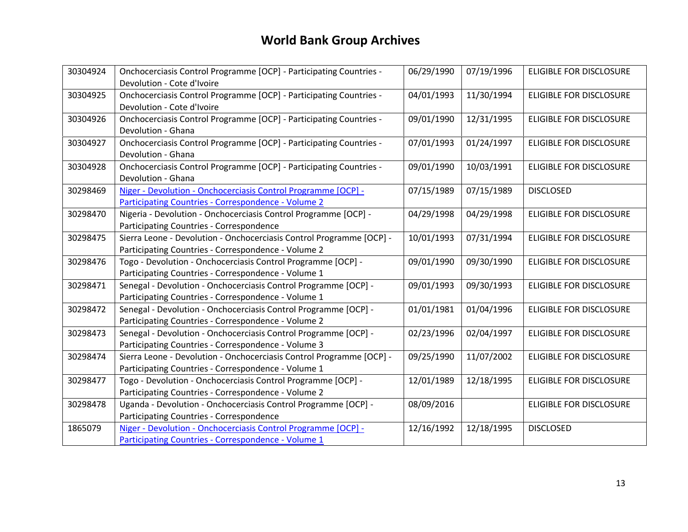| 30304924 | Onchocerciasis Control Programme [OCP] - Participating Countries -   | 06/29/1990 | 07/19/1996 | <b>ELIGIBLE FOR DISCLOSURE</b> |
|----------|----------------------------------------------------------------------|------------|------------|--------------------------------|
|          | Devolution - Cote d'Ivoire                                           |            |            |                                |
| 30304925 | Onchocerciasis Control Programme [OCP] - Participating Countries -   | 04/01/1993 | 11/30/1994 | ELIGIBLE FOR DISCLOSURE        |
|          | Devolution - Cote d'Ivoire                                           |            |            |                                |
| 30304926 | Onchocerciasis Control Programme [OCP] - Participating Countries -   | 09/01/1990 | 12/31/1995 | ELIGIBLE FOR DISCLOSURE        |
|          | Devolution - Ghana                                                   |            |            |                                |
| 30304927 | Onchocerciasis Control Programme [OCP] - Participating Countries -   | 07/01/1993 | 01/24/1997 | ELIGIBLE FOR DISCLOSURE        |
|          | Devolution - Ghana                                                   |            |            |                                |
| 30304928 | Onchocerciasis Control Programme [OCP] - Participating Countries -   | 09/01/1990 | 10/03/1991 | <b>ELIGIBLE FOR DISCLOSURE</b> |
|          | Devolution - Ghana                                                   |            |            |                                |
| 30298469 | Niger - Devolution - Onchocerciasis Control Programme [OCP] -        | 07/15/1989 | 07/15/1989 | <b>DISCLOSED</b>               |
|          | Participating Countries - Correspondence - Volume 2                  |            |            |                                |
| 30298470 | Nigeria - Devolution - Onchocerciasis Control Programme [OCP] -      | 04/29/1998 | 04/29/1998 | <b>ELIGIBLE FOR DISCLOSURE</b> |
|          | Participating Countries - Correspondence                             |            |            |                                |
| 30298475 | Sierra Leone - Devolution - Onchocerciasis Control Programme [OCP] - | 10/01/1993 | 07/31/1994 | <b>ELIGIBLE FOR DISCLOSURE</b> |
|          | Participating Countries - Correspondence - Volume 2                  |            |            |                                |
| 30298476 | Togo - Devolution - Onchocerciasis Control Programme [OCP] -         | 09/01/1990 | 09/30/1990 | ELIGIBLE FOR DISCLOSURE        |
|          | Participating Countries - Correspondence - Volume 1                  |            |            |                                |
| 30298471 | Senegal - Devolution - Onchocerciasis Control Programme [OCP] -      | 09/01/1993 | 09/30/1993 | <b>ELIGIBLE FOR DISCLOSURE</b> |
|          | Participating Countries - Correspondence - Volume 1                  |            |            |                                |
| 30298472 | Senegal - Devolution - Onchocerciasis Control Programme [OCP] -      | 01/01/1981 | 01/04/1996 | <b>ELIGIBLE FOR DISCLOSURE</b> |
|          | Participating Countries - Correspondence - Volume 2                  |            |            |                                |
| 30298473 | Senegal - Devolution - Onchocerciasis Control Programme [OCP] -      | 02/23/1996 | 02/04/1997 | ELIGIBLE FOR DISCLOSURE        |
|          | Participating Countries - Correspondence - Volume 3                  |            |            |                                |
| 30298474 | Sierra Leone - Devolution - Onchocerciasis Control Programme [OCP] - | 09/25/1990 | 11/07/2002 | ELIGIBLE FOR DISCLOSURE        |
|          | Participating Countries - Correspondence - Volume 1                  |            |            |                                |
| 30298477 | Togo - Devolution - Onchocerciasis Control Programme [OCP] -         | 12/01/1989 | 12/18/1995 | <b>ELIGIBLE FOR DISCLOSURE</b> |
|          | Participating Countries - Correspondence - Volume 2                  |            |            |                                |
| 30298478 | Uganda - Devolution - Onchocerciasis Control Programme [OCP] -       | 08/09/2016 |            | <b>ELIGIBLE FOR DISCLOSURE</b> |
|          | Participating Countries - Correspondence                             |            |            |                                |
| 1865079  | Niger - Devolution - Onchocerciasis Control Programme [OCP] -        | 12/16/1992 | 12/18/1995 | <b>DISCLOSED</b>               |
|          | Participating Countries - Correspondence - Volume 1                  |            |            |                                |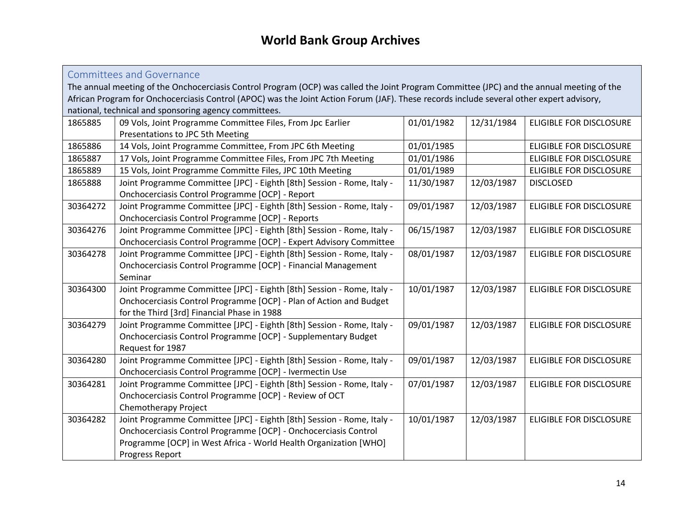<span id="page-13-0"></span>Committees and Governance

The annual meeting of the Onchocerciasis Control Program (OCP) was called the Joint Program Committee (JPC) and the annual meeting of the African Program for Onchocerciasis Control (APOC) was the Joint Action Forum (JAF). These records include several other expert advisory, national, technical and sponsoring agency committees.

| 1865885  | 09 Vols, Joint Programme Committee Files, From Jpc Earlier             | 01/01/1982 | 12/31/1984 | ELIGIBLE FOR DISCLOSURE        |
|----------|------------------------------------------------------------------------|------------|------------|--------------------------------|
|          | Presentations to JPC 5th Meeting                                       |            |            |                                |
| 1865886  | 14 Vols, Joint Programme Committee, From JPC 6th Meeting               | 01/01/1985 |            | <b>ELIGIBLE FOR DISCLOSURE</b> |
| 1865887  | 17 Vols, Joint Programme Committee Files, From JPC 7th Meeting         | 01/01/1986 |            | <b>ELIGIBLE FOR DISCLOSURE</b> |
| 1865889  | 15 Vols, Joint Programme Committe Files, JPC 10th Meeting              | 01/01/1989 |            | <b>ELIGIBLE FOR DISCLOSURE</b> |
| 1865888  | Joint Programme Committee [JPC] - Eighth [8th] Session - Rome, Italy - | 11/30/1987 | 12/03/1987 | <b>DISCLOSED</b>               |
|          | Onchocerciasis Control Programme [OCP] - Report                        |            |            |                                |
| 30364272 | Joint Programme Committee [JPC] - Eighth [8th] Session - Rome, Italy - | 09/01/1987 | 12/03/1987 | <b>ELIGIBLE FOR DISCLOSURE</b> |
|          | Onchocerciasis Control Programme [OCP] - Reports                       |            |            |                                |
| 30364276 | Joint Programme Committee [JPC] - Eighth [8th] Session - Rome, Italy - | 06/15/1987 | 12/03/1987 | <b>ELIGIBLE FOR DISCLOSURE</b> |
|          | Onchocerciasis Control Programme [OCP] - Expert Advisory Committee     |            |            |                                |
| 30364278 | Joint Programme Committee [JPC] - Eighth [8th] Session - Rome, Italy - | 08/01/1987 | 12/03/1987 | <b>ELIGIBLE FOR DISCLOSURE</b> |
|          | Onchocerciasis Control Programme [OCP] - Financial Management          |            |            |                                |
|          | Seminar                                                                |            |            |                                |
| 30364300 | Joint Programme Committee [JPC] - Eighth [8th] Session - Rome, Italy - | 10/01/1987 | 12/03/1987 | <b>ELIGIBLE FOR DISCLOSURE</b> |
|          | Onchocerciasis Control Programme [OCP] - Plan of Action and Budget     |            |            |                                |
|          | for the Third [3rd] Financial Phase in 1988                            |            |            |                                |
| 30364279 | Joint Programme Committee [JPC] - Eighth [8th] Session - Rome, Italy - | 09/01/1987 | 12/03/1987 | <b>ELIGIBLE FOR DISCLOSURE</b> |
|          | Onchocerciasis Control Programme [OCP] - Supplementary Budget          |            |            |                                |
|          | Request for 1987                                                       |            |            |                                |
| 30364280 | Joint Programme Committee [JPC] - Eighth [8th] Session - Rome, Italy - | 09/01/1987 | 12/03/1987 | ELIGIBLE FOR DISCLOSURE        |
|          | Onchocerciasis Control Programme [OCP] - Ivermectin Use                |            |            |                                |
| 30364281 | Joint Programme Committee [JPC] - Eighth [8th] Session - Rome, Italy - | 07/01/1987 | 12/03/1987 | <b>ELIGIBLE FOR DISCLOSURE</b> |
|          | Onchocerciasis Control Programme [OCP] - Review of OCT                 |            |            |                                |
|          | Chemotherapy Project                                                   |            |            |                                |
| 30364282 | Joint Programme Committee [JPC] - Eighth [8th] Session - Rome, Italy - | 10/01/1987 | 12/03/1987 | <b>ELIGIBLE FOR DISCLOSURE</b> |
|          | Onchocerciasis Control Programme [OCP] - Onchocerciasis Control        |            |            |                                |
|          | Programme [OCP] in West Africa - World Health Organization [WHO]       |            |            |                                |
|          | Progress Report                                                        |            |            |                                |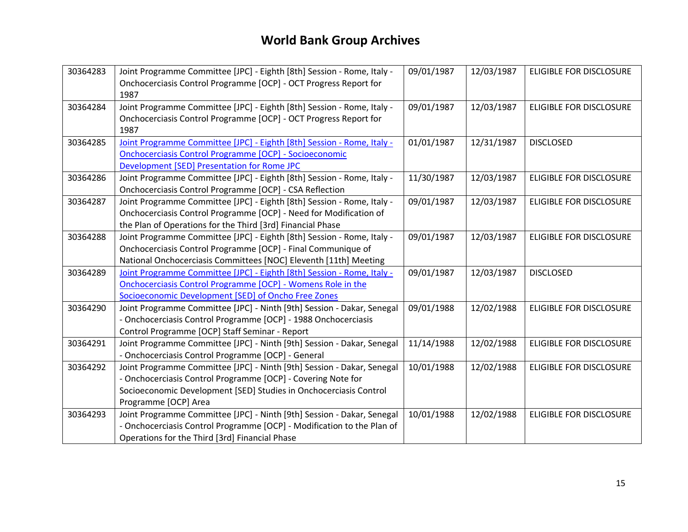| 30364283 | Joint Programme Committee [JPC] - Eighth [8th] Session - Rome, Italy -<br>Onchocerciasis Control Programme [OCP] - OCT Progress Report for<br>1987                                                                                  | 09/01/1987 | 12/03/1987 | ELIGIBLE FOR DISCLOSURE        |
|----------|-------------------------------------------------------------------------------------------------------------------------------------------------------------------------------------------------------------------------------------|------------|------------|--------------------------------|
| 30364284 | Joint Programme Committee [JPC] - Eighth [8th] Session - Rome, Italy -<br>Onchocerciasis Control Programme [OCP] - OCT Progress Report for<br>1987                                                                                  | 09/01/1987 | 12/03/1987 | <b>ELIGIBLE FOR DISCLOSURE</b> |
| 30364285 | Joint Programme Committee [JPC] - Eighth [8th] Session - Rome, Italy -<br><b>Onchocerciasis Control Programme [OCP] - Socioeconomic</b><br>Development [SED] Presentation for Rome JPC                                              | 01/01/1987 | 12/31/1987 | <b>DISCLOSED</b>               |
| 30364286 | Joint Programme Committee [JPC] - Eighth [8th] Session - Rome, Italy -<br>Onchocerciasis Control Programme [OCP] - CSA Reflection                                                                                                   | 11/30/1987 | 12/03/1987 | ELIGIBLE FOR DISCLOSURE        |
| 30364287 | Joint Programme Committee [JPC] - Eighth [8th] Session - Rome, Italy -<br>Onchocerciasis Control Programme [OCP] - Need for Modification of<br>the Plan of Operations for the Third [3rd] Financial Phase                           | 09/01/1987 | 12/03/1987 | ELIGIBLE FOR DISCLOSURE        |
| 30364288 | Joint Programme Committee [JPC] - Eighth [8th] Session - Rome, Italy -<br>Onchocerciasis Control Programme [OCP] - Final Communique of<br>National Onchocerciasis Committees [NOC] Eleventh [11th] Meeting                          | 09/01/1987 | 12/03/1987 | ELIGIBLE FOR DISCLOSURE        |
| 30364289 | Joint Programme Committee [JPC] - Eighth [8th] Session - Rome, Italy -<br>Onchocerciasis Control Programme [OCP] - Womens Role in the<br>Socioeconomic Development [SED] of Oncho Free Zones                                        | 09/01/1987 | 12/03/1987 | <b>DISCLOSED</b>               |
| 30364290 | Joint Programme Committee [JPC] - Ninth [9th] Session - Dakar, Senegal<br>- Onchocerciasis Control Programme [OCP] - 1988 Onchocerciasis<br>Control Programme [OCP] Staff Seminar - Report                                          | 09/01/1988 | 12/02/1988 | ELIGIBLE FOR DISCLOSURE        |
| 30364291 | Joint Programme Committee [JPC] - Ninth [9th] Session - Dakar, Senegal<br>- Onchocerciasis Control Programme [OCP] - General                                                                                                        | 11/14/1988 | 12/02/1988 | ELIGIBLE FOR DISCLOSURE        |
| 30364292 | Joint Programme Committee [JPC] - Ninth [9th] Session - Dakar, Senegal<br>- Onchocerciasis Control Programme [OCP] - Covering Note for<br>Socioeconomic Development [SED] Studies in Onchocerciasis Control<br>Programme [OCP] Area | 10/01/1988 | 12/02/1988 | <b>ELIGIBLE FOR DISCLOSURE</b> |
| 30364293 | Joint Programme Committee [JPC] - Ninth [9th] Session - Dakar, Senegal<br>- Onchocerciasis Control Programme [OCP] - Modification to the Plan of<br>Operations for the Third [3rd] Financial Phase                                  | 10/01/1988 | 12/02/1988 | <b>ELIGIBLE FOR DISCLOSURE</b> |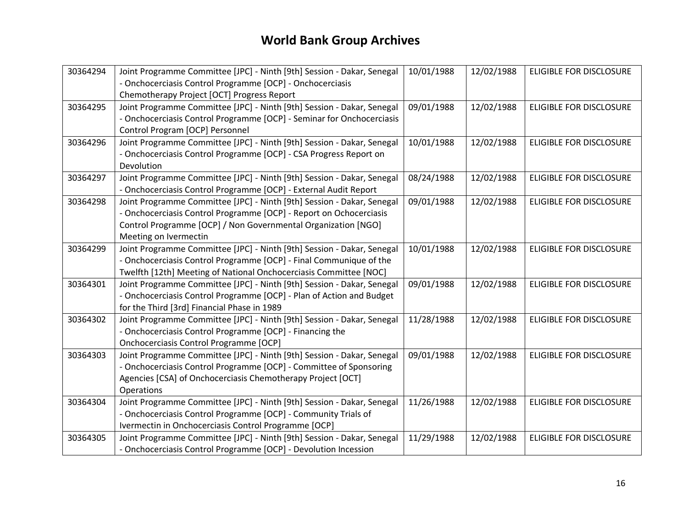| 30364294 | Joint Programme Committee [JPC] - Ninth [9th] Session - Dakar, Senegal | 10/01/1988 | 12/02/1988 | <b>ELIGIBLE FOR DISCLOSURE</b> |
|----------|------------------------------------------------------------------------|------------|------------|--------------------------------|
|          | - Onchocerciasis Control Programme [OCP] - Onchocerciasis              |            |            |                                |
|          | Chemotherapy Project [OCT] Progress Report                             |            |            |                                |
| 30364295 | Joint Programme Committee [JPC] - Ninth [9th] Session - Dakar, Senegal | 09/01/1988 | 12/02/1988 | <b>ELIGIBLE FOR DISCLOSURE</b> |
|          | - Onchocerciasis Control Programme [OCP] - Seminar for Onchocerciasis  |            |            |                                |
|          | Control Program [OCP] Personnel                                        |            |            |                                |
| 30364296 | Joint Programme Committee [JPC] - Ninth [9th] Session - Dakar, Senegal | 10/01/1988 | 12/02/1988 | <b>ELIGIBLE FOR DISCLOSURE</b> |
|          | - Onchocerciasis Control Programme [OCP] - CSA Progress Report on      |            |            |                                |
|          | Devolution                                                             |            |            |                                |
| 30364297 | Joint Programme Committee [JPC] - Ninth [9th] Session - Dakar, Senegal | 08/24/1988 | 12/02/1988 | <b>ELIGIBLE FOR DISCLOSURE</b> |
|          | - Onchocerciasis Control Programme [OCP] - External Audit Report       |            |            |                                |
| 30364298 | Joint Programme Committee [JPC] - Ninth [9th] Session - Dakar, Senegal | 09/01/1988 | 12/02/1988 | <b>ELIGIBLE FOR DISCLOSURE</b> |
|          | - Onchocerciasis Control Programme [OCP] - Report on Ochocerciasis     |            |            |                                |
|          | Control Programme [OCP] / Non Governmental Organization [NGO]          |            |            |                                |
|          | Meeting on Ivermectin                                                  |            |            |                                |
| 30364299 | Joint Programme Committee [JPC] - Ninth [9th] Session - Dakar, Senegal | 10/01/1988 | 12/02/1988 | <b>ELIGIBLE FOR DISCLOSURE</b> |
|          | - Onchocerciasis Control Programme [OCP] - Final Communique of the     |            |            |                                |
|          | Twelfth [12th] Meeting of National Onchocerciasis Committee [NOC]      |            |            |                                |
| 30364301 | Joint Programme Committee [JPC] - Ninth [9th] Session - Dakar, Senegal | 09/01/1988 | 12/02/1988 | <b>ELIGIBLE FOR DISCLOSURE</b> |
|          | - Onchocerciasis Control Programme [OCP] - Plan of Action and Budget   |            |            |                                |
|          | for the Third [3rd] Financial Phase in 1989                            |            |            |                                |
| 30364302 | Joint Programme Committee [JPC] - Ninth [9th] Session - Dakar, Senegal | 11/28/1988 | 12/02/1988 | ELIGIBLE FOR DISCLOSURE        |
|          | - Onchocerciasis Control Programme [OCP] - Financing the               |            |            |                                |
|          | Onchocerciasis Control Programme [OCP]                                 |            |            |                                |
| 30364303 | Joint Programme Committee [JPC] - Ninth [9th] Session - Dakar, Senegal | 09/01/1988 | 12/02/1988 | <b>ELIGIBLE FOR DISCLOSURE</b> |
|          | - Onchocerciasis Control Programme [OCP] - Committee of Sponsoring     |            |            |                                |
|          | Agencies [CSA] of Onchocerciasis Chemotherapy Project [OCT]            |            |            |                                |
|          | Operations                                                             |            |            |                                |
| 30364304 | Joint Programme Committee [JPC] - Ninth [9th] Session - Dakar, Senegal | 11/26/1988 | 12/02/1988 | ELIGIBLE FOR DISCLOSURE        |
|          | - Onchocerciasis Control Programme [OCP] - Community Trials of         |            |            |                                |
|          | Ivermectin in Onchocerciasis Control Programme [OCP]                   |            |            |                                |
| 30364305 | Joint Programme Committee [JPC] - Ninth [9th] Session - Dakar, Senegal | 11/29/1988 | 12/02/1988 | <b>ELIGIBLE FOR DISCLOSURE</b> |
|          | - Onchocerciasis Control Programme [OCP] - Devolution Incession        |            |            |                                |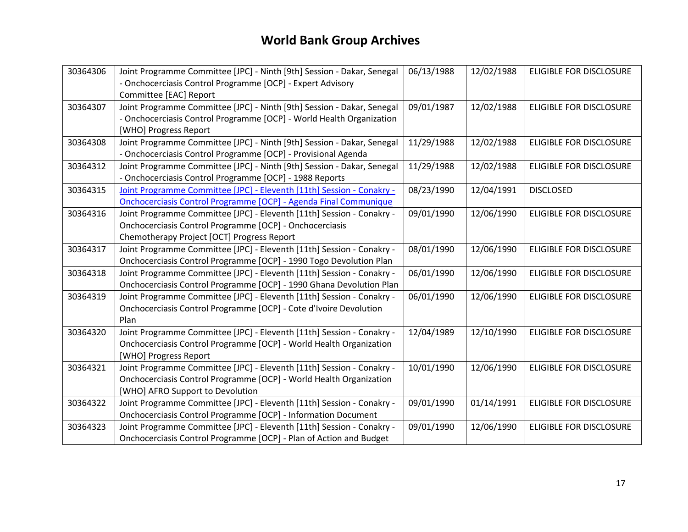| 30364306 | Joint Programme Committee [JPC] - Ninth [9th] Session - Dakar, Senegal | 06/13/1988 | 12/02/1988 | <b>ELIGIBLE FOR DISCLOSURE</b> |
|----------|------------------------------------------------------------------------|------------|------------|--------------------------------|
|          | - Onchocerciasis Control Programme [OCP] - Expert Advisory             |            |            |                                |
|          | Committee [EAC] Report                                                 |            |            |                                |
| 30364307 | Joint Programme Committee [JPC] - Ninth [9th] Session - Dakar, Senegal | 09/01/1987 | 12/02/1988 | <b>ELIGIBLE FOR DISCLOSURE</b> |
|          | - Onchocerciasis Control Programme [OCP] - World Health Organization   |            |            |                                |
|          | [WHO] Progress Report                                                  |            |            |                                |
| 30364308 | Joint Programme Committee [JPC] - Ninth [9th] Session - Dakar, Senegal | 11/29/1988 | 12/02/1988 | <b>ELIGIBLE FOR DISCLOSURE</b> |
|          | - Onchocerciasis Control Programme [OCP] - Provisional Agenda          |            |            |                                |
| 30364312 | Joint Programme Committee [JPC] - Ninth [9th] Session - Dakar, Senegal | 11/29/1988 | 12/02/1988 | <b>ELIGIBLE FOR DISCLOSURE</b> |
|          | - Onchocerciasis Control Programme [OCP] - 1988 Reports                |            |            |                                |
| 30364315 | Joint Programme Committee [JPC] - Eleventh [11th] Session - Conakry -  | 08/23/1990 | 12/04/1991 | <b>DISCLOSED</b>               |
|          | Onchocerciasis Control Programme [OCP] - Agenda Final Communique       |            |            |                                |
| 30364316 | Joint Programme Committee [JPC] - Eleventh [11th] Session - Conakry -  | 09/01/1990 | 12/06/1990 | <b>ELIGIBLE FOR DISCLOSURE</b> |
|          | Onchocerciasis Control Programme [OCP] - Onchocerciasis                |            |            |                                |
|          | Chemotherapy Project [OCT] Progress Report                             |            |            |                                |
| 30364317 | Joint Programme Committee [JPC] - Eleventh [11th] Session - Conakry -  | 08/01/1990 | 12/06/1990 | ELIGIBLE FOR DISCLOSURE        |
|          | Onchocerciasis Control Programme [OCP] - 1990 Togo Devolution Plan     |            |            |                                |
| 30364318 | Joint Programme Committee [JPC] - Eleventh [11th] Session - Conakry -  | 06/01/1990 | 12/06/1990 | <b>ELIGIBLE FOR DISCLOSURE</b> |
|          | Onchocerciasis Control Programme [OCP] - 1990 Ghana Devolution Plan    |            |            |                                |
| 30364319 | Joint Programme Committee [JPC] - Eleventh [11th] Session - Conakry -  | 06/01/1990 | 12/06/1990 | <b>ELIGIBLE FOR DISCLOSURE</b> |
|          | Onchocerciasis Control Programme [OCP] - Cote d'Ivoire Devolution      |            |            |                                |
|          | Plan                                                                   |            |            |                                |
| 30364320 | Joint Programme Committee [JPC] - Eleventh [11th] Session - Conakry -  | 12/04/1989 | 12/10/1990 | <b>ELIGIBLE FOR DISCLOSURE</b> |
|          | Onchocerciasis Control Programme [OCP] - World Health Organization     |            |            |                                |
|          | [WHO] Progress Report                                                  |            |            |                                |
| 30364321 | Joint Programme Committee [JPC] - Eleventh [11th] Session - Conakry -  | 10/01/1990 | 12/06/1990 | <b>ELIGIBLE FOR DISCLOSURE</b> |
|          | Onchocerciasis Control Programme [OCP] - World Health Organization     |            |            |                                |
|          | [WHO] AFRO Support to Devolution                                       |            |            |                                |
| 30364322 | Joint Programme Committee [JPC] - Eleventh [11th] Session - Conakry -  | 09/01/1990 | 01/14/1991 | <b>ELIGIBLE FOR DISCLOSURE</b> |
|          | Onchocerciasis Control Programme [OCP] - Information Document          |            |            |                                |
| 30364323 | Joint Programme Committee [JPC] - Eleventh [11th] Session - Conakry -  | 09/01/1990 | 12/06/1990 | <b>ELIGIBLE FOR DISCLOSURE</b> |
|          | Onchocerciasis Control Programme [OCP] - Plan of Action and Budget     |            |            |                                |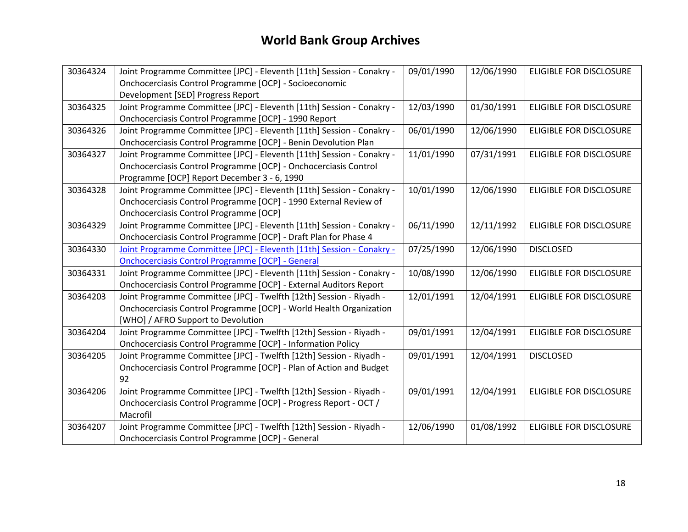| 30364324 | Joint Programme Committee [JPC] - Eleventh [11th] Session - Conakry - | 09/01/1990 | 12/06/1990 | <b>ELIGIBLE FOR DISCLOSURE</b> |
|----------|-----------------------------------------------------------------------|------------|------------|--------------------------------|
|          | Onchocerciasis Control Programme [OCP] - Socioeconomic                |            |            |                                |
|          | Development [SED] Progress Report                                     |            |            |                                |
| 30364325 | Joint Programme Committee [JPC] - Eleventh [11th] Session - Conakry - | 12/03/1990 | 01/30/1991 | <b>ELIGIBLE FOR DISCLOSURE</b> |
|          | Onchocerciasis Control Programme [OCP] - 1990 Report                  |            |            |                                |
| 30364326 | Joint Programme Committee [JPC] - Eleventh [11th] Session - Conakry - | 06/01/1990 | 12/06/1990 | <b>ELIGIBLE FOR DISCLOSURE</b> |
|          | Onchocerciasis Control Programme [OCP] - Benin Devolution Plan        |            |            |                                |
| 30364327 | Joint Programme Committee [JPC] - Eleventh [11th] Session - Conakry - | 11/01/1990 | 07/31/1991 | ELIGIBLE FOR DISCLOSURE        |
|          | Onchocerciasis Control Programme [OCP] - Onchocerciasis Control       |            |            |                                |
|          | Programme [OCP] Report December 3 - 6, 1990                           |            |            |                                |
| 30364328 | Joint Programme Committee [JPC] - Eleventh [11th] Session - Conakry - | 10/01/1990 | 12/06/1990 | ELIGIBLE FOR DISCLOSURE        |
|          | Onchocerciasis Control Programme [OCP] - 1990 External Review of      |            |            |                                |
|          | Onchocerciasis Control Programme [OCP]                                |            |            |                                |
| 30364329 | Joint Programme Committee [JPC] - Eleventh [11th] Session - Conakry - | 06/11/1990 | 12/11/1992 | ELIGIBLE FOR DISCLOSURE        |
|          | Onchocerciasis Control Programme [OCP] - Draft Plan for Phase 4       |            |            |                                |
| 30364330 | Joint Programme Committee [JPC] - Eleventh [11th] Session - Conakry - | 07/25/1990 | 12/06/1990 | <b>DISCLOSED</b>               |
|          | <b>Onchocerciasis Control Programme [OCP] - General</b>               |            |            |                                |
| 30364331 | Joint Programme Committee [JPC] - Eleventh [11th] Session - Conakry - | 10/08/1990 | 12/06/1990 | ELIGIBLE FOR DISCLOSURE        |
|          | Onchocerciasis Control Programme [OCP] - External Auditors Report     |            |            |                                |
| 30364203 | Joint Programme Committee [JPC] - Twelfth [12th] Session - Riyadh -   | 12/01/1991 | 12/04/1991 | ELIGIBLE FOR DISCLOSURE        |
|          | Onchocerciasis Control Programme [OCP] - World Health Organization    |            |            |                                |
|          | [WHO] / AFRO Support to Devolution                                    |            |            |                                |
| 30364204 | Joint Programme Committee [JPC] - Twelfth [12th] Session - Riyadh -   | 09/01/1991 | 12/04/1991 | <b>ELIGIBLE FOR DISCLOSURE</b> |
|          | Onchocerciasis Control Programme [OCP] - Information Policy           |            |            |                                |
| 30364205 | Joint Programme Committee [JPC] - Twelfth [12th] Session - Riyadh -   | 09/01/1991 | 12/04/1991 | <b>DISCLOSED</b>               |
|          | Onchocerciasis Control Programme [OCP] - Plan of Action and Budget    |            |            |                                |
|          | 92                                                                    |            |            |                                |
| 30364206 | Joint Programme Committee [JPC] - Twelfth [12th] Session - Riyadh -   | 09/01/1991 | 12/04/1991 | ELIGIBLE FOR DISCLOSURE        |
|          | Onchocerciasis Control Programme [OCP] - Progress Report - OCT /      |            |            |                                |
|          | Macrofil                                                              |            |            |                                |
| 30364207 | Joint Programme Committee [JPC] - Twelfth [12th] Session - Riyadh -   | 12/06/1990 | 01/08/1992 | <b>ELIGIBLE FOR DISCLOSURE</b> |
|          | Onchocerciasis Control Programme [OCP] - General                      |            |            |                                |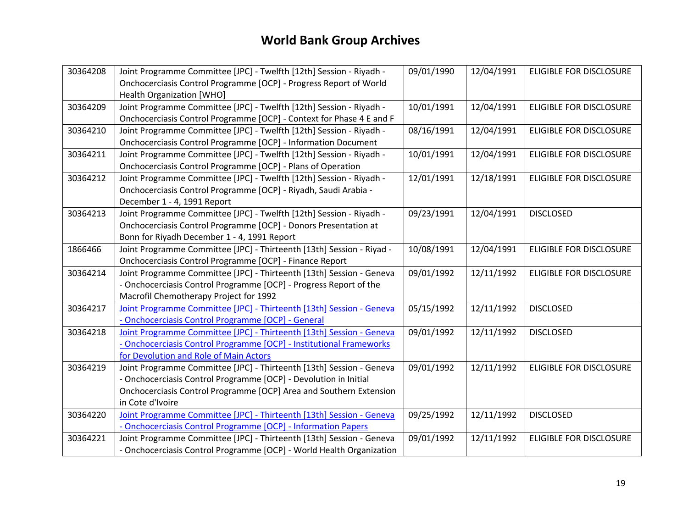| 30364208 | Joint Programme Committee [JPC] - Twelfth [12th] Session - Riyadh -   | 09/01/1990 | 12/04/1991 | <b>ELIGIBLE FOR DISCLOSURE</b> |
|----------|-----------------------------------------------------------------------|------------|------------|--------------------------------|
|          | Onchocerciasis Control Programme [OCP] - Progress Report of World     |            |            |                                |
|          | Health Organization [WHO]                                             |            |            |                                |
| 30364209 | Joint Programme Committee [JPC] - Twelfth [12th] Session - Riyadh -   | 10/01/1991 | 12/04/1991 | <b>ELIGIBLE FOR DISCLOSURE</b> |
|          | Onchocerciasis Control Programme [OCP] - Context for Phase 4 E and F  |            |            |                                |
| 30364210 | Joint Programme Committee [JPC] - Twelfth [12th] Session - Riyadh -   | 08/16/1991 | 12/04/1991 | ELIGIBLE FOR DISCLOSURE        |
|          | Onchocerciasis Control Programme [OCP] - Information Document         |            |            |                                |
| 30364211 | Joint Programme Committee [JPC] - Twelfth [12th] Session - Riyadh -   | 10/01/1991 | 12/04/1991 | ELIGIBLE FOR DISCLOSURE        |
|          | Onchocerciasis Control Programme [OCP] - Plans of Operation           |            |            |                                |
| 30364212 | Joint Programme Committee [JPC] - Twelfth [12th] Session - Riyadh -   | 12/01/1991 | 12/18/1991 | ELIGIBLE FOR DISCLOSURE        |
|          | Onchocerciasis Control Programme [OCP] - Riyadh, Saudi Arabia -       |            |            |                                |
|          | December 1 - 4, 1991 Report                                           |            |            |                                |
| 30364213 | Joint Programme Committee [JPC] - Twelfth [12th] Session - Riyadh -   | 09/23/1991 | 12/04/1991 | <b>DISCLOSED</b>               |
|          | Onchocerciasis Control Programme [OCP] - Donors Presentation at       |            |            |                                |
|          | Bonn for Riyadh December 1 - 4, 1991 Report                           |            |            |                                |
| 1866466  | Joint Programme Committee [JPC] - Thirteenth [13th] Session - Riyad - | 10/08/1991 | 12/04/1991 | <b>ELIGIBLE FOR DISCLOSURE</b> |
|          | Onchocerciasis Control Programme [OCP] - Finance Report               |            |            |                                |
| 30364214 | Joint Programme Committee [JPC] - Thirteenth [13th] Session - Geneva  | 09/01/1992 | 12/11/1992 | ELIGIBLE FOR DISCLOSURE        |
|          | - Onchocerciasis Control Programme [OCP] - Progress Report of the     |            |            |                                |
|          | Macrofil Chemotherapy Project for 1992                                |            |            |                                |
| 30364217 | Joint Programme Committee [JPC] - Thirteenth [13th] Session - Geneva  | 05/15/1992 | 12/11/1992 | <b>DISCLOSED</b>               |
|          | - Onchocerciasis Control Programme [OCP] - General                    |            |            |                                |
| 30364218 | Joint Programme Committee [JPC] - Thirteenth [13th] Session - Geneva  | 09/01/1992 | 12/11/1992 | <b>DISCLOSED</b>               |
|          | - Onchocerciasis Control Programme [OCP] - Institutional Frameworks   |            |            |                                |
|          | for Devolution and Role of Main Actors                                |            |            |                                |
| 30364219 | Joint Programme Committee [JPC] - Thirteenth [13th] Session - Geneva  | 09/01/1992 | 12/11/1992 | ELIGIBLE FOR DISCLOSURE        |
|          | - Onchocerciasis Control Programme [OCP] - Devolution in Initial      |            |            |                                |
|          | Onchocerciasis Control Programme [OCP] Area and Southern Extension    |            |            |                                |
|          | in Cote d'Ivoire                                                      |            |            |                                |
| 30364220 | Joint Programme Committee [JPC] - Thirteenth [13th] Session - Geneva  | 09/25/1992 | 12/11/1992 | <b>DISCLOSED</b>               |
|          | - Onchocerciasis Control Programme [OCP] - Information Papers         |            |            |                                |
| 30364221 | Joint Programme Committee [JPC] - Thirteenth [13th] Session - Geneva  | 09/01/1992 | 12/11/1992 | ELIGIBLE FOR DISCLOSURE        |
|          | - Onchocerciasis Control Programme [OCP] - World Health Organization  |            |            |                                |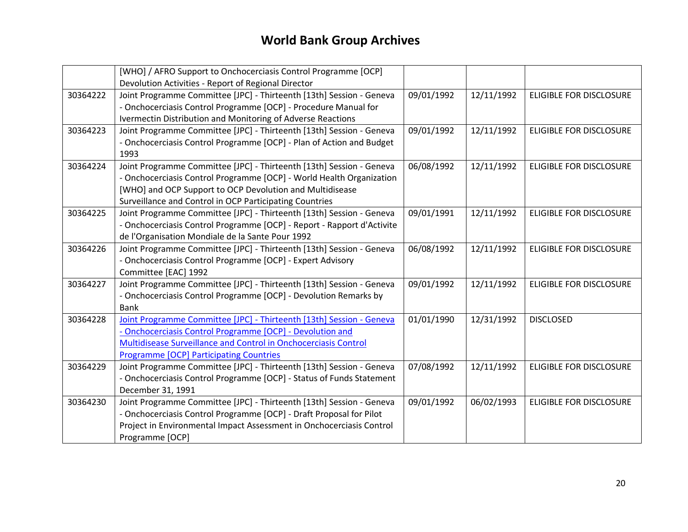|          | [WHO] / AFRO Support to Onchocerciasis Control Programme [OCP]         |            |            |                                |
|----------|------------------------------------------------------------------------|------------|------------|--------------------------------|
|          | Devolution Activities - Report of Regional Director                    |            |            |                                |
| 30364222 | Joint Programme Committee [JPC] - Thirteenth [13th] Session - Geneva   | 09/01/1992 | 12/11/1992 | <b>ELIGIBLE FOR DISCLOSURE</b> |
|          | - Onchocerciasis Control Programme [OCP] - Procedure Manual for        |            |            |                                |
|          | Ivermectin Distribution and Monitoring of Adverse Reactions            |            |            |                                |
| 30364223 | Joint Programme Committee [JPC] - Thirteenth [13th] Session - Geneva   | 09/01/1992 | 12/11/1992 | ELIGIBLE FOR DISCLOSURE        |
|          | - Onchocerciasis Control Programme [OCP] - Plan of Action and Budget   |            |            |                                |
|          | 1993                                                                   |            |            |                                |
| 30364224 | Joint Programme Committee [JPC] - Thirteenth [13th] Session - Geneva   | 06/08/1992 | 12/11/1992 | <b>ELIGIBLE FOR DISCLOSURE</b> |
|          | - Onchocerciasis Control Programme [OCP] - World Health Organization   |            |            |                                |
|          | [WHO] and OCP Support to OCP Devolution and Multidisease               |            |            |                                |
|          | Surveillance and Control in OCP Participating Countries                |            |            |                                |
| 30364225 | Joint Programme Committee [JPC] - Thirteenth [13th] Session - Geneva   | 09/01/1991 | 12/11/1992 | ELIGIBLE FOR DISCLOSURE        |
|          | - Onchocerciasis Control Programme [OCP] - Report - Rapport d'Activite |            |            |                                |
|          | de l'Organisation Mondiale de la Sante Pour 1992                       |            |            |                                |
| 30364226 | Joint Programme Committee [JPC] - Thirteenth [13th] Session - Geneva   | 06/08/1992 | 12/11/1992 | <b>ELIGIBLE FOR DISCLOSURE</b> |
|          | - Onchocerciasis Control Programme [OCP] - Expert Advisory             |            |            |                                |
|          | Committee [EAC] 1992                                                   |            |            |                                |
| 30364227 | Joint Programme Committee [JPC] - Thirteenth [13th] Session - Geneva   | 09/01/1992 | 12/11/1992 | <b>ELIGIBLE FOR DISCLOSURE</b> |
|          | - Onchocerciasis Control Programme [OCP] - Devolution Remarks by       |            |            |                                |
|          | <b>Bank</b>                                                            |            |            |                                |
| 30364228 | Joint Programme Committee [JPC] - Thirteenth [13th] Session - Geneva   | 01/01/1990 | 12/31/1992 | <b>DISCLOSED</b>               |
|          | - Onchocerciasis Control Programme [OCP] - Devolution and              |            |            |                                |
|          | Multidisease Surveillance and Control in Onchocerciasis Control        |            |            |                                |
|          | <b>Programme [OCP] Participating Countries</b>                         |            |            |                                |
| 30364229 | Joint Programme Committee [JPC] - Thirteenth [13th] Session - Geneva   | 07/08/1992 | 12/11/1992 | <b>ELIGIBLE FOR DISCLOSURE</b> |
|          | - Onchocerciasis Control Programme [OCP] - Status of Funds Statement   |            |            |                                |
|          | December 31, 1991                                                      |            |            |                                |
| 30364230 | Joint Programme Committee [JPC] - Thirteenth [13th] Session - Geneva   | 09/01/1992 | 06/02/1993 | <b>ELIGIBLE FOR DISCLOSURE</b> |
|          | - Onchocerciasis Control Programme [OCP] - Draft Proposal for Pilot    |            |            |                                |
|          | Project in Environmental Impact Assessment in Onchocerciasis Control   |            |            |                                |
|          | Programme [OCP]                                                        |            |            |                                |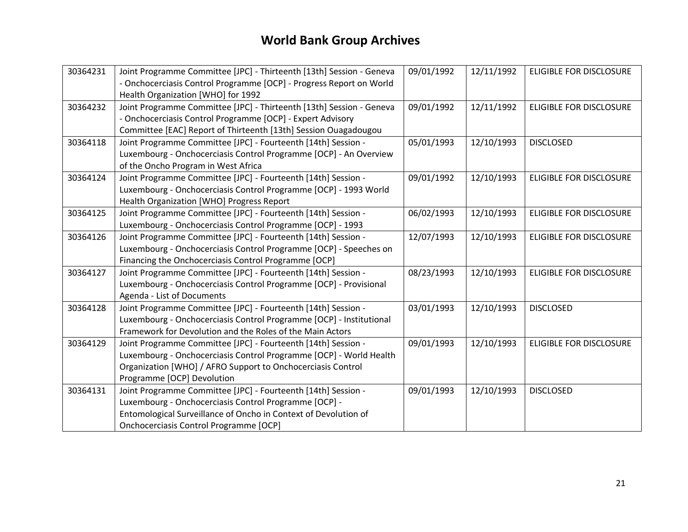| 30364231 | Joint Programme Committee [JPC] - Thirteenth [13th] Session - Geneva | 09/01/1992 | 12/11/1992 | ELIGIBLE FOR DISCLOSURE |
|----------|----------------------------------------------------------------------|------------|------------|-------------------------|
|          | - Onchocerciasis Control Programme [OCP] - Progress Report on World  |            |            |                         |
|          | Health Organization [WHO] for 1992                                   |            |            |                         |
| 30364232 | Joint Programme Committee [JPC] - Thirteenth [13th] Session - Geneva | 09/01/1992 | 12/11/1992 | ELIGIBLE FOR DISCLOSURE |
|          | - Onchocerciasis Control Programme [OCP] - Expert Advisory           |            |            |                         |
|          | Committee [EAC] Report of Thirteenth [13th] Session Ouagadougou      |            |            |                         |
| 30364118 |                                                                      | 05/01/1993 |            | <b>DISCLOSED</b>        |
|          | Joint Programme Committee [JPC] - Fourteenth [14th] Session -        |            | 12/10/1993 |                         |
|          | Luxembourg - Onchocerciasis Control Programme [OCP] - An Overview    |            |            |                         |
|          | of the Oncho Program in West Africa                                  |            |            |                         |
| 30364124 | Joint Programme Committee [JPC] - Fourteenth [14th] Session -        | 09/01/1992 | 12/10/1993 | ELIGIBLE FOR DISCLOSURE |
|          | Luxembourg - Onchocerciasis Control Programme [OCP] - 1993 World     |            |            |                         |
|          | Health Organization [WHO] Progress Report                            |            |            |                         |
| 30364125 | Joint Programme Committee [JPC] - Fourteenth [14th] Session -        | 06/02/1993 | 12/10/1993 | ELIGIBLE FOR DISCLOSURE |
|          | Luxembourg - Onchocerciasis Control Programme [OCP] - 1993           |            |            |                         |
| 30364126 | Joint Programme Committee [JPC] - Fourteenth [14th] Session -        | 12/07/1993 | 12/10/1993 | ELIGIBLE FOR DISCLOSURE |
|          | Luxembourg - Onchocerciasis Control Programme [OCP] - Speeches on    |            |            |                         |
|          | Financing the Onchocerciasis Control Programme [OCP]                 |            |            |                         |
| 30364127 | Joint Programme Committee [JPC] - Fourteenth [14th] Session -        | 08/23/1993 | 12/10/1993 | ELIGIBLE FOR DISCLOSURE |
|          | Luxembourg - Onchocerciasis Control Programme [OCP] - Provisional    |            |            |                         |
|          | Agenda - List of Documents                                           |            |            |                         |
| 30364128 | Joint Programme Committee [JPC] - Fourteenth [14th] Session -        | 03/01/1993 | 12/10/1993 | <b>DISCLOSED</b>        |
|          | Luxembourg - Onchocerciasis Control Programme [OCP] - Institutional  |            |            |                         |
|          | Framework for Devolution and the Roles of the Main Actors            |            |            |                         |
| 30364129 | Joint Programme Committee [JPC] - Fourteenth [14th] Session -        | 09/01/1993 | 12/10/1993 | ELIGIBLE FOR DISCLOSURE |
|          | Luxembourg - Onchocerciasis Control Programme [OCP] - World Health   |            |            |                         |
|          | Organization [WHO] / AFRO Support to Onchocerciasis Control          |            |            |                         |
|          | Programme [OCP] Devolution                                           |            |            |                         |
| 30364131 | Joint Programme Committee [JPC] - Fourteenth [14th] Session -        | 09/01/1993 | 12/10/1993 | <b>DISCLOSED</b>        |
|          |                                                                      |            |            |                         |
|          | Luxembourg - Onchocerciasis Control Programme [OCP] -                |            |            |                         |
|          | Entomological Surveillance of Oncho in Context of Devolution of      |            |            |                         |
|          | Onchocerciasis Control Programme [OCP]                               |            |            |                         |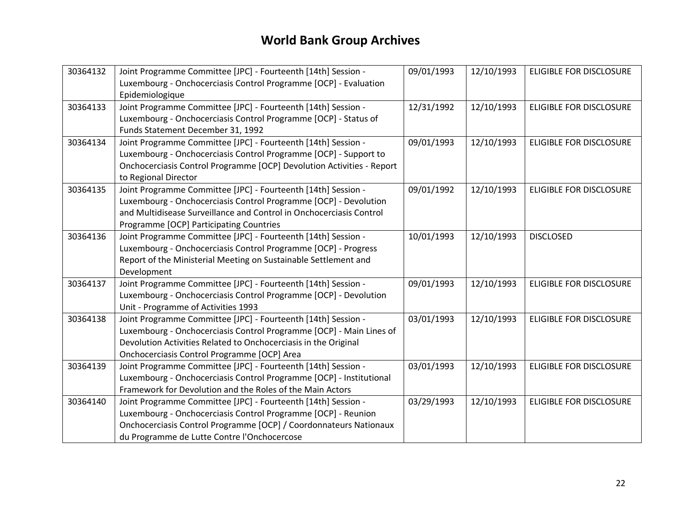| 30364132 | Joint Programme Committee [JPC] - Fourteenth [14th] Session -         | 09/01/1993 | 12/10/1993 | <b>ELIGIBLE FOR DISCLOSURE</b> |
|----------|-----------------------------------------------------------------------|------------|------------|--------------------------------|
|          | Luxembourg - Onchocerciasis Control Programme [OCP] - Evaluation      |            |            |                                |
|          | Epidemiologique                                                       |            |            |                                |
| 30364133 | Joint Programme Committee [JPC] - Fourteenth [14th] Session -         | 12/31/1992 | 12/10/1993 | <b>ELIGIBLE FOR DISCLOSURE</b> |
|          | Luxembourg - Onchocerciasis Control Programme [OCP] - Status of       |            |            |                                |
|          | Funds Statement December 31, 1992                                     |            |            |                                |
| 30364134 | Joint Programme Committee [JPC] - Fourteenth [14th] Session -         | 09/01/1993 | 12/10/1993 | <b>ELIGIBLE FOR DISCLOSURE</b> |
|          | Luxembourg - Onchocerciasis Control Programme [OCP] - Support to      |            |            |                                |
|          | Onchocerciasis Control Programme [OCP] Devolution Activities - Report |            |            |                                |
|          | to Regional Director                                                  |            |            |                                |
| 30364135 | Joint Programme Committee [JPC] - Fourteenth [14th] Session -         | 09/01/1992 | 12/10/1993 | <b>ELIGIBLE FOR DISCLOSURE</b> |
|          | Luxembourg - Onchocerciasis Control Programme [OCP] - Devolution      |            |            |                                |
|          | and Multidisease Surveillance and Control in Onchocerciasis Control   |            |            |                                |
|          | Programme [OCP] Participating Countries                               |            |            |                                |
| 30364136 | Joint Programme Committee [JPC] - Fourteenth [14th] Session -         | 10/01/1993 | 12/10/1993 | <b>DISCLOSED</b>               |
|          | Luxembourg - Onchocerciasis Control Programme [OCP] - Progress        |            |            |                                |
|          | Report of the Ministerial Meeting on Sustainable Settlement and       |            |            |                                |
|          | Development                                                           |            |            |                                |
| 30364137 | Joint Programme Committee [JPC] - Fourteenth [14th] Session -         | 09/01/1993 | 12/10/1993 | <b>ELIGIBLE FOR DISCLOSURE</b> |
|          | Luxembourg - Onchocerciasis Control Programme [OCP] - Devolution      |            |            |                                |
|          | Unit - Programme of Activities 1993                                   |            |            |                                |
| 30364138 | Joint Programme Committee [JPC] - Fourteenth [14th] Session -         | 03/01/1993 | 12/10/1993 | <b>ELIGIBLE FOR DISCLOSURE</b> |
|          | Luxembourg - Onchocerciasis Control Programme [OCP] - Main Lines of   |            |            |                                |
|          | Devolution Activities Related to Onchocerciasis in the Original       |            |            |                                |
|          | Onchocerciasis Control Programme [OCP] Area                           |            |            |                                |
| 30364139 | Joint Programme Committee [JPC] - Fourteenth [14th] Session -         | 03/01/1993 | 12/10/1993 | <b>ELIGIBLE FOR DISCLOSURE</b> |
|          | Luxembourg - Onchocerciasis Control Programme [OCP] - Institutional   |            |            |                                |
|          | Framework for Devolution and the Roles of the Main Actors             |            |            |                                |
| 30364140 | Joint Programme Committee [JPC] - Fourteenth [14th] Session -         | 03/29/1993 | 12/10/1993 | <b>ELIGIBLE FOR DISCLOSURE</b> |
|          | Luxembourg - Onchocerciasis Control Programme [OCP] - Reunion         |            |            |                                |
|          | Onchocerciasis Control Programme [OCP] / Coordonnateurs Nationaux     |            |            |                                |
|          | du Programme de Lutte Contre l'Onchocercose                           |            |            |                                |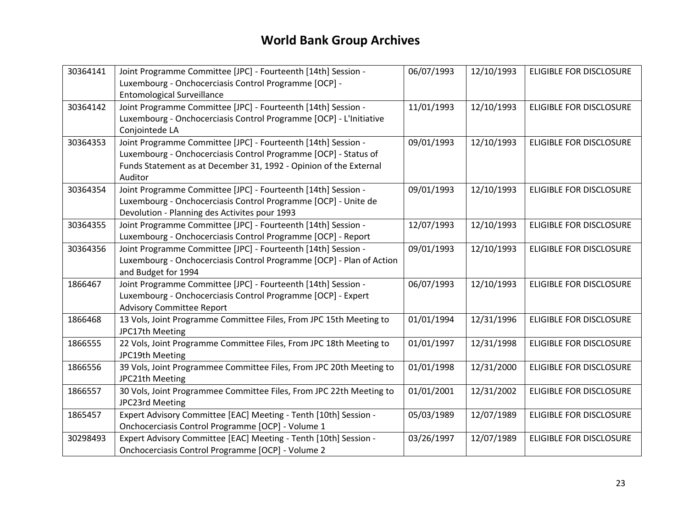| 30364141 | Joint Programme Committee [JPC] - Fourteenth [14th] Session -<br>Luxembourg - Onchocerciasis Control Programme [OCP] - | 06/07/1993 | 12/10/1993 | <b>ELIGIBLE FOR DISCLOSURE</b> |
|----------|------------------------------------------------------------------------------------------------------------------------|------------|------------|--------------------------------|
|          | <b>Entomological Surveillance</b>                                                                                      |            |            |                                |
| 30364142 | Joint Programme Committee [JPC] - Fourteenth [14th] Session -                                                          | 11/01/1993 | 12/10/1993 | <b>ELIGIBLE FOR DISCLOSURE</b> |
|          | Luxembourg - Onchocerciasis Control Programme [OCP] - L'Initiative                                                     |            |            |                                |
|          | Conjointede LA                                                                                                         |            |            |                                |
| 30364353 | Joint Programme Committee [JPC] - Fourteenth [14th] Session -                                                          | 09/01/1993 | 12/10/1993 | <b>ELIGIBLE FOR DISCLOSURE</b> |
|          | Luxembourg - Onchocerciasis Control Programme [OCP] - Status of                                                        |            |            |                                |
|          | Funds Statement as at December 31, 1992 - Opinion of the External                                                      |            |            |                                |
|          | Auditor                                                                                                                |            |            |                                |
| 30364354 | Joint Programme Committee [JPC] - Fourteenth [14th] Session -                                                          | 09/01/1993 | 12/10/1993 | <b>ELIGIBLE FOR DISCLOSURE</b> |
|          | Luxembourg - Onchocerciasis Control Programme [OCP] - Unite de                                                         |            |            |                                |
|          | Devolution - Planning des Activites pour 1993                                                                          |            |            |                                |
| 30364355 | Joint Programme Committee [JPC] - Fourteenth [14th] Session -                                                          | 12/07/1993 | 12/10/1993 | <b>ELIGIBLE FOR DISCLOSURE</b> |
|          | Luxembourg - Onchocerciasis Control Programme [OCP] - Report                                                           |            |            |                                |
| 30364356 | Joint Programme Committee [JPC] - Fourteenth [14th] Session -                                                          | 09/01/1993 | 12/10/1993 | ELIGIBLE FOR DISCLOSURE        |
|          | Luxembourg - Onchocerciasis Control Programme [OCP] - Plan of Action                                                   |            |            |                                |
|          | and Budget for 1994                                                                                                    |            |            |                                |
| 1866467  | Joint Programme Committee [JPC] - Fourteenth [14th] Session -                                                          | 06/07/1993 | 12/10/1993 | <b>ELIGIBLE FOR DISCLOSURE</b> |
|          | Luxembourg - Onchocerciasis Control Programme [OCP] - Expert                                                           |            |            |                                |
|          | <b>Advisory Committee Report</b>                                                                                       |            |            |                                |
| 1866468  | 13 Vols, Joint Programme Committee Files, From JPC 15th Meeting to                                                     | 01/01/1994 | 12/31/1996 | <b>ELIGIBLE FOR DISCLOSURE</b> |
|          | JPC17th Meeting                                                                                                        |            |            |                                |
| 1866555  | 22 Vols, Joint Programme Committee Files, From JPC 18th Meeting to                                                     | 01/01/1997 | 12/31/1998 | <b>ELIGIBLE FOR DISCLOSURE</b> |
|          | JPC19th Meeting                                                                                                        |            |            |                                |
| 1866556  | 39 Vols, Joint Programmee Committee Files, From JPC 20th Meeting to                                                    | 01/01/1998 | 12/31/2000 | <b>ELIGIBLE FOR DISCLOSURE</b> |
|          | JPC21th Meeting                                                                                                        |            |            |                                |
| 1866557  | 30 Vols, Joint Programmee Committee Files, From JPC 22th Meeting to                                                    | 01/01/2001 | 12/31/2002 | ELIGIBLE FOR DISCLOSURE        |
|          | JPC23rd Meeting                                                                                                        |            |            |                                |
| 1865457  | Expert Advisory Committee [EAC] Meeting - Tenth [10th] Session -                                                       | 05/03/1989 | 12/07/1989 | <b>ELIGIBLE FOR DISCLOSURE</b> |
|          | Onchocerciasis Control Programme [OCP] - Volume 1                                                                      |            |            |                                |
| 30298493 | Expert Advisory Committee [EAC] Meeting - Tenth [10th] Session -                                                       | 03/26/1997 | 12/07/1989 | ELIGIBLE FOR DISCLOSURE        |
|          | Onchocerciasis Control Programme [OCP] - Volume 2                                                                      |            |            |                                |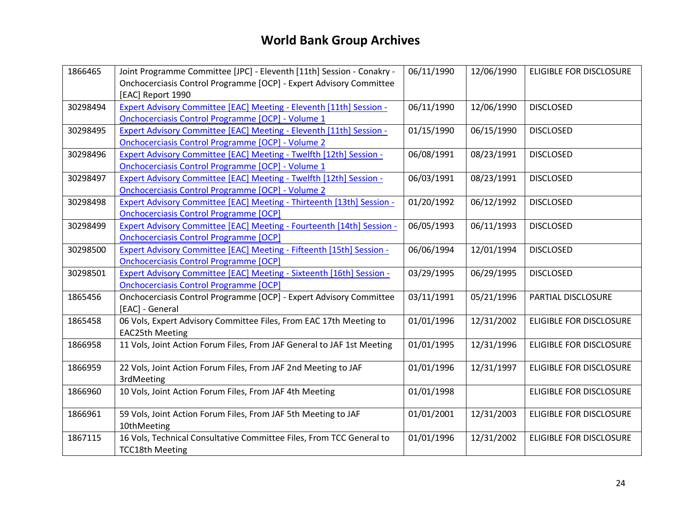| 1866465  | Joint Programme Committee [JPC] - Eleventh [11th] Session - Conakry -  | 06/11/1990 | 12/06/1990 | <b>ELIGIBLE FOR DISCLOSURE</b> |
|----------|------------------------------------------------------------------------|------------|------------|--------------------------------|
|          | Onchocerciasis Control Programme [OCP] - Expert Advisory Committee     |            |            |                                |
|          | [EAC] Report 1990                                                      |            |            |                                |
| 30298494 | Expert Advisory Committee [EAC] Meeting - Eleventh [11th] Session -    | 06/11/1990 | 12/06/1990 | <b>DISCLOSED</b>               |
|          | <b>Onchocerciasis Control Programme [OCP] - Volume 1</b>               |            |            |                                |
| 30298495 | Expert Advisory Committee [EAC] Meeting - Eleventh [11th] Session -    | 01/15/1990 | 06/15/1990 | <b>DISCLOSED</b>               |
|          | Onchocerciasis Control Programme [OCP] - Volume 2                      |            |            |                                |
| 30298496 | Expert Advisory Committee [EAC] Meeting - Twelfth [12th] Session -     | 06/08/1991 | 08/23/1991 | <b>DISCLOSED</b>               |
|          | Onchocerciasis Control Programme [OCP] - Volume 1                      |            |            |                                |
| 30298497 | Expert Advisory Committee [EAC] Meeting - Twelfth [12th] Session -     | 06/03/1991 | 08/23/1991 | <b>DISCLOSED</b>               |
|          | <b>Onchocerciasis Control Programme [OCP] - Volume 2</b>               |            |            |                                |
| 30298498 | Expert Advisory Committee [EAC] Meeting - Thirteenth [13th] Session -  | 01/20/1992 | 06/12/1992 | <b>DISCLOSED</b>               |
|          | <b>Onchocerciasis Control Programme [OCP]</b>                          |            |            |                                |
| 30298499 | Expert Advisory Committee [EAC] Meeting - Fourteenth [14th] Session -  | 06/05/1993 | 06/11/1993 | <b>DISCLOSED</b>               |
|          | <b>Onchocerciasis Control Programme [OCP]</b>                          |            |            |                                |
| 30298500 | Expert Advisory Committee [EAC] Meeting - Fifteenth [15th] Session -   | 06/06/1994 | 12/01/1994 | <b>DISCLOSED</b>               |
|          | <b>Onchocerciasis Control Programme [OCP]</b>                          |            |            |                                |
| 30298501 | Expert Advisory Committee [EAC] Meeting - Sixteenth [16th] Session -   | 03/29/1995 | 06/29/1995 | <b>DISCLOSED</b>               |
|          | <b>Onchocerciasis Control Programme [OCP]</b>                          |            |            |                                |
| 1865456  | Onchocerciasis Control Programme [OCP] - Expert Advisory Committee     | 03/11/1991 | 05/21/1996 | PARTIAL DISCLOSURE             |
|          | [EAC] - General                                                        |            |            |                                |
| 1865458  | 06 Vols, Expert Advisory Committee Files, From EAC 17th Meeting to     | 01/01/1996 | 12/31/2002 | ELIGIBLE FOR DISCLOSURE        |
|          | <b>EAC25th Meeting</b>                                                 |            |            |                                |
| 1866958  | 11 Vols, Joint Action Forum Files, From JAF General to JAF 1st Meeting | 01/01/1995 | 12/31/1996 | <b>ELIGIBLE FOR DISCLOSURE</b> |
|          |                                                                        |            |            |                                |
| 1866959  | 22 Vols, Joint Action Forum Files, From JAF 2nd Meeting to JAF         | 01/01/1996 | 12/31/1997 | <b>ELIGIBLE FOR DISCLOSURE</b> |
|          | 3rdMeeting                                                             |            |            |                                |
| 1866960  | 10 Vols, Joint Action Forum Files, From JAF 4th Meeting                | 01/01/1998 |            | ELIGIBLE FOR DISCLOSURE        |
|          |                                                                        |            |            |                                |
| 1866961  | 59 Vols, Joint Action Forum Files, From JAF 5th Meeting to JAF         | 01/01/2001 | 12/31/2003 | <b>ELIGIBLE FOR DISCLOSURE</b> |
|          | 10thMeeting                                                            |            |            |                                |
| 1867115  | 16 Vols, Technical Consultative Committee Files, From TCC General to   | 01/01/1996 | 12/31/2002 | ELIGIBLE FOR DISCLOSURE        |
|          | <b>TCC18th Meeting</b>                                                 |            |            |                                |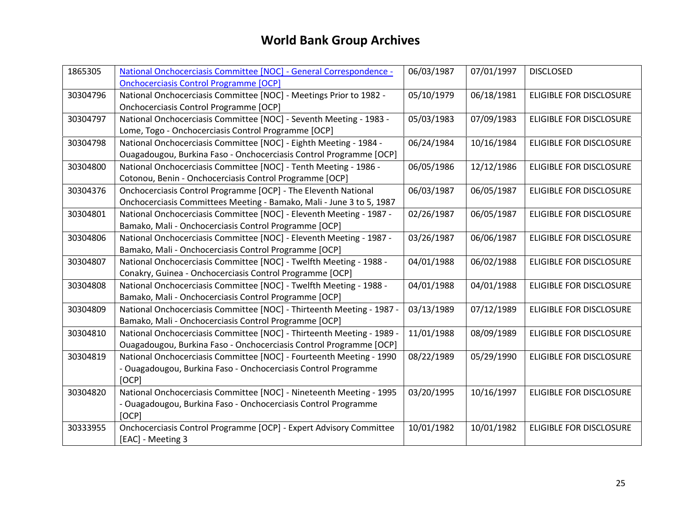| 1865305  | National Onchocerciasis Committee [NOC] - General Correspondence -    | 06/03/1987 | 07/01/1997 | <b>DISCLOSED</b>               |
|----------|-----------------------------------------------------------------------|------------|------------|--------------------------------|
|          | <b>Onchocerciasis Control Programme [OCP]</b>                         |            |            |                                |
| 30304796 | National Onchocerciasis Committee [NOC] - Meetings Prior to 1982 -    | 05/10/1979 | 06/18/1981 | <b>ELIGIBLE FOR DISCLOSURE</b> |
|          | Onchocerciasis Control Programme [OCP]                                |            |            |                                |
| 30304797 | National Onchocerciasis Committee [NOC] - Seventh Meeting - 1983 -    | 05/03/1983 | 07/09/1983 | <b>ELIGIBLE FOR DISCLOSURE</b> |
|          | Lome, Togo - Onchocerciasis Control Programme [OCP]                   |            |            |                                |
| 30304798 | National Onchocerciasis Committee [NOC] - Eighth Meeting - 1984 -     | 06/24/1984 | 10/16/1984 | <b>ELIGIBLE FOR DISCLOSURE</b> |
|          | Ouagadougou, Burkina Faso - Onchocerciasis Control Programme [OCP]    |            |            |                                |
| 30304800 | National Onchocerciasis Committee [NOC] - Tenth Meeting - 1986 -      | 06/05/1986 | 12/12/1986 | <b>ELIGIBLE FOR DISCLOSURE</b> |
|          | Cotonou, Benin - Onchocerciasis Control Programme [OCP]               |            |            |                                |
| 30304376 | Onchocerciasis Control Programme [OCP] - The Eleventh National        | 06/03/1987 | 06/05/1987 | <b>ELIGIBLE FOR DISCLOSURE</b> |
|          | Onchocerciasis Committees Meeting - Bamako, Mali - June 3 to 5, 1987  |            |            |                                |
| 30304801 | National Onchocerciasis Committee [NOC] - Eleventh Meeting - 1987 -   | 02/26/1987 | 06/05/1987 | ELIGIBLE FOR DISCLOSURE        |
|          | Bamako, Mali - Onchocerciasis Control Programme [OCP]                 |            |            |                                |
| 30304806 | National Onchocerciasis Committee [NOC] - Eleventh Meeting - 1987 -   | 03/26/1987 | 06/06/1987 | <b>ELIGIBLE FOR DISCLOSURE</b> |
|          | Bamako, Mali - Onchocerciasis Control Programme [OCP]                 |            |            |                                |
| 30304807 | National Onchocerciasis Committee [NOC] - Twelfth Meeting - 1988 -    | 04/01/1988 | 06/02/1988 | ELIGIBLE FOR DISCLOSURE        |
|          | Conakry, Guinea - Onchocerciasis Control Programme [OCP]              |            |            |                                |
| 30304808 | National Onchocerciasis Committee [NOC] - Twelfth Meeting - 1988 -    | 04/01/1988 | 04/01/1988 | <b>ELIGIBLE FOR DISCLOSURE</b> |
|          | Bamako, Mali - Onchocerciasis Control Programme [OCP]                 |            |            |                                |
| 30304809 | National Onchocerciasis Committee [NOC] - Thirteenth Meeting - 1987 - | 03/13/1989 | 07/12/1989 | <b>ELIGIBLE FOR DISCLOSURE</b> |
|          | Bamako, Mali - Onchocerciasis Control Programme [OCP]                 |            |            |                                |
| 30304810 | National Onchocerciasis Committee [NOC] - Thirteenth Meeting - 1989 - | 11/01/1988 | 08/09/1989 | <b>ELIGIBLE FOR DISCLOSURE</b> |
|          | Ouagadougou, Burkina Faso - Onchocerciasis Control Programme [OCP]    |            |            |                                |
| 30304819 | National Onchocerciasis Committee [NOC] - Fourteenth Meeting - 1990   | 08/22/1989 | 05/29/1990 | <b>ELIGIBLE FOR DISCLOSURE</b> |
|          | - Ouagadougou, Burkina Faso - Onchocerciasis Control Programme        |            |            |                                |
|          | [OCP]                                                                 |            |            |                                |
| 30304820 | National Onchocerciasis Committee [NOC] - Nineteenth Meeting - 1995   | 03/20/1995 | 10/16/1997 | <b>ELIGIBLE FOR DISCLOSURE</b> |
|          | - Ouagadougou, Burkina Faso - Onchocerciasis Control Programme        |            |            |                                |
|          | [OCP]                                                                 |            |            |                                |
| 30333955 | Onchocerciasis Control Programme [OCP] - Expert Advisory Committee    | 10/01/1982 | 10/01/1982 | <b>ELIGIBLE FOR DISCLOSURE</b> |
|          | [EAC] - Meeting 3                                                     |            |            |                                |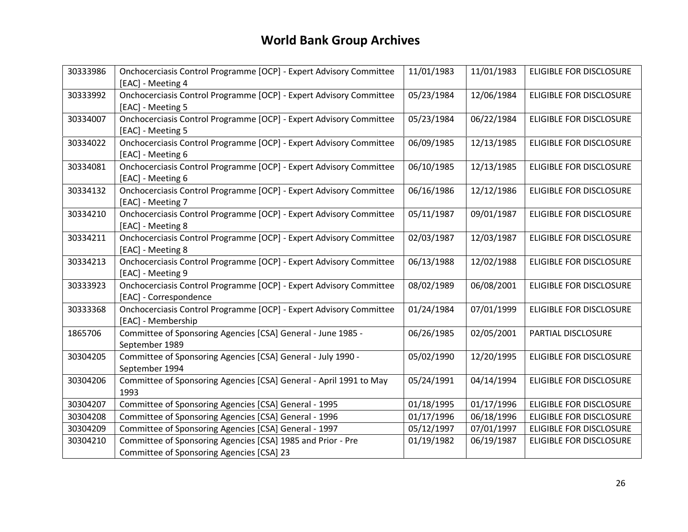| 30333986 | Onchocerciasis Control Programme [OCP] - Expert Advisory Committee<br>[EAC] - Meeting 4      | 11/01/1983 | 11/01/1983 | ELIGIBLE FOR DISCLOSURE        |
|----------|----------------------------------------------------------------------------------------------|------------|------------|--------------------------------|
| 30333992 | Onchocerciasis Control Programme [OCP] - Expert Advisory Committee                           | 05/23/1984 | 12/06/1984 | ELIGIBLE FOR DISCLOSURE        |
| 30334007 | [EAC] - Meeting 5<br>Onchocerciasis Control Programme [OCP] - Expert Advisory Committee      | 05/23/1984 | 06/22/1984 | ELIGIBLE FOR DISCLOSURE        |
|          | [EAC] - Meeting 5                                                                            |            |            |                                |
| 30334022 | Onchocerciasis Control Programme [OCP] - Expert Advisory Committee<br>[EAC] - Meeting 6      | 06/09/1985 | 12/13/1985 | ELIGIBLE FOR DISCLOSURE        |
| 30334081 | Onchocerciasis Control Programme [OCP] - Expert Advisory Committee<br>[EAC] - Meeting 6      | 06/10/1985 | 12/13/1985 | ELIGIBLE FOR DISCLOSURE        |
| 30334132 | Onchocerciasis Control Programme [OCP] - Expert Advisory Committee<br>[EAC] - Meeting 7      | 06/16/1986 | 12/12/1986 | <b>ELIGIBLE FOR DISCLOSURE</b> |
| 30334210 | Onchocerciasis Control Programme [OCP] - Expert Advisory Committee<br>[EAC] - Meeting 8      | 05/11/1987 | 09/01/1987 | ELIGIBLE FOR DISCLOSURE        |
| 30334211 | Onchocerciasis Control Programme [OCP] - Expert Advisory Committee<br>[EAC] - Meeting 8      | 02/03/1987 | 12/03/1987 | ELIGIBLE FOR DISCLOSURE        |
| 30334213 | Onchocerciasis Control Programme [OCP] - Expert Advisory Committee<br>[EAC] - Meeting 9      | 06/13/1988 | 12/02/1988 | ELIGIBLE FOR DISCLOSURE        |
| 30333923 | Onchocerciasis Control Programme [OCP] - Expert Advisory Committee<br>[EAC] - Correspondence | 08/02/1989 | 06/08/2001 | ELIGIBLE FOR DISCLOSURE        |
| 30333368 | Onchocerciasis Control Programme [OCP] - Expert Advisory Committee<br>[EAC] - Membership     | 01/24/1984 | 07/01/1999 | ELIGIBLE FOR DISCLOSURE        |
| 1865706  | Committee of Sponsoring Agencies [CSA] General - June 1985 -<br>September 1989               | 06/26/1985 | 02/05/2001 | PARTIAL DISCLOSURE             |
| 30304205 | Committee of Sponsoring Agencies [CSA] General - July 1990 -<br>September 1994               | 05/02/1990 | 12/20/1995 | <b>ELIGIBLE FOR DISCLOSURE</b> |
| 30304206 | Committee of Sponsoring Agencies [CSA] General - April 1991 to May<br>1993                   | 05/24/1991 | 04/14/1994 | ELIGIBLE FOR DISCLOSURE        |
| 30304207 | Committee of Sponsoring Agencies [CSA] General - 1995                                        | 01/18/1995 | 01/17/1996 | ELIGIBLE FOR DISCLOSURE        |
| 30304208 | Committee of Sponsoring Agencies [CSA] General - 1996                                        | 01/17/1996 | 06/18/1996 | ELIGIBLE FOR DISCLOSURE        |
| 30304209 | Committee of Sponsoring Agencies [CSA] General - 1997                                        | 05/12/1997 | 07/01/1997 | ELIGIBLE FOR DISCLOSURE        |
| 30304210 | Committee of Sponsoring Agencies [CSA] 1985 and Prior - Pre                                  | 01/19/1982 | 06/19/1987 | <b>ELIGIBLE FOR DISCLOSURE</b> |
|          | Committee of Sponsoring Agencies [CSA] 23                                                    |            |            |                                |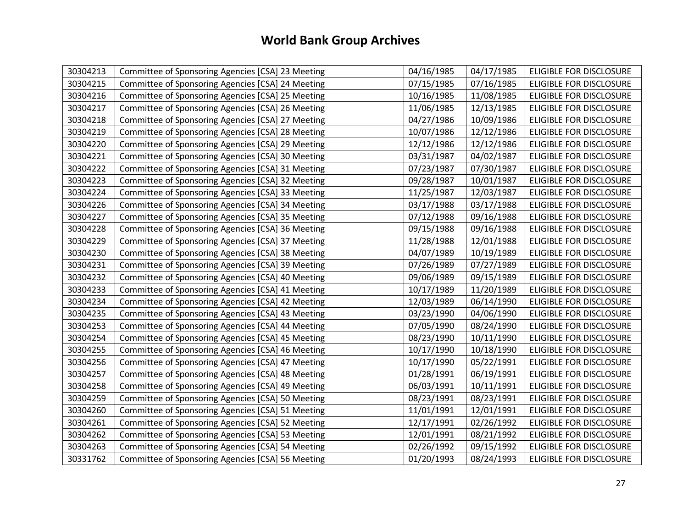| 30304213 | Committee of Sponsoring Agencies [CSA] 23 Meeting | 04/16/1985 | 04/17/1985 | <b>ELIGIBLE FOR DISCLOSURE</b> |
|----------|---------------------------------------------------|------------|------------|--------------------------------|
| 30304215 | Committee of Sponsoring Agencies [CSA] 24 Meeting | 07/15/1985 | 07/16/1985 | <b>ELIGIBLE FOR DISCLOSURE</b> |
| 30304216 | Committee of Sponsoring Agencies [CSA] 25 Meeting | 10/16/1985 | 11/08/1985 | ELIGIBLE FOR DISCLOSURE        |
| 30304217 | Committee of Sponsoring Agencies [CSA] 26 Meeting | 11/06/1985 | 12/13/1985 | <b>ELIGIBLE FOR DISCLOSURE</b> |
| 30304218 | Committee of Sponsoring Agencies [CSA] 27 Meeting | 04/27/1986 | 10/09/1986 | <b>ELIGIBLE FOR DISCLOSURE</b> |
| 30304219 | Committee of Sponsoring Agencies [CSA] 28 Meeting | 10/07/1986 | 12/12/1986 | ELIGIBLE FOR DISCLOSURE        |
| 30304220 | Committee of Sponsoring Agencies [CSA] 29 Meeting | 12/12/1986 | 12/12/1986 | ELIGIBLE FOR DISCLOSURE        |
| 30304221 | Committee of Sponsoring Agencies [CSA] 30 Meeting | 03/31/1987 | 04/02/1987 | <b>ELIGIBLE FOR DISCLOSURE</b> |
| 30304222 | Committee of Sponsoring Agencies [CSA] 31 Meeting | 07/23/1987 | 07/30/1987 | ELIGIBLE FOR DISCLOSURE        |
| 30304223 | Committee of Sponsoring Agencies [CSA] 32 Meeting | 09/28/1987 | 10/01/1987 | <b>ELIGIBLE FOR DISCLOSURE</b> |
| 30304224 | Committee of Sponsoring Agencies [CSA] 33 Meeting | 11/25/1987 | 12/03/1987 | ELIGIBLE FOR DISCLOSURE        |
| 30304226 | Committee of Sponsoring Agencies [CSA] 34 Meeting | 03/17/1988 | 03/17/1988 | ELIGIBLE FOR DISCLOSURE        |
| 30304227 | Committee of Sponsoring Agencies [CSA] 35 Meeting | 07/12/1988 | 09/16/1988 | ELIGIBLE FOR DISCLOSURE        |
| 30304228 | Committee of Sponsoring Agencies [CSA] 36 Meeting | 09/15/1988 | 09/16/1988 | ELIGIBLE FOR DISCLOSURE        |
| 30304229 | Committee of Sponsoring Agencies [CSA] 37 Meeting | 11/28/1988 | 12/01/1988 | ELIGIBLE FOR DISCLOSURE        |
| 30304230 | Committee of Sponsoring Agencies [CSA] 38 Meeting | 04/07/1989 | 10/19/1989 | <b>ELIGIBLE FOR DISCLOSURE</b> |
| 30304231 | Committee of Sponsoring Agencies [CSA] 39 Meeting | 07/26/1989 | 07/27/1989 | ELIGIBLE FOR DISCLOSURE        |
| 30304232 | Committee of Sponsoring Agencies [CSA] 40 Meeting | 09/06/1989 | 09/15/1989 | ELIGIBLE FOR DISCLOSURE        |
| 30304233 | Committee of Sponsoring Agencies [CSA] 41 Meeting | 10/17/1989 | 11/20/1989 | ELIGIBLE FOR DISCLOSURE        |
| 30304234 | Committee of Sponsoring Agencies [CSA] 42 Meeting | 12/03/1989 | 06/14/1990 | <b>ELIGIBLE FOR DISCLOSURE</b> |
| 30304235 | Committee of Sponsoring Agencies [CSA] 43 Meeting | 03/23/1990 | 04/06/1990 | ELIGIBLE FOR DISCLOSURE        |
| 30304253 | Committee of Sponsoring Agencies [CSA] 44 Meeting | 07/05/1990 | 08/24/1990 | ELIGIBLE FOR DISCLOSURE        |
| 30304254 | Committee of Sponsoring Agencies [CSA] 45 Meeting | 08/23/1990 | 10/11/1990 | <b>ELIGIBLE FOR DISCLOSURE</b> |
| 30304255 | Committee of Sponsoring Agencies [CSA] 46 Meeting | 10/17/1990 | 10/18/1990 | <b>ELIGIBLE FOR DISCLOSURE</b> |
| 30304256 | Committee of Sponsoring Agencies [CSA] 47 Meeting | 10/17/1990 | 05/22/1991 | ELIGIBLE FOR DISCLOSURE        |
| 30304257 | Committee of Sponsoring Agencies [CSA] 48 Meeting | 01/28/1991 | 06/19/1991 | ELIGIBLE FOR DISCLOSURE        |
| 30304258 | Committee of Sponsoring Agencies [CSA] 49 Meeting | 06/03/1991 | 10/11/1991 | ELIGIBLE FOR DISCLOSURE        |
| 30304259 | Committee of Sponsoring Agencies [CSA] 50 Meeting | 08/23/1991 | 08/23/1991 | ELIGIBLE FOR DISCLOSURE        |
| 30304260 | Committee of Sponsoring Agencies [CSA] 51 Meeting | 11/01/1991 | 12/01/1991 | <b>ELIGIBLE FOR DISCLOSURE</b> |
| 30304261 | Committee of Sponsoring Agencies [CSA] 52 Meeting | 12/17/1991 | 02/26/1992 | ELIGIBLE FOR DISCLOSURE        |
| 30304262 | Committee of Sponsoring Agencies [CSA] 53 Meeting | 12/01/1991 | 08/21/1992 | <b>ELIGIBLE FOR DISCLOSURE</b> |
| 30304263 | Committee of Sponsoring Agencies [CSA] 54 Meeting | 02/26/1992 | 09/15/1992 | ELIGIBLE FOR DISCLOSURE        |
| 30331762 | Committee of Sponsoring Agencies [CSA] 56 Meeting | 01/20/1993 | 08/24/1993 | <b>ELIGIBLE FOR DISCLOSURE</b> |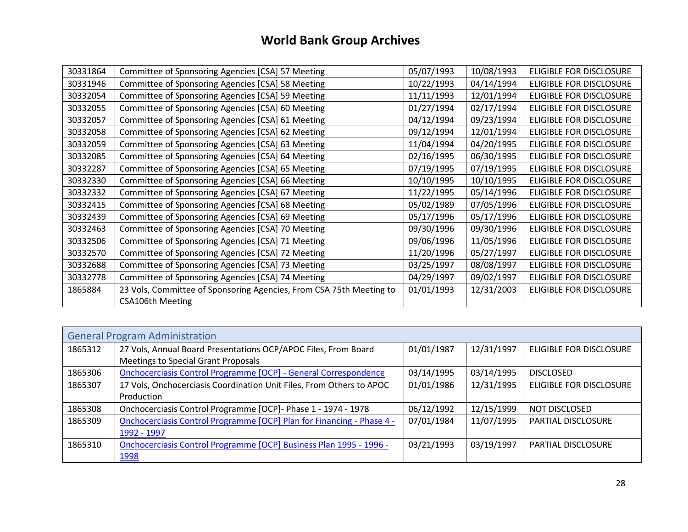| 30331864 | Committee of Sponsoring Agencies [CSA] 57 Meeting                   | 05/07/1993 | 10/08/1993 | ELIGIBLE FOR DISCLOSURE        |
|----------|---------------------------------------------------------------------|------------|------------|--------------------------------|
| 30331946 | Committee of Sponsoring Agencies [CSA] 58 Meeting                   | 10/22/1993 | 04/14/1994 | ELIGIBLE FOR DISCLOSURE        |
| 30332054 | Committee of Sponsoring Agencies [CSA] 59 Meeting                   | 11/11/1993 | 12/01/1994 | ELIGIBLE FOR DISCLOSURE        |
| 30332055 | Committee of Sponsoring Agencies [CSA] 60 Meeting                   | 01/27/1994 | 02/17/1994 | ELIGIBLE FOR DISCLOSURE        |
| 30332057 | Committee of Sponsoring Agencies [CSA] 61 Meeting                   | 04/12/1994 | 09/23/1994 | ELIGIBLE FOR DISCLOSURE        |
| 30332058 | Committee of Sponsoring Agencies [CSA] 62 Meeting                   | 09/12/1994 | 12/01/1994 | ELIGIBLE FOR DISCLOSURE        |
| 30332059 | Committee of Sponsoring Agencies [CSA] 63 Meeting                   | 11/04/1994 | 04/20/1995 | ELIGIBLE FOR DISCLOSURE        |
| 30332085 | Committee of Sponsoring Agencies [CSA] 64 Meeting                   | 02/16/1995 | 06/30/1995 | ELIGIBLE FOR DISCLOSURE        |
| 30332287 | Committee of Sponsoring Agencies [CSA] 65 Meeting                   | 07/19/1995 | 07/19/1995 | ELIGIBLE FOR DISCLOSURE        |
| 30332330 | Committee of Sponsoring Agencies [CSA] 66 Meeting                   | 10/10/1995 | 10/10/1995 | ELIGIBLE FOR DISCLOSURE        |
| 30332332 | Committee of Sponsoring Agencies [CSA] 67 Meeting                   | 11/22/1995 | 05/14/1996 | ELIGIBLE FOR DISCLOSURE        |
| 30332415 | Committee of Sponsoring Agencies [CSA] 68 Meeting                   | 05/02/1989 | 07/05/1996 | ELIGIBLE FOR DISCLOSURE        |
| 30332439 | Committee of Sponsoring Agencies [CSA] 69 Meeting                   | 05/17/1996 | 05/17/1996 | ELIGIBLE FOR DISCLOSURE        |
| 30332463 | Committee of Sponsoring Agencies [CSA] 70 Meeting                   | 09/30/1996 | 09/30/1996 | ELIGIBLE FOR DISCLOSURE        |
| 30332506 | Committee of Sponsoring Agencies [CSA] 71 Meeting                   | 09/06/1996 | 11/05/1996 | ELIGIBLE FOR DISCLOSURE        |
| 30332570 | Committee of Sponsoring Agencies [CSA] 72 Meeting                   | 11/20/1996 | 05/27/1997 | <b>ELIGIBLE FOR DISCLOSURE</b> |
| 30332688 | Committee of Sponsoring Agencies [CSA] 73 Meeting                   | 03/25/1997 | 08/08/1997 | ELIGIBLE FOR DISCLOSURE        |
| 30332778 | Committee of Sponsoring Agencies [CSA] 74 Meeting                   | 04/29/1997 | 09/02/1997 | ELIGIBLE FOR DISCLOSURE        |
| 1865884  | 23 Vols, Committee of Sponsoring Agencies, From CSA 75th Meeting to | 01/01/1993 | 12/31/2003 | ELIGIBLE FOR DISCLOSURE        |
|          | <b>CSA106th Meeting</b>                                             |            |            |                                |

<span id="page-27-0"></span>

| <b>General Program Administration</b> |                                                                        |            |            |                           |  |
|---------------------------------------|------------------------------------------------------------------------|------------|------------|---------------------------|--|
| 1865312                               | 27 Vols, Annual Board Presentations OCP/APOC Files, From Board         | 01/01/1987 | 12/31/1997 | ELIGIBLE FOR DISCLOSURE   |  |
|                                       | Meetings to Special Grant Proposals                                    |            |            |                           |  |
| 1865306                               | <b>Onchocerciasis Control Programme [OCP] - General Correspondence</b> | 03/14/1995 | 03/14/1995 | <b>DISCLOSED</b>          |  |
| 1865307                               | 17 Vols, Onchocerciasis Coordination Unit Files, From Others to APOC   | 01/01/1986 | 12/31/1995 | ELIGIBLE FOR DISCLOSURE   |  |
|                                       | Production                                                             |            |            |                           |  |
| 1865308                               | Onchocerciasis Control Programme [OCP] - Phase 1 - 1974 - 1978         | 06/12/1992 | 12/15/1999 | NOT DISCLOSED             |  |
| 1865309                               | Onchocerciasis Control Programme [OCP] Plan for Financing - Phase 4 -  | 07/01/1984 | 11/07/1995 | PARTIAL DISCLOSURE        |  |
|                                       | 1992 - 1997                                                            |            |            |                           |  |
| 1865310                               | Onchocerciasis Control Programme [OCP] Business Plan 1995 - 1996 -     | 03/21/1993 | 03/19/1997 | <b>PARTIAL DISCLOSURE</b> |  |
|                                       | 1998                                                                   |            |            |                           |  |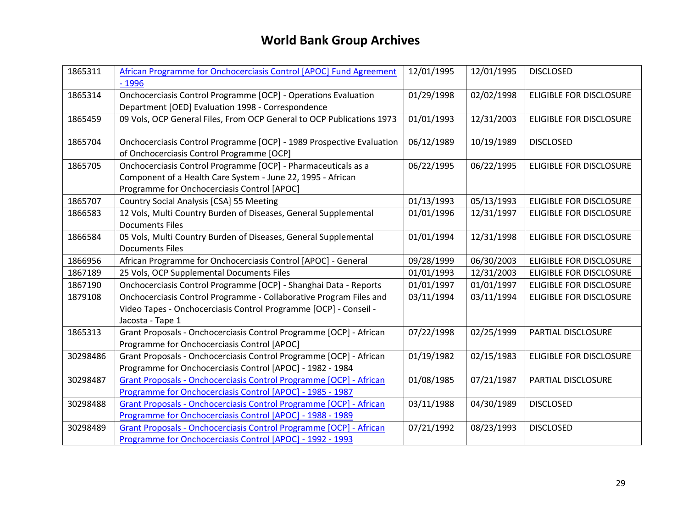| 1865311  | African Programme for Onchocerciasis Control [APOC] Fund Agreement    | 12/01/1995 | 12/01/1995 | <b>DISCLOSED</b>               |
|----------|-----------------------------------------------------------------------|------------|------------|--------------------------------|
|          | $-1996$                                                               |            |            |                                |
| 1865314  | Onchocerciasis Control Programme [OCP] - Operations Evaluation        | 01/29/1998 | 02/02/1998 | <b>ELIGIBLE FOR DISCLOSURE</b> |
|          | Department [OED] Evaluation 1998 - Correspondence                     |            |            |                                |
| 1865459  | 09 Vols, OCP General Files, From OCP General to OCP Publications 1973 | 01/01/1993 | 12/31/2003 | ELIGIBLE FOR DISCLOSURE        |
|          |                                                                       |            |            |                                |
| 1865704  | Onchocerciasis Control Programme [OCP] - 1989 Prospective Evaluation  | 06/12/1989 | 10/19/1989 | <b>DISCLOSED</b>               |
|          | of Onchocerciasis Control Programme [OCP]                             |            |            |                                |
| 1865705  | Onchocerciasis Control Programme [OCP] - Pharmaceuticals as a         | 06/22/1995 | 06/22/1995 | <b>ELIGIBLE FOR DISCLOSURE</b> |
|          | Component of a Health Care System - June 22, 1995 - African           |            |            |                                |
|          | Programme for Onchocerciasis Control [APOC]                           |            |            |                                |
| 1865707  | Country Social Analysis [CSA] 55 Meeting                              | 01/13/1993 | 05/13/1993 | <b>ELIGIBLE FOR DISCLOSURE</b> |
| 1866583  | 12 Vols, Multi Country Burden of Diseases, General Supplemental       | 01/01/1996 | 12/31/1997 | ELIGIBLE FOR DISCLOSURE        |
|          | <b>Documents Files</b>                                                |            |            |                                |
| 1866584  | 05 Vols, Multi Country Burden of Diseases, General Supplemental       | 01/01/1994 | 12/31/1998 | <b>ELIGIBLE FOR DISCLOSURE</b> |
|          | <b>Documents Files</b>                                                |            |            |                                |
| 1866956  | African Programme for Onchocerciasis Control [APOC] - General         | 09/28/1999 | 06/30/2003 | <b>ELIGIBLE FOR DISCLOSURE</b> |
| 1867189  | 25 Vols, OCP Supplemental Documents Files                             | 01/01/1993 | 12/31/2003 | <b>ELIGIBLE FOR DISCLOSURE</b> |
| 1867190  | Onchocerciasis Control Programme [OCP] - Shanghai Data - Reports      | 01/01/1997 | 01/01/1997 | ELIGIBLE FOR DISCLOSURE        |
| 1879108  | Onchocerciasis Control Programme - Collaborative Program Files and    | 03/11/1994 | 03/11/1994 | <b>ELIGIBLE FOR DISCLOSURE</b> |
|          | Video Tapes - Onchocerciasis Control Programme [OCP] - Conseil -      |            |            |                                |
|          | Jacosta - Tape 1                                                      |            |            |                                |
| 1865313  | Grant Proposals - Onchocerciasis Control Programme [OCP] - African    | 07/22/1998 | 02/25/1999 | PARTIAL DISCLOSURE             |
|          | Programme for Onchocerciasis Control [APOC]                           |            |            |                                |
| 30298486 | Grant Proposals - Onchocerciasis Control Programme [OCP] - African    | 01/19/1982 | 02/15/1983 | ELIGIBLE FOR DISCLOSURE        |
|          | Programme for Onchocerciasis Control [APOC] - 1982 - 1984             |            |            |                                |
| 30298487 | Grant Proposals - Onchocerciasis Control Programme [OCP] - African    | 01/08/1985 | 07/21/1987 | PARTIAL DISCLOSURE             |
|          | Programme for Onchocerciasis Control [APOC] - 1985 - 1987             |            |            |                                |
| 30298488 | Grant Proposals - Onchocerciasis Control Programme [OCP] - African    | 03/11/1988 | 04/30/1989 | <b>DISCLOSED</b>               |
|          | Programme for Onchocerciasis Control [APOC] - 1988 - 1989             |            |            |                                |
| 30298489 | Grant Proposals - Onchocerciasis Control Programme [OCP] - African    | 07/21/1992 | 08/23/1993 | <b>DISCLOSED</b>               |
|          | Programme for Onchocerciasis Control [APOC] - 1992 - 1993             |            |            |                                |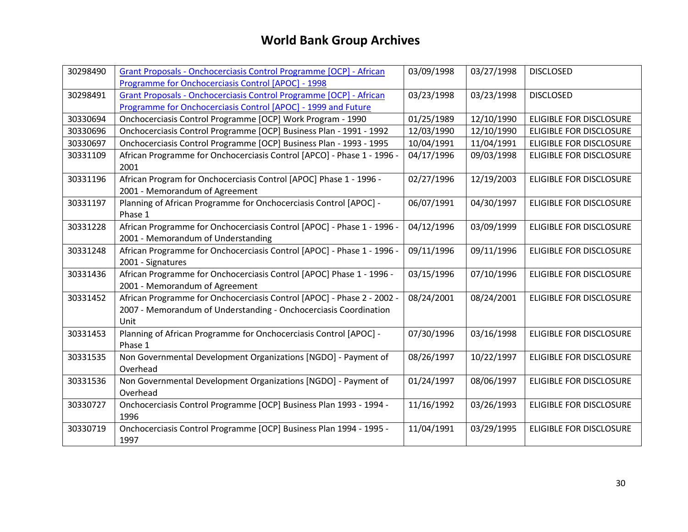| 30298490 | Grant Proposals - Onchocerciasis Control Programme [OCP] - African     | 03/09/1998 | 03/27/1998 | <b>DISCLOSED</b>               |
|----------|------------------------------------------------------------------------|------------|------------|--------------------------------|
|          | Programme for Onchocerciasis Control [APOC] - 1998                     |            |            |                                |
| 30298491 | Grant Proposals - Onchocerciasis Control Programme [OCP] - African     | 03/23/1998 | 03/23/1998 | <b>DISCLOSED</b>               |
|          | Programme for Onchocerciasis Control [APOC] - 1999 and Future          |            |            |                                |
| 30330694 | Onchocerciasis Control Programme [OCP] Work Program - 1990             | 01/25/1989 | 12/10/1990 | <b>ELIGIBLE FOR DISCLOSURE</b> |
| 30330696 | Onchocerciasis Control Programme [OCP] Business Plan - 1991 - 1992     | 12/03/1990 | 12/10/1990 | <b>ELIGIBLE FOR DISCLOSURE</b> |
| 30330697 | Onchocerciasis Control Programme [OCP] Business Plan - 1993 - 1995     | 10/04/1991 | 11/04/1991 | ELIGIBLE FOR DISCLOSURE        |
| 30331109 | African Programme for Onchocerciasis Control [APCO] - Phase 1 - 1996 - | 04/17/1996 | 09/03/1998 | <b>ELIGIBLE FOR DISCLOSURE</b> |
|          | 2001                                                                   |            |            |                                |
| 30331196 | African Program for Onchocerciasis Control [APOC] Phase 1 - 1996 -     | 02/27/1996 | 12/19/2003 | <b>ELIGIBLE FOR DISCLOSURE</b> |
|          | 2001 - Memorandum of Agreement                                         |            |            |                                |
| 30331197 | Planning of African Programme for Onchocerciasis Control [APOC] -      | 06/07/1991 | 04/30/1997 | <b>ELIGIBLE FOR DISCLOSURE</b> |
|          | Phase 1                                                                |            |            |                                |
| 30331228 | African Programme for Onchocerciasis Control [APOC] - Phase 1 - 1996 - | 04/12/1996 | 03/09/1999 | <b>ELIGIBLE FOR DISCLOSURE</b> |
|          | 2001 - Memorandum of Understanding                                     |            |            |                                |
| 30331248 | African Programme for Onchocerciasis Control [APOC] - Phase 1 - 1996 - | 09/11/1996 | 09/11/1996 | <b>ELIGIBLE FOR DISCLOSURE</b> |
|          | 2001 - Signatures                                                      |            |            |                                |
| 30331436 | African Programme for Onchocerciasis Control [APOC] Phase 1 - 1996 -   | 03/15/1996 | 07/10/1996 | <b>ELIGIBLE FOR DISCLOSURE</b> |
|          | 2001 - Memorandum of Agreement                                         |            |            |                                |
| 30331452 | African Programme for Onchocerciasis Control [APOC] - Phase 2 - 2002 - | 08/24/2001 | 08/24/2001 | <b>ELIGIBLE FOR DISCLOSURE</b> |
|          | 2007 - Memorandum of Understanding - Onchocerciasis Coordination       |            |            |                                |
|          | Unit                                                                   |            |            |                                |
| 30331453 | Planning of African Programme for Onchocerciasis Control [APOC] -      | 07/30/1996 | 03/16/1998 | <b>ELIGIBLE FOR DISCLOSURE</b> |
|          | Phase 1                                                                |            |            |                                |
| 30331535 | Non Governmental Development Organizations [NGDO] - Payment of         | 08/26/1997 | 10/22/1997 | <b>ELIGIBLE FOR DISCLOSURE</b> |
|          | Overhead                                                               |            |            |                                |
| 30331536 | Non Governmental Development Organizations [NGDO] - Payment of         | 01/24/1997 | 08/06/1997 | <b>ELIGIBLE FOR DISCLOSURE</b> |
|          | Overhead                                                               |            |            |                                |
| 30330727 | Onchocerciasis Control Programme [OCP] Business Plan 1993 - 1994 -     | 11/16/1992 | 03/26/1993 | <b>ELIGIBLE FOR DISCLOSURE</b> |
|          | 1996                                                                   |            |            |                                |
| 30330719 | Onchocerciasis Control Programme [OCP] Business Plan 1994 - 1995 -     | 11/04/1991 | 03/29/1995 | <b>ELIGIBLE FOR DISCLOSURE</b> |
|          | 1997                                                                   |            |            |                                |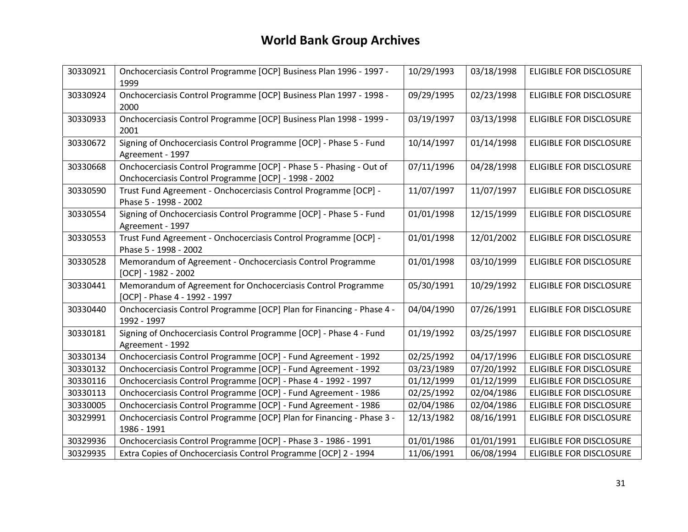| 30330921 | Onchocerciasis Control Programme [OCP] Business Plan 1996 - 1997 -<br>1999                                                  | 10/29/1993 | 03/18/1998 | <b>ELIGIBLE FOR DISCLOSURE</b> |
|----------|-----------------------------------------------------------------------------------------------------------------------------|------------|------------|--------------------------------|
| 30330924 | Onchocerciasis Control Programme [OCP] Business Plan 1997 - 1998 -<br>2000                                                  | 09/29/1995 | 02/23/1998 | <b>ELIGIBLE FOR DISCLOSURE</b> |
| 30330933 | Onchocerciasis Control Programme [OCP] Business Plan 1998 - 1999 -<br>2001                                                  | 03/19/1997 | 03/13/1998 | <b>ELIGIBLE FOR DISCLOSURE</b> |
| 30330672 | Signing of Onchocerciasis Control Programme [OCP] - Phase 5 - Fund<br>Agreement - 1997                                      | 10/14/1997 | 01/14/1998 | <b>ELIGIBLE FOR DISCLOSURE</b> |
| 30330668 | Onchocerciasis Control Programme [OCP] - Phase 5 - Phasing - Out of<br>Onchocerciasis Control Programme [OCP] - 1998 - 2002 | 07/11/1996 | 04/28/1998 | <b>ELIGIBLE FOR DISCLOSURE</b> |
| 30330590 | Trust Fund Agreement - Onchocerciasis Control Programme [OCP] -<br>Phase 5 - 1998 - 2002                                    | 11/07/1997 | 11/07/1997 | <b>ELIGIBLE FOR DISCLOSURE</b> |
| 30330554 | Signing of Onchocerciasis Control Programme [OCP] - Phase 5 - Fund<br>Agreement - 1997                                      | 01/01/1998 | 12/15/1999 | <b>ELIGIBLE FOR DISCLOSURE</b> |
| 30330553 | Trust Fund Agreement - Onchocerciasis Control Programme [OCP] -<br>Phase 5 - 1998 - 2002                                    | 01/01/1998 | 12/01/2002 | <b>ELIGIBLE FOR DISCLOSURE</b> |
| 30330528 | Memorandum of Agreement - Onchocerciasis Control Programme<br>$[OCP] - 1982 - 2002$                                         | 01/01/1998 | 03/10/1999 | <b>ELIGIBLE FOR DISCLOSURE</b> |
| 30330441 | Memorandum of Agreement for Onchocerciasis Control Programme<br>[OCP] - Phase 4 - 1992 - 1997                               | 05/30/1991 | 10/29/1992 | <b>ELIGIBLE FOR DISCLOSURE</b> |
| 30330440 | Onchocerciasis Control Programme [OCP] Plan for Financing - Phase 4 -<br>1992 - 1997                                        | 04/04/1990 | 07/26/1991 | <b>ELIGIBLE FOR DISCLOSURE</b> |
| 30330181 | Signing of Onchocerciasis Control Programme [OCP] - Phase 4 - Fund<br>Agreement - 1992                                      | 01/19/1992 | 03/25/1997 | <b>ELIGIBLE FOR DISCLOSURE</b> |
| 30330134 | Onchocerciasis Control Programme [OCP] - Fund Agreement - 1992                                                              | 02/25/1992 | 04/17/1996 | <b>ELIGIBLE FOR DISCLOSURE</b> |
| 30330132 | Onchocerciasis Control Programme [OCP] - Fund Agreement - 1992                                                              | 03/23/1989 | 07/20/1992 | <b>ELIGIBLE FOR DISCLOSURE</b> |
| 30330116 | Onchocerciasis Control Programme [OCP] - Phase 4 - 1992 - 1997                                                              | 01/12/1999 | 01/12/1999 | <b>ELIGIBLE FOR DISCLOSURE</b> |
| 30330113 | Onchocerciasis Control Programme [OCP] - Fund Agreement - 1986                                                              | 02/25/1992 | 02/04/1986 | ELIGIBLE FOR DISCLOSURE        |
| 30330005 | Onchocerciasis Control Programme [OCP] - Fund Agreement - 1986                                                              | 02/04/1986 | 02/04/1986 | <b>ELIGIBLE FOR DISCLOSURE</b> |
| 30329991 | Onchocerciasis Control Programme [OCP] Plan for Financing - Phase 3 -<br>1986 - 1991                                        | 12/13/1982 | 08/16/1991 | <b>ELIGIBLE FOR DISCLOSURE</b> |
| 30329936 | Onchocerciasis Control Programme [OCP] - Phase 3 - 1986 - 1991                                                              | 01/01/1986 | 01/01/1991 | <b>ELIGIBLE FOR DISCLOSURE</b> |
| 30329935 | Extra Copies of Onchocerciasis Control Programme [OCP] 2 - 1994                                                             | 11/06/1991 | 06/08/1994 | <b>ELIGIBLE FOR DISCLOSURE</b> |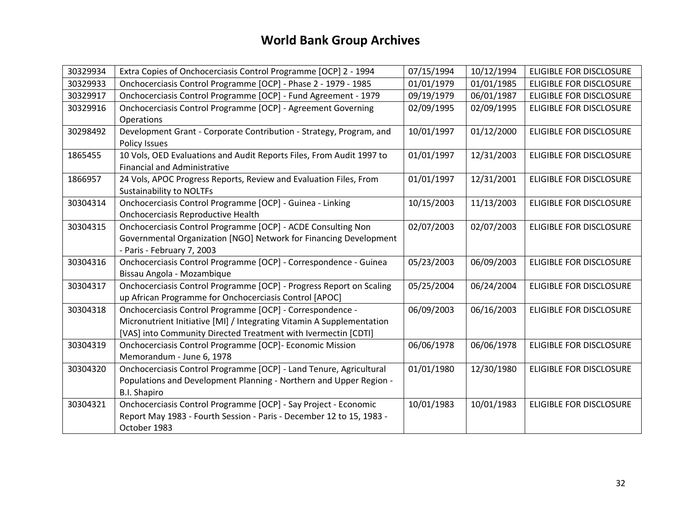| 30329934 | Extra Copies of Onchocerciasis Control Programme [OCP] 2 - 1994       | 07/15/1994 | 10/12/1994 | <b>ELIGIBLE FOR DISCLOSURE</b> |
|----------|-----------------------------------------------------------------------|------------|------------|--------------------------------|
| 30329933 | Onchocerciasis Control Programme [OCP] - Phase 2 - 1979 - 1985        | 01/01/1979 | 01/01/1985 | <b>ELIGIBLE FOR DISCLOSURE</b> |
| 30329917 | Onchocerciasis Control Programme [OCP] - Fund Agreement - 1979        | 09/19/1979 | 06/01/1987 | <b>ELIGIBLE FOR DISCLOSURE</b> |
| 30329916 | Onchocerciasis Control Programme [OCP] - Agreement Governing          | 02/09/1995 | 02/09/1995 | ELIGIBLE FOR DISCLOSURE        |
|          | Operations                                                            |            |            |                                |
| 30298492 | Development Grant - Corporate Contribution - Strategy, Program, and   | 10/01/1997 | 01/12/2000 | ELIGIBLE FOR DISCLOSURE        |
|          | Policy Issues                                                         |            |            |                                |
| 1865455  | 10 Vols, OED Evaluations and Audit Reports Files, From Audit 1997 to  | 01/01/1997 | 12/31/2003 | ELIGIBLE FOR DISCLOSURE        |
|          | <b>Financial and Administrative</b>                                   |            |            |                                |
| 1866957  | 24 Vols, APOC Progress Reports, Review and Evaluation Files, From     | 01/01/1997 | 12/31/2001 | ELIGIBLE FOR DISCLOSURE        |
|          | <b>Sustainability to NOLTFs</b>                                       |            |            |                                |
| 30304314 | Onchocerciasis Control Programme [OCP] - Guinea - Linking             | 10/15/2003 | 11/13/2003 | ELIGIBLE FOR DISCLOSURE        |
|          | Onchocerciasis Reproductive Health                                    |            |            |                                |
| 30304315 | Onchocerciasis Control Programme [OCP] - ACDE Consulting Non          | 02/07/2003 | 02/07/2003 | ELIGIBLE FOR DISCLOSURE        |
|          | Governmental Organization [NGO] Network for Financing Development     |            |            |                                |
|          | - Paris - February 7, 2003                                            |            |            |                                |
| 30304316 | Onchocerciasis Control Programme [OCP] - Correspondence - Guinea      | 05/23/2003 | 06/09/2003 | <b>ELIGIBLE FOR DISCLOSURE</b> |
|          | Bissau Angola - Mozambique                                            |            |            |                                |
| 30304317 | Onchocerciasis Control Programme [OCP] - Progress Report on Scaling   | 05/25/2004 | 06/24/2004 | ELIGIBLE FOR DISCLOSURE        |
|          | up African Programme for Onchocerciasis Control [APOC]                |            |            |                                |
| 30304318 | Onchocerciasis Control Programme [OCP] - Correspondence -             | 06/09/2003 | 06/16/2003 | <b>ELIGIBLE FOR DISCLOSURE</b> |
|          | Micronutrient Initiative [MI] / Integrating Vitamin A Supplementation |            |            |                                |
|          | [VAS] into Community Directed Treatment with Ivermectin [CDTI]        |            |            |                                |
| 30304319 | Onchocerciasis Control Programme [OCP]- Economic Mission              | 06/06/1978 | 06/06/1978 | ELIGIBLE FOR DISCLOSURE        |
|          | Memorandum - June 6, 1978                                             |            |            |                                |
| 30304320 | Onchocerciasis Control Programme [OCP] - Land Tenure, Agricultural    | 01/01/1980 | 12/30/1980 | ELIGIBLE FOR DISCLOSURE        |
|          | Populations and Development Planning - Northern and Upper Region -    |            |            |                                |
|          | <b>B.I. Shapiro</b>                                                   |            |            |                                |
| 30304321 | Onchocerciasis Control Programme [OCP] - Say Project - Economic       | 10/01/1983 | 10/01/1983 | ELIGIBLE FOR DISCLOSURE        |
|          | Report May 1983 - Fourth Session - Paris - December 12 to 15, 1983 -  |            |            |                                |
|          | October 1983                                                          |            |            |                                |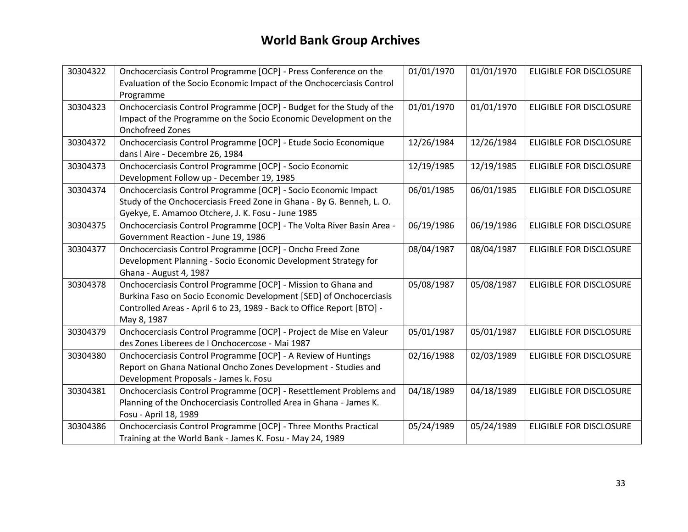| 30304322 | Onchocerciasis Control Programme [OCP] - Press Conference on the       | 01/01/1970 | 01/01/1970 | <b>ELIGIBLE FOR DISCLOSURE</b> |
|----------|------------------------------------------------------------------------|------------|------------|--------------------------------|
|          | Evaluation of the Socio Economic Impact of the Onchocerciasis Control  |            |            |                                |
|          | Programme                                                              |            |            |                                |
| 30304323 | Onchocerciasis Control Programme [OCP] - Budget for the Study of the   | 01/01/1970 | 01/01/1970 | ELIGIBLE FOR DISCLOSURE        |
|          | Impact of the Programme on the Socio Economic Development on the       |            |            |                                |
|          | <b>Onchofreed Zones</b>                                                |            |            |                                |
| 30304372 | Onchocerciasis Control Programme [OCP] - Etude Socio Economique        | 12/26/1984 | 12/26/1984 | ELIGIBLE FOR DISCLOSURE        |
|          | dans   Aire - Decembre 26, 1984                                        |            |            |                                |
| 30304373 | Onchocerciasis Control Programme [OCP] - Socio Economic                | 12/19/1985 | 12/19/1985 | <b>ELIGIBLE FOR DISCLOSURE</b> |
|          | Development Follow up - December 19, 1985                              |            |            |                                |
| 30304374 | Onchocerciasis Control Programme [OCP] - Socio Economic Impact         | 06/01/1985 | 06/01/1985 | <b>ELIGIBLE FOR DISCLOSURE</b> |
|          | Study of the Onchocerciasis Freed Zone in Ghana - By G. Benneh, L. O.  |            |            |                                |
|          | Gyekye, E. Amamoo Otchere, J. K. Fosu - June 1985                      |            |            |                                |
| 30304375 | Onchocerciasis Control Programme [OCP] - The Volta River Basin Area -  | 06/19/1986 | 06/19/1986 | <b>ELIGIBLE FOR DISCLOSURE</b> |
|          | Government Reaction - June 19, 1986                                    |            |            |                                |
| 30304377 | Onchocerciasis Control Programme [OCP] - Oncho Freed Zone              | 08/04/1987 | 08/04/1987 | ELIGIBLE FOR DISCLOSURE        |
|          | Development Planning - Socio Economic Development Strategy for         |            |            |                                |
|          | Ghana - August 4, 1987                                                 |            |            |                                |
| 30304378 | Onchocerciasis Control Programme [OCP] - Mission to Ghana and          | 05/08/1987 | 05/08/1987 | <b>ELIGIBLE FOR DISCLOSURE</b> |
|          | Burkina Faso on Socio Economic Development [SED] of Onchocerciasis     |            |            |                                |
|          | Controlled Areas - April 6 to 23, 1989 - Back to Office Report [BTO] - |            |            |                                |
|          | May 8, 1987                                                            |            |            |                                |
| 30304379 | Onchocerciasis Control Programme [OCP] - Project de Mise en Valeur     | 05/01/1987 | 05/01/1987 | <b>ELIGIBLE FOR DISCLOSURE</b> |
|          | des Zones Liberees de l Onchocercose - Mai 1987                        |            |            |                                |
| 30304380 | Onchocerciasis Control Programme [OCP] - A Review of Huntings          | 02/16/1988 | 02/03/1989 | ELIGIBLE FOR DISCLOSURE        |
|          | Report on Ghana National Oncho Zones Development - Studies and         |            |            |                                |
|          | Development Proposals - James k. Fosu                                  |            |            |                                |
| 30304381 | Onchocerciasis Control Programme [OCP] - Resettlement Problems and     | 04/18/1989 | 04/18/1989 | <b>ELIGIBLE FOR DISCLOSURE</b> |
|          | Planning of the Onchocerciasis Controlled Area in Ghana - James K.     |            |            |                                |
|          | Fosu - April 18, 1989                                                  |            |            |                                |
| 30304386 | Onchocerciasis Control Programme [OCP] - Three Months Practical        | 05/24/1989 | 05/24/1989 | ELIGIBLE FOR DISCLOSURE        |
|          | Training at the World Bank - James K. Fosu - May 24, 1989              |            |            |                                |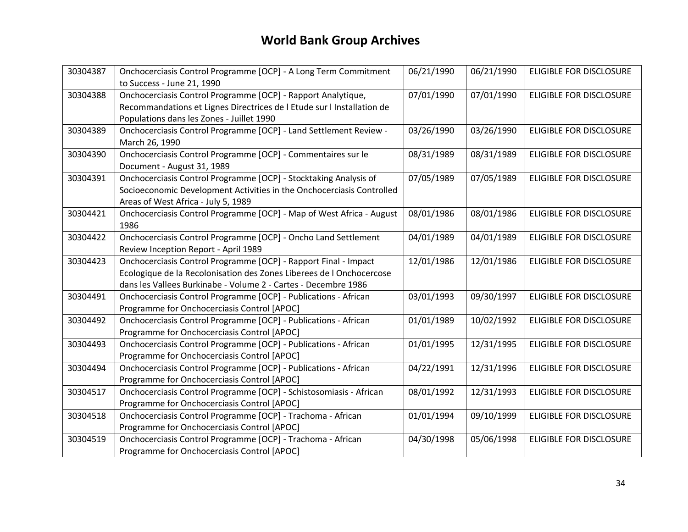| 30304387 | Onchocerciasis Control Programme [OCP] - A Long Term Commitment        | 06/21/1990 | 06/21/1990 | ELIGIBLE FOR DISCLOSURE        |
|----------|------------------------------------------------------------------------|------------|------------|--------------------------------|
|          | to Success - June 21, 1990                                             |            |            |                                |
| 30304388 | Onchocerciasis Control Programme [OCP] - Rapport Analytique,           | 07/01/1990 | 07/01/1990 | <b>ELIGIBLE FOR DISCLOSURE</b> |
|          | Recommandations et Lignes Directrices de l Etude sur l Installation de |            |            |                                |
|          | Populations dans les Zones - Juillet 1990                              |            |            |                                |
| 30304389 | Onchocerciasis Control Programme [OCP] - Land Settlement Review -      | 03/26/1990 | 03/26/1990 | <b>ELIGIBLE FOR DISCLOSURE</b> |
|          | March 26, 1990                                                         |            |            |                                |
| 30304390 | Onchocerciasis Control Programme [OCP] - Commentaires sur le           | 08/31/1989 | 08/31/1989 | <b>ELIGIBLE FOR DISCLOSURE</b> |
|          | Document - August 31, 1989                                             |            |            |                                |
| 30304391 | Onchocerciasis Control Programme [OCP] - Stocktaking Analysis of       | 07/05/1989 | 07/05/1989 | <b>ELIGIBLE FOR DISCLOSURE</b> |
|          | Socioeconomic Development Activities in the Onchocerciasis Controlled  |            |            |                                |
|          | Areas of West Africa - July 5, 1989                                    |            |            |                                |
| 30304421 | Onchocerciasis Control Programme [OCP] - Map of West Africa - August   | 08/01/1986 | 08/01/1986 | <b>ELIGIBLE FOR DISCLOSURE</b> |
|          | 1986                                                                   |            |            |                                |
| 30304422 | Onchocerciasis Control Programme [OCP] - Oncho Land Settlement         | 04/01/1989 | 04/01/1989 | <b>ELIGIBLE FOR DISCLOSURE</b> |
|          | Review Inception Report - April 1989                                   |            |            |                                |
| 30304423 | Onchocerciasis Control Programme [OCP] - Rapport Final - Impact        | 12/01/1986 | 12/01/1986 | <b>ELIGIBLE FOR DISCLOSURE</b> |
|          |                                                                        |            |            |                                |
|          | Ecologique de la Recolonisation des Zones Liberees de l Onchocercose   |            |            |                                |
|          | dans les Vallees Burkinabe - Volume 2 - Cartes - Decembre 1986         |            |            |                                |
| 30304491 | Onchocerciasis Control Programme [OCP] - Publications - African        | 03/01/1993 | 09/30/1997 | <b>ELIGIBLE FOR DISCLOSURE</b> |
|          | Programme for Onchocerciasis Control [APOC]                            |            |            |                                |
| 30304492 | Onchocerciasis Control Programme [OCP] - Publications - African        | 01/01/1989 | 10/02/1992 | <b>ELIGIBLE FOR DISCLOSURE</b> |
|          | Programme for Onchocerciasis Control [APOC]                            |            |            |                                |
| 30304493 | Onchocerciasis Control Programme [OCP] - Publications - African        | 01/01/1995 | 12/31/1995 | <b>ELIGIBLE FOR DISCLOSURE</b> |
|          | Programme for Onchocerciasis Control [APOC]                            |            |            |                                |
| 30304494 | Onchocerciasis Control Programme [OCP] - Publications - African        | 04/22/1991 | 12/31/1996 | <b>ELIGIBLE FOR DISCLOSURE</b> |
|          | Programme for Onchocerciasis Control [APOC]                            |            |            |                                |
| 30304517 | Onchocerciasis Control Programme [OCP] - Schistosomiasis - African     | 08/01/1992 | 12/31/1993 | ELIGIBLE FOR DISCLOSURE        |
|          | Programme for Onchocerciasis Control [APOC]                            |            |            |                                |
| 30304518 | Onchocerciasis Control Programme [OCP] - Trachoma - African            | 01/01/1994 | 09/10/1999 | <b>ELIGIBLE FOR DISCLOSURE</b> |
|          | Programme for Onchocerciasis Control [APOC]                            |            |            |                                |
| 30304519 | Onchocerciasis Control Programme [OCP] - Trachoma - African            | 04/30/1998 | 05/06/1998 | <b>ELIGIBLE FOR DISCLOSURE</b> |
|          | Programme for Onchocerciasis Control [APOC]                            |            |            |                                |
|          |                                                                        |            |            |                                |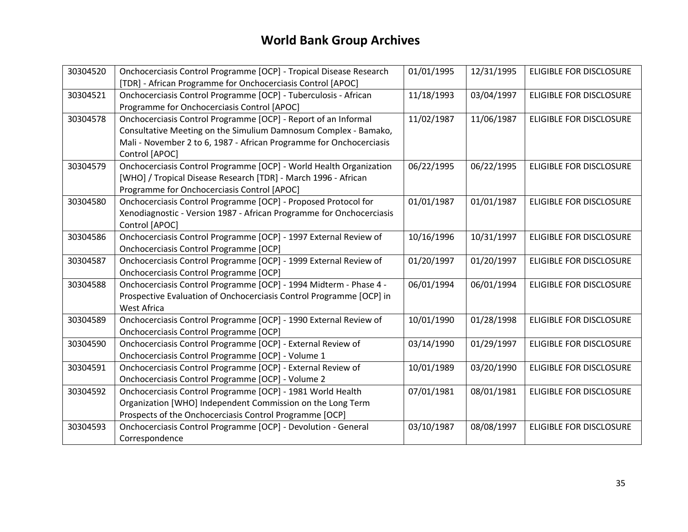| 30304520 | Onchocerciasis Control Programme [OCP] - Tropical Disease Research   | 01/01/1995 | 12/31/1995 | <b>ELIGIBLE FOR DISCLOSURE</b> |
|----------|----------------------------------------------------------------------|------------|------------|--------------------------------|
|          | [TDR] - African Programme for Onchocerciasis Control [APOC]          |            |            |                                |
| 30304521 | Onchocerciasis Control Programme [OCP] - Tuberculosis - African      | 11/18/1993 | 03/04/1997 | <b>ELIGIBLE FOR DISCLOSURE</b> |
|          | Programme for Onchocerciasis Control [APOC]                          |            |            |                                |
| 30304578 | Onchocerciasis Control Programme [OCP] - Report of an Informal       | 11/02/1987 | 11/06/1987 | ELIGIBLE FOR DISCLOSURE        |
|          | Consultative Meeting on the Simulium Damnosum Complex - Bamako,      |            |            |                                |
|          | Mali - November 2 to 6, 1987 - African Programme for Onchocerciasis  |            |            |                                |
|          | Control [APOC]                                                       |            |            |                                |
| 30304579 | Onchocerciasis Control Programme [OCP] - World Health Organization   | 06/22/1995 | 06/22/1995 | <b>ELIGIBLE FOR DISCLOSURE</b> |
|          | [WHO] / Tropical Disease Research [TDR] - March 1996 - African       |            |            |                                |
|          | Programme for Onchocerciasis Control [APOC]                          |            |            |                                |
| 30304580 | Onchocerciasis Control Programme [OCP] - Proposed Protocol for       | 01/01/1987 | 01/01/1987 | <b>ELIGIBLE FOR DISCLOSURE</b> |
|          | Xenodiagnostic - Version 1987 - African Programme for Onchocerciasis |            |            |                                |
|          | Control [APOC]                                                       |            |            |                                |
| 30304586 | Onchocerciasis Control Programme [OCP] - 1997 External Review of     | 10/16/1996 | 10/31/1997 | <b>ELIGIBLE FOR DISCLOSURE</b> |
|          | Onchocerciasis Control Programme [OCP]                               |            |            |                                |
| 30304587 | Onchocerciasis Control Programme [OCP] - 1999 External Review of     | 01/20/1997 | 01/20/1997 | ELIGIBLE FOR DISCLOSURE        |
|          | Onchocerciasis Control Programme [OCP]                               |            |            |                                |
| 30304588 | Onchocerciasis Control Programme [OCP] - 1994 Midterm - Phase 4 -    | 06/01/1994 | 06/01/1994 | <b>ELIGIBLE FOR DISCLOSURE</b> |
|          | Prospective Evaluation of Onchocerciasis Control Programme [OCP] in  |            |            |                                |
|          | West Africa                                                          |            |            |                                |
| 30304589 | Onchocerciasis Control Programme [OCP] - 1990 External Review of     | 10/01/1990 | 01/28/1998 | <b>ELIGIBLE FOR DISCLOSURE</b> |
|          | Onchocerciasis Control Programme [OCP]                               |            |            |                                |
| 30304590 | Onchocerciasis Control Programme [OCP] - External Review of          | 03/14/1990 | 01/29/1997 | <b>ELIGIBLE FOR DISCLOSURE</b> |
|          | Onchocerciasis Control Programme [OCP] - Volume 1                    |            |            |                                |
| 30304591 | Onchocerciasis Control Programme [OCP] - External Review of          | 10/01/1989 | 03/20/1990 | <b>ELIGIBLE FOR DISCLOSURE</b> |
|          | Onchocerciasis Control Programme [OCP] - Volume 2                    |            |            |                                |
| 30304592 | Onchocerciasis Control Programme [OCP] - 1981 World Health           | 07/01/1981 | 08/01/1981 | <b>ELIGIBLE FOR DISCLOSURE</b> |
|          | Organization [WHO] Independent Commission on the Long Term           |            |            |                                |
|          | Prospects of the Onchocerciasis Control Programme [OCP]              |            |            |                                |
| 30304593 | Onchocerciasis Control Programme [OCP] - Devolution - General        | 03/10/1987 | 08/08/1997 | ELIGIBLE FOR DISCLOSURE        |
|          | Correspondence                                                       |            |            |                                |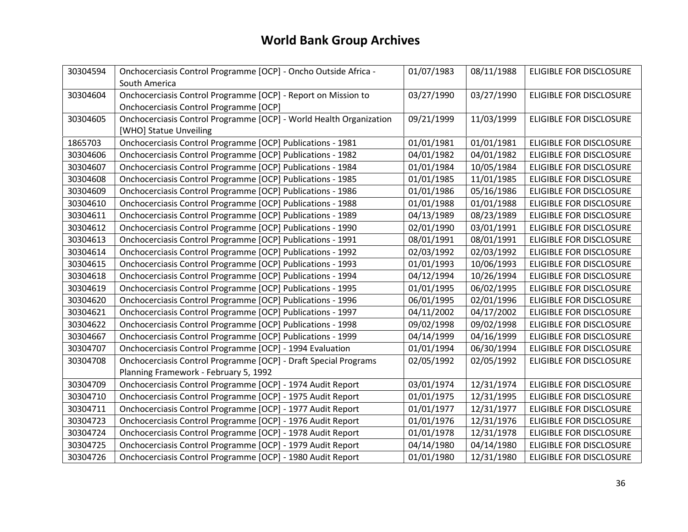| 30304594 | Onchocerciasis Control Programme [OCP] - Oncho Outside Africa -    | 01/07/1983 | 08/11/1988 | ELIGIBLE FOR DISCLOSURE        |
|----------|--------------------------------------------------------------------|------------|------------|--------------------------------|
|          | South America                                                      |            |            |                                |
| 30304604 | Onchocerciasis Control Programme [OCP] - Report on Mission to      | 03/27/1990 | 03/27/1990 | <b>ELIGIBLE FOR DISCLOSURE</b> |
|          | Onchocerciasis Control Programme [OCP]                             |            |            |                                |
| 30304605 | Onchocerciasis Control Programme [OCP] - World Health Organization | 09/21/1999 | 11/03/1999 | <b>ELIGIBLE FOR DISCLOSURE</b> |
|          | [WHO] Statue Unveiling                                             |            |            |                                |
| 1865703  | Onchocerciasis Control Programme [OCP] Publications - 1981         | 01/01/1981 | 01/01/1981 | <b>ELIGIBLE FOR DISCLOSURE</b> |
| 30304606 | Onchocerciasis Control Programme [OCP] Publications - 1982         | 04/01/1982 | 04/01/1982 | <b>ELIGIBLE FOR DISCLOSURE</b> |
| 30304607 | Onchocerciasis Control Programme [OCP] Publications - 1984         | 01/01/1984 | 10/05/1984 | <b>ELIGIBLE FOR DISCLOSURE</b> |
| 30304608 | Onchocerciasis Control Programme [OCP] Publications - 1985         | 01/01/1985 | 11/01/1985 | <b>ELIGIBLE FOR DISCLOSURE</b> |
| 30304609 | Onchocerciasis Control Programme [OCP] Publications - 1986         | 01/01/1986 | 05/16/1986 | <b>ELIGIBLE FOR DISCLOSURE</b> |
| 30304610 | Onchocerciasis Control Programme [OCP] Publications - 1988         | 01/01/1988 | 01/01/1988 | <b>ELIGIBLE FOR DISCLOSURE</b> |
| 30304611 | Onchocerciasis Control Programme [OCP] Publications - 1989         | 04/13/1989 | 08/23/1989 | <b>ELIGIBLE FOR DISCLOSURE</b> |
| 30304612 | Onchocerciasis Control Programme [OCP] Publications - 1990         | 02/01/1990 | 03/01/1991 | <b>ELIGIBLE FOR DISCLOSURE</b> |
| 30304613 | Onchocerciasis Control Programme [OCP] Publications - 1991         | 08/01/1991 | 08/01/1991 | <b>ELIGIBLE FOR DISCLOSURE</b> |
| 30304614 | Onchocerciasis Control Programme [OCP] Publications - 1992         | 02/03/1992 | 02/03/1992 | <b>ELIGIBLE FOR DISCLOSURE</b> |
| 30304615 | Onchocerciasis Control Programme [OCP] Publications - 1993         | 01/01/1993 | 10/06/1993 | <b>ELIGIBLE FOR DISCLOSURE</b> |
| 30304618 | Onchocerciasis Control Programme [OCP] Publications - 1994         | 04/12/1994 | 10/26/1994 | <b>ELIGIBLE FOR DISCLOSURE</b> |
| 30304619 | Onchocerciasis Control Programme [OCP] Publications - 1995         | 01/01/1995 | 06/02/1995 | <b>ELIGIBLE FOR DISCLOSURE</b> |
| 30304620 | Onchocerciasis Control Programme [OCP] Publications - 1996         | 06/01/1995 | 02/01/1996 | ELIGIBLE FOR DISCLOSURE        |
| 30304621 | Onchocerciasis Control Programme [OCP] Publications - 1997         | 04/11/2002 | 04/17/2002 | ELIGIBLE FOR DISCLOSURE        |
| 30304622 | Onchocerciasis Control Programme [OCP] Publications - 1998         | 09/02/1998 | 09/02/1998 | <b>ELIGIBLE FOR DISCLOSURE</b> |
| 30304667 | Onchocerciasis Control Programme [OCP] Publications - 1999         | 04/14/1999 | 04/16/1999 | <b>ELIGIBLE FOR DISCLOSURE</b> |
| 30304707 | Onchocerciasis Control Programme [OCP] - 1994 Evaluation           | 01/01/1994 | 06/30/1994 | <b>ELIGIBLE FOR DISCLOSURE</b> |
| 30304708 | Onchocerciasis Control Programme [OCP] - Draft Special Programs    | 02/05/1992 | 02/05/1992 | <b>ELIGIBLE FOR DISCLOSURE</b> |
|          | Planning Framework - February 5, 1992                              |            |            |                                |
| 30304709 | Onchocerciasis Control Programme [OCP] - 1974 Audit Report         | 03/01/1974 | 12/31/1974 | <b>ELIGIBLE FOR DISCLOSURE</b> |
| 30304710 | Onchocerciasis Control Programme [OCP] - 1975 Audit Report         | 01/01/1975 | 12/31/1995 | ELIGIBLE FOR DISCLOSURE        |
| 30304711 | Onchocerciasis Control Programme [OCP] - 1977 Audit Report         | 01/01/1977 | 12/31/1977 | <b>ELIGIBLE FOR DISCLOSURE</b> |
| 30304723 | Onchocerciasis Control Programme [OCP] - 1976 Audit Report         | 01/01/1976 | 12/31/1976 | <b>ELIGIBLE FOR DISCLOSURE</b> |
| 30304724 | Onchocerciasis Control Programme [OCP] - 1978 Audit Report         | 01/01/1978 | 12/31/1978 | <b>ELIGIBLE FOR DISCLOSURE</b> |
| 30304725 | Onchocerciasis Control Programme [OCP] - 1979 Audit Report         | 04/14/1980 | 04/14/1980 | ELIGIBLE FOR DISCLOSURE        |
| 30304726 | Onchocerciasis Control Programme [OCP] - 1980 Audit Report         | 01/01/1980 | 12/31/1980 | <b>ELIGIBLE FOR DISCLOSURE</b> |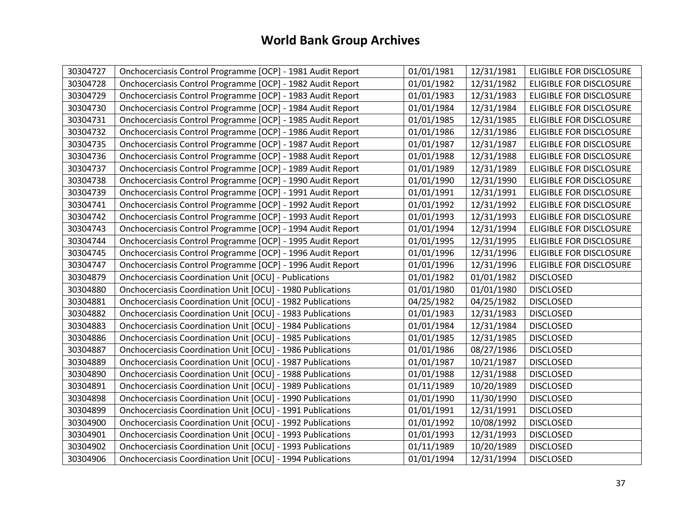| 30304727 | Onchocerciasis Control Programme [OCP] - 1981 Audit Report   | 01/01/1981 | 12/31/1981 | <b>ELIGIBLE FOR DISCLOSURE</b> |
|----------|--------------------------------------------------------------|------------|------------|--------------------------------|
| 30304728 | Onchocerciasis Control Programme [OCP] - 1982 Audit Report   | 01/01/1982 | 12/31/1982 | <b>ELIGIBLE FOR DISCLOSURE</b> |
| 30304729 | Onchocerciasis Control Programme [OCP] - 1983 Audit Report   | 01/01/1983 | 12/31/1983 | ELIGIBLE FOR DISCLOSURE        |
| 30304730 | Onchocerciasis Control Programme [OCP] - 1984 Audit Report   | 01/01/1984 | 12/31/1984 | ELIGIBLE FOR DISCLOSURE        |
| 30304731 | Onchocerciasis Control Programme [OCP] - 1985 Audit Report   | 01/01/1985 | 12/31/1985 | ELIGIBLE FOR DISCLOSURE        |
| 30304732 | Onchocerciasis Control Programme [OCP] - 1986 Audit Report   | 01/01/1986 | 12/31/1986 | ELIGIBLE FOR DISCLOSURE        |
| 30304735 | Onchocerciasis Control Programme [OCP] - 1987 Audit Report   | 01/01/1987 | 12/31/1987 | ELIGIBLE FOR DISCLOSURE        |
| 30304736 | Onchocerciasis Control Programme [OCP] - 1988 Audit Report   | 01/01/1988 | 12/31/1988 | ELIGIBLE FOR DISCLOSURE        |
| 30304737 | Onchocerciasis Control Programme [OCP] - 1989 Audit Report   | 01/01/1989 | 12/31/1989 | ELIGIBLE FOR DISCLOSURE        |
| 30304738 | Onchocerciasis Control Programme [OCP] - 1990 Audit Report   | 01/01/1990 | 12/31/1990 | <b>ELIGIBLE FOR DISCLOSURE</b> |
| 30304739 | Onchocerciasis Control Programme [OCP] - 1991 Audit Report   | 01/01/1991 | 12/31/1991 | ELIGIBLE FOR DISCLOSURE        |
| 30304741 | Onchocerciasis Control Programme [OCP] - 1992 Audit Report   | 01/01/1992 | 12/31/1992 | <b>ELIGIBLE FOR DISCLOSURE</b> |
| 30304742 | Onchocerciasis Control Programme [OCP] - 1993 Audit Report   | 01/01/1993 | 12/31/1993 | ELIGIBLE FOR DISCLOSURE        |
| 30304743 | Onchocerciasis Control Programme [OCP] - 1994 Audit Report   | 01/01/1994 | 12/31/1994 | ELIGIBLE FOR DISCLOSURE        |
| 30304744 | Onchocerciasis Control Programme [OCP] - 1995 Audit Report   | 01/01/1995 | 12/31/1995 | ELIGIBLE FOR DISCLOSURE        |
| 30304745 | Onchocerciasis Control Programme [OCP] - 1996 Audit Report   | 01/01/1996 | 12/31/1996 | ELIGIBLE FOR DISCLOSURE        |
| 30304747 | Onchocerciasis Control Programme [OCP] - 1996 Audit Report   | 01/01/1996 | 12/31/1996 | ELIGIBLE FOR DISCLOSURE        |
| 30304879 | <b>Onchocerciasis Coordination Unit [OCU] - Publications</b> | 01/01/1982 | 01/01/1982 | <b>DISCLOSED</b>               |
| 30304880 | Onchocerciasis Coordination Unit [OCU] - 1980 Publications   | 01/01/1980 | 01/01/1980 | <b>DISCLOSED</b>               |
| 30304881 | Onchocerciasis Coordination Unit [OCU] - 1982 Publications   | 04/25/1982 | 04/25/1982 | <b>DISCLOSED</b>               |
| 30304882 | Onchocerciasis Coordination Unit [OCU] - 1983 Publications   | 01/01/1983 | 12/31/1983 | <b>DISCLOSED</b>               |
| 30304883 | Onchocerciasis Coordination Unit [OCU] - 1984 Publications   | 01/01/1984 | 12/31/1984 | <b>DISCLOSED</b>               |
| 30304886 | Onchocerciasis Coordination Unit [OCU] - 1985 Publications   | 01/01/1985 | 12/31/1985 | <b>DISCLOSED</b>               |
| 30304887 | Onchocerciasis Coordination Unit [OCU] - 1986 Publications   | 01/01/1986 | 08/27/1986 | <b>DISCLOSED</b>               |
| 30304889 | Onchocerciasis Coordination Unit [OCU] - 1987 Publications   | 01/01/1987 | 10/21/1987 | <b>DISCLOSED</b>               |
| 30304890 | Onchocerciasis Coordination Unit [OCU] - 1988 Publications   | 01/01/1988 | 12/31/1988 | <b>DISCLOSED</b>               |
| 30304891 | Onchocerciasis Coordination Unit [OCU] - 1989 Publications   | 01/11/1989 | 10/20/1989 | <b>DISCLOSED</b>               |
| 30304898 | Onchocerciasis Coordination Unit [OCU] - 1990 Publications   | 01/01/1990 | 11/30/1990 | <b>DISCLOSED</b>               |
| 30304899 | Onchocerciasis Coordination Unit [OCU] - 1991 Publications   | 01/01/1991 | 12/31/1991 | <b>DISCLOSED</b>               |
| 30304900 | Onchocerciasis Coordination Unit [OCU] - 1992 Publications   | 01/01/1992 | 10/08/1992 | <b>DISCLOSED</b>               |
| 30304901 | Onchocerciasis Coordination Unit [OCU] - 1993 Publications   | 01/01/1993 | 12/31/1993 | <b>DISCLOSED</b>               |
| 30304902 | Onchocerciasis Coordination Unit [OCU] - 1993 Publications   | 01/11/1989 | 10/20/1989 | <b>DISCLOSED</b>               |
| 30304906 | Onchocerciasis Coordination Unit [OCU] - 1994 Publications   | 01/01/1994 | 12/31/1994 | <b>DISCLOSED</b>               |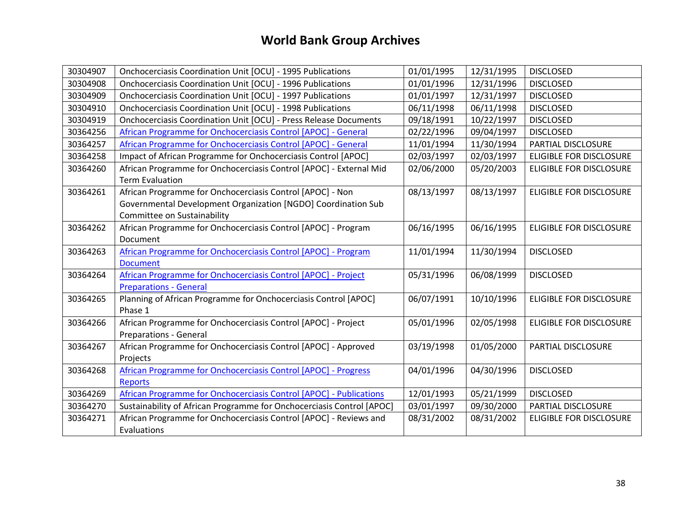| 30304907 | Onchocerciasis Coordination Unit [OCU] - 1995 Publications            | 01/01/1995 | 12/31/1995 | <b>DISCLOSED</b>               |
|----------|-----------------------------------------------------------------------|------------|------------|--------------------------------|
| 30304908 | Onchocerciasis Coordination Unit [OCU] - 1996 Publications            | 01/01/1996 | 12/31/1996 | <b>DISCLOSED</b>               |
| 30304909 | Onchocerciasis Coordination Unit [OCU] - 1997 Publications            | 01/01/1997 | 12/31/1997 | <b>DISCLOSED</b>               |
| 30304910 | Onchocerciasis Coordination Unit [OCU] - 1998 Publications            | 06/11/1998 | 06/11/1998 | <b>DISCLOSED</b>               |
| 30304919 | Onchocerciasis Coordination Unit [OCU] - Press Release Documents      | 09/18/1991 | 10/22/1997 | <b>DISCLOSED</b>               |
| 30364256 | African Programme for Onchocerciasis Control [APOC] - General         | 02/22/1996 | 09/04/1997 | <b>DISCLOSED</b>               |
| 30364257 | African Programme for Onchocerciasis Control [APOC] - General         | 11/01/1994 | 11/30/1994 | PARTIAL DISCLOSURE             |
| 30364258 | Impact of African Programme for Onchocerciasis Control [APOC]         | 02/03/1997 | 02/03/1997 | <b>ELIGIBLE FOR DISCLOSURE</b> |
| 30364260 | African Programme for Onchocerciasis Control [APOC] - External Mid    | 02/06/2000 | 05/20/2003 | <b>ELIGIBLE FOR DISCLOSURE</b> |
|          | <b>Term Evaluation</b>                                                |            |            |                                |
| 30364261 | African Programme for Onchocerciasis Control [APOC] - Non             | 08/13/1997 | 08/13/1997 | <b>ELIGIBLE FOR DISCLOSURE</b> |
|          | Governmental Development Organization [NGDO] Coordination Sub         |            |            |                                |
|          | Committee on Sustainability                                           |            |            |                                |
| 30364262 | African Programme for Onchocerciasis Control [APOC] - Program         | 06/16/1995 | 06/16/1995 | ELIGIBLE FOR DISCLOSURE        |
|          | Document                                                              |            |            |                                |
| 30364263 | African Programme for Onchocerciasis Control [APOC] - Program         | 11/01/1994 | 11/30/1994 | <b>DISCLOSED</b>               |
|          | <b>Document</b>                                                       |            |            |                                |
| 30364264 | African Programme for Onchocerciasis Control [APOC] - Project         | 05/31/1996 | 06/08/1999 | <b>DISCLOSED</b>               |
|          | <b>Preparations - General</b>                                         |            |            |                                |
| 30364265 | Planning of African Programme for Onchocerciasis Control [APOC]       | 06/07/1991 | 10/10/1996 | <b>ELIGIBLE FOR DISCLOSURE</b> |
|          | Phase 1                                                               |            |            |                                |
| 30364266 | African Programme for Onchocerciasis Control [APOC] - Project         | 05/01/1996 | 02/05/1998 | ELIGIBLE FOR DISCLOSURE        |
|          | <b>Preparations - General</b>                                         |            |            |                                |
| 30364267 | African Programme for Onchocerciasis Control [APOC] - Approved        | 03/19/1998 | 01/05/2000 | PARTIAL DISCLOSURE             |
|          | Projects                                                              |            |            |                                |
| 30364268 | African Programme for Onchocerciasis Control [APOC] - Progress        | 04/01/1996 | 04/30/1996 | <b>DISCLOSED</b>               |
|          | Reports                                                               |            |            |                                |
| 30364269 | African Programme for Onchocerciasis Control [APOC] - Publications    | 12/01/1993 | 05/21/1999 | <b>DISCLOSED</b>               |
| 30364270 | Sustainability of African Programme for Onchocerciasis Control [APOC] | 03/01/1997 | 09/30/2000 | PARTIAL DISCLOSURE             |
| 30364271 | African Programme for Onchocerciasis Control [APOC] - Reviews and     | 08/31/2002 | 08/31/2002 | ELIGIBLE FOR DISCLOSURE        |
|          | Evaluations                                                           |            |            |                                |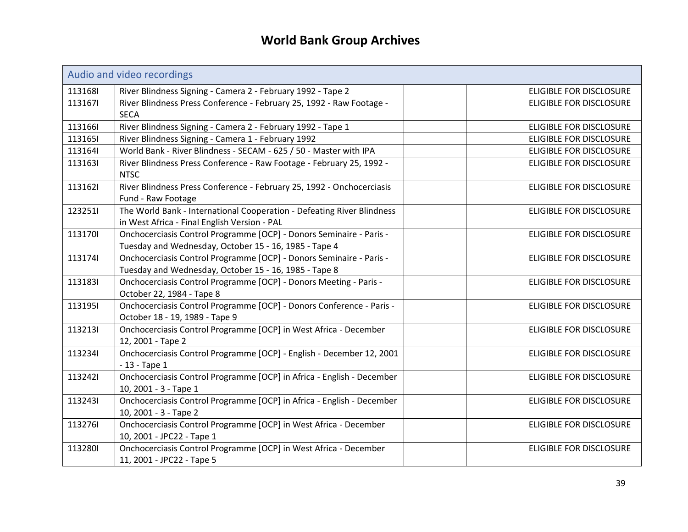<span id="page-38-0"></span>

|         | Audio and video recordings                                             |                                |
|---------|------------------------------------------------------------------------|--------------------------------|
| 1131681 | River Blindness Signing - Camera 2 - February 1992 - Tape 2            | ELIGIBLE FOR DISCLOSURE        |
| 1131671 | River Blindness Press Conference - February 25, 1992 - Raw Footage -   | <b>ELIGIBLE FOR DISCLOSURE</b> |
|         | <b>SECA</b>                                                            |                                |
| 1131661 | River Blindness Signing - Camera 2 - February 1992 - Tape 1            | <b>ELIGIBLE FOR DISCLOSURE</b> |
| 1131651 | River Blindness Signing - Camera 1 - February 1992                     | ELIGIBLE FOR DISCLOSURE        |
| 1131641 | World Bank - River Blindness - SECAM - 625 / 50 - Master with IPA      | <b>ELIGIBLE FOR DISCLOSURE</b> |
| 1131631 | River Blindness Press Conference - Raw Footage - February 25, 1992 -   | <b>ELIGIBLE FOR DISCLOSURE</b> |
|         | <b>NTSC</b>                                                            |                                |
| 1131621 | River Blindness Press Conference - February 25, 1992 - Onchocerciasis  | ELIGIBLE FOR DISCLOSURE        |
|         | Fund - Raw Footage                                                     |                                |
| 1232511 | The World Bank - International Cooperation - Defeating River Blindness | ELIGIBLE FOR DISCLOSURE        |
|         | in West Africa - Final English Version - PAL                           |                                |
| 1131701 | Onchocerciasis Control Programme [OCP] - Donors Seminaire - Paris -    | ELIGIBLE FOR DISCLOSURE        |
|         | Tuesday and Wednesday, October 15 - 16, 1985 - Tape 4                  |                                |
| 1131741 | Onchocerciasis Control Programme [OCP] - Donors Seminaire - Paris -    | ELIGIBLE FOR DISCLOSURE        |
|         | Tuesday and Wednesday, October 15 - 16, 1985 - Tape 8                  |                                |
| 1131831 | Onchocerciasis Control Programme [OCP] - Donors Meeting - Paris -      | ELIGIBLE FOR DISCLOSURE        |
|         | October 22, 1984 - Tape 8                                              |                                |
| 1131951 | Onchocerciasis Control Programme [OCP] - Donors Conference - Paris -   | ELIGIBLE FOR DISCLOSURE        |
|         | October 18 - 19, 1989 - Tape 9                                         |                                |
| 1132131 | Onchocerciasis Control Programme [OCP] in West Africa - December       | ELIGIBLE FOR DISCLOSURE        |
|         | 12, 2001 - Tape 2                                                      |                                |
| 1132341 | Onchocerciasis Control Programme [OCP] - English - December 12, 2001   | <b>ELIGIBLE FOR DISCLOSURE</b> |
|         | $-13 - Tape 1$                                                         |                                |
| 1132421 | Onchocerciasis Control Programme [OCP] in Africa - English - December  | ELIGIBLE FOR DISCLOSURE        |
|         | 10, 2001 - 3 - Tape 1                                                  |                                |
| 1132431 | Onchocerciasis Control Programme [OCP] in Africa - English - December  | ELIGIBLE FOR DISCLOSURE        |
|         | 10, 2001 - 3 - Tape 2                                                  |                                |
| 1132761 | Onchocerciasis Control Programme [OCP] in West Africa - December       | ELIGIBLE FOR DISCLOSURE        |
|         | 10, 2001 - JPC22 - Tape 1                                              |                                |
| 1132801 | Onchocerciasis Control Programme [OCP] in West Africa - December       | ELIGIBLE FOR DISCLOSURE        |
|         | 11, 2001 - JPC22 - Tape 5                                              |                                |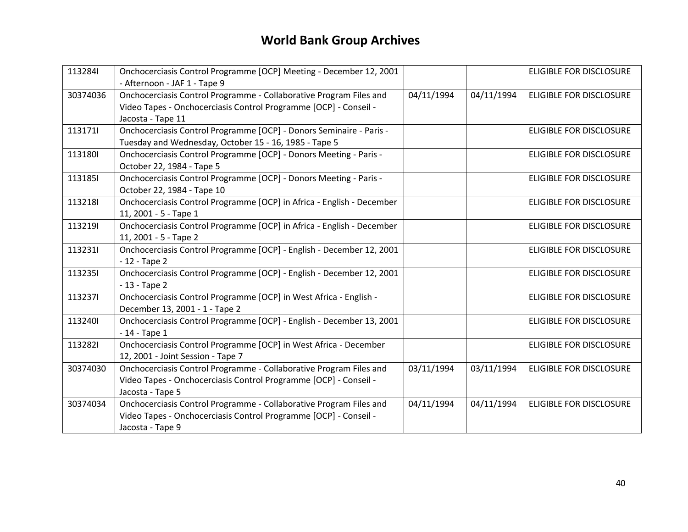| 1132841  | Onchocerciasis Control Programme [OCP] Meeting - December 12, 2001<br>- Afternoon - JAF 1 - Tape 9                                                          |            |            | <b>ELIGIBLE FOR DISCLOSURE</b> |
|----------|-------------------------------------------------------------------------------------------------------------------------------------------------------------|------------|------------|--------------------------------|
| 30374036 | Onchocerciasis Control Programme - Collaborative Program Files and<br>Video Tapes - Onchocerciasis Control Programme [OCP] - Conseil -<br>Jacosta - Tape 11 | 04/11/1994 | 04/11/1994 | <b>ELIGIBLE FOR DISCLOSURE</b> |
| 1131711  | Onchocerciasis Control Programme [OCP] - Donors Seminaire - Paris -<br>Tuesday and Wednesday, October 15 - 16, 1985 - Tape 5                                |            |            | <b>ELIGIBLE FOR DISCLOSURE</b> |
| 1131801  | Onchocerciasis Control Programme [OCP] - Donors Meeting - Paris -<br>October 22, 1984 - Tape 5                                                              |            |            | <b>ELIGIBLE FOR DISCLOSURE</b> |
| 1131851  | Onchocerciasis Control Programme [OCP] - Donors Meeting - Paris -<br>October 22, 1984 - Tape 10                                                             |            |            | <b>ELIGIBLE FOR DISCLOSURE</b> |
| 1132181  | Onchocerciasis Control Programme [OCP] in Africa - English - December<br>11, 2001 - 5 - Tape 1                                                              |            |            | <b>ELIGIBLE FOR DISCLOSURE</b> |
| 1132191  | Onchocerciasis Control Programme [OCP] in Africa - English - December<br>11, 2001 - 5 - Tape 2                                                              |            |            | <b>ELIGIBLE FOR DISCLOSURE</b> |
| 1132311  | Onchocerciasis Control Programme [OCP] - English - December 12, 2001<br>$-12 -$ Tape 2                                                                      |            |            | ELIGIBLE FOR DISCLOSURE        |
| 1132351  | Onchocerciasis Control Programme [OCP] - English - December 12, 2001<br>$-13 - Tape 2$                                                                      |            |            | ELIGIBLE FOR DISCLOSURE        |
| 1132371  | Onchocerciasis Control Programme [OCP] in West Africa - English -<br>December 13, 2001 - 1 - Tape 2                                                         |            |            | <b>ELIGIBLE FOR DISCLOSURE</b> |
| 1132401  | Onchocerciasis Control Programme [OCP] - English - December 13, 2001<br>$-14$ - Tape 1                                                                      |            |            | <b>ELIGIBLE FOR DISCLOSURE</b> |
| 1132821  | Onchocerciasis Control Programme [OCP] in West Africa - December<br>12, 2001 - Joint Session - Tape 7                                                       |            |            | ELIGIBLE FOR DISCLOSURE        |
| 30374030 | Onchocerciasis Control Programme - Collaborative Program Files and<br>Video Tapes - Onchocerciasis Control Programme [OCP] - Conseil -<br>Jacosta - Tape 5  | 03/11/1994 | 03/11/1994 | <b>ELIGIBLE FOR DISCLOSURE</b> |
| 30374034 | Onchocerciasis Control Programme - Collaborative Program Files and<br>Video Tapes - Onchocerciasis Control Programme [OCP] - Conseil -<br>Jacosta - Tape 9  | 04/11/1994 | 04/11/1994 | <b>ELIGIBLE FOR DISCLOSURE</b> |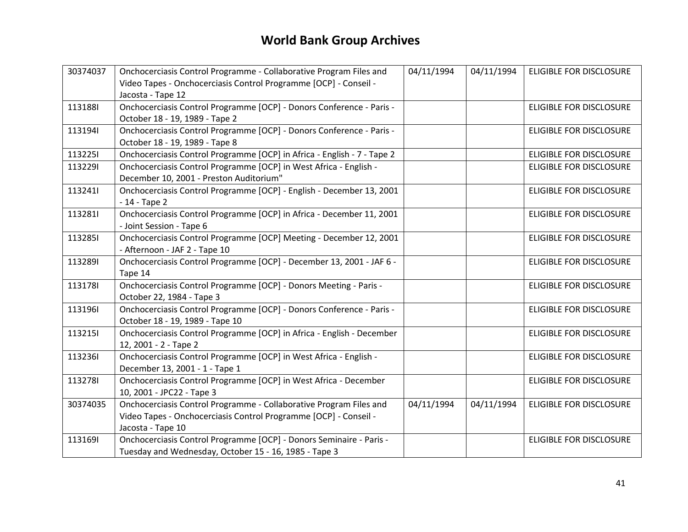| 30374037 | Onchocerciasis Control Programme - Collaborative Program Files and                        | 04/11/1994 | 04/11/1994 | ELIGIBLE FOR DISCLOSURE        |
|----------|-------------------------------------------------------------------------------------------|------------|------------|--------------------------------|
|          | Video Tapes - Onchocerciasis Control Programme [OCP] - Conseil -                          |            |            |                                |
| 1131881  | Jacosta - Tape 12<br>Onchocerciasis Control Programme [OCP] - Donors Conference - Paris - |            |            | ELIGIBLE FOR DISCLOSURE        |
|          | October 18 - 19, 1989 - Tape 2                                                            |            |            |                                |
| 1131941  | Onchocerciasis Control Programme [OCP] - Donors Conference - Paris -                      |            |            | <b>ELIGIBLE FOR DISCLOSURE</b> |
|          | October 18 - 19, 1989 - Tape 8                                                            |            |            |                                |
| 1132251  | Onchocerciasis Control Programme [OCP] in Africa - English - 7 - Tape 2                   |            |            | <b>ELIGIBLE FOR DISCLOSURE</b> |
| 1132291  | Onchocerciasis Control Programme [OCP] in West Africa - English -                         |            |            | ELIGIBLE FOR DISCLOSURE        |
|          | December 10, 2001 - Preston Auditorium"                                                   |            |            |                                |
| 1132411  | Onchocerciasis Control Programme [OCP] - English - December 13, 2001                      |            |            | ELIGIBLE FOR DISCLOSURE        |
|          | $-14$ - Tape 2                                                                            |            |            |                                |
| 1132811  | Onchocerciasis Control Programme [OCP] in Africa - December 11, 2001                      |            |            | ELIGIBLE FOR DISCLOSURE        |
|          | - Joint Session - Tape 6                                                                  |            |            |                                |
| 1132851  | Onchocerciasis Control Programme [OCP] Meeting - December 12, 2001                        |            |            | ELIGIBLE FOR DISCLOSURE        |
|          | - Afternoon - JAF 2 - Tape 10                                                             |            |            |                                |
| 1132891  | Onchocerciasis Control Programme [OCP] - December 13, 2001 - JAF 6 -                      |            |            | ELIGIBLE FOR DISCLOSURE        |
|          | Tape 14                                                                                   |            |            |                                |
| 1131781  | Onchocerciasis Control Programme [OCP] - Donors Meeting - Paris -                         |            |            | ELIGIBLE FOR DISCLOSURE        |
|          | October 22, 1984 - Tape 3                                                                 |            |            |                                |
| 1131961  | Onchocerciasis Control Programme [OCP] - Donors Conference - Paris -                      |            |            | ELIGIBLE FOR DISCLOSURE        |
|          | October 18 - 19, 1989 - Tape 10                                                           |            |            |                                |
| 1132151  | Onchocerciasis Control Programme [OCP] in Africa - English - December                     |            |            | ELIGIBLE FOR DISCLOSURE        |
|          | 12, 2001 - 2 - Tape 2                                                                     |            |            |                                |
| 1132361  | Onchocerciasis Control Programme [OCP] in West Africa - English -                         |            |            | <b>ELIGIBLE FOR DISCLOSURE</b> |
|          | December 13, 2001 - 1 - Tape 1                                                            |            |            |                                |
| 1132781  | Onchocerciasis Control Programme [OCP] in West Africa - December                          |            |            | ELIGIBLE FOR DISCLOSURE        |
|          | 10, 2001 - JPC22 - Tape 3                                                                 |            |            |                                |
| 30374035 | Onchocerciasis Control Programme - Collaborative Program Files and                        | 04/11/1994 | 04/11/1994 | ELIGIBLE FOR DISCLOSURE        |
|          | Video Tapes - Onchocerciasis Control Programme [OCP] - Conseil -                          |            |            |                                |
|          | Jacosta - Tape 10                                                                         |            |            |                                |
| 1131691  | Onchocerciasis Control Programme [OCP] - Donors Seminaire - Paris -                       |            |            | ELIGIBLE FOR DISCLOSURE        |
|          | Tuesday and Wednesday, October 15 - 16, 1985 - Tape 3                                     |            |            |                                |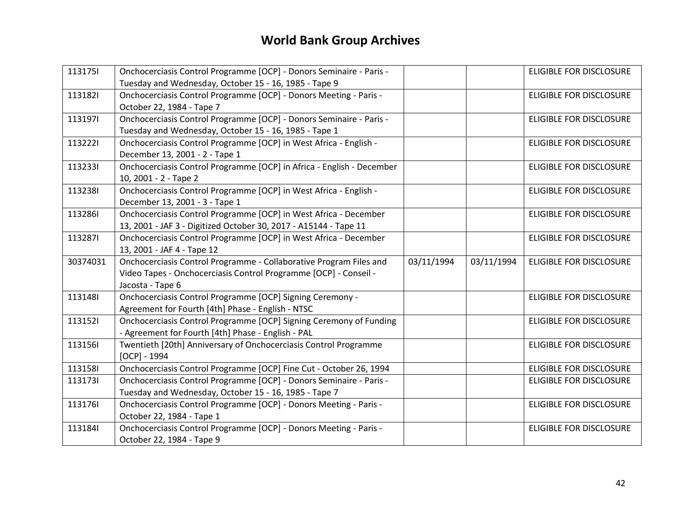| 1131751  | Onchocerciasis Control Programme [OCP] - Donors Seminaire - Paris -   |            |            | ELIGIBLE FOR DISCLOSURE        |
|----------|-----------------------------------------------------------------------|------------|------------|--------------------------------|
|          | Tuesday and Wednesday, October 15 - 16, 1985 - Tape 9                 |            |            |                                |
| 1131821  | Onchocerciasis Control Programme [OCP] - Donors Meeting - Paris -     |            |            | ELIGIBLE FOR DISCLOSURE        |
|          | October 22, 1984 - Tape 7                                             |            |            |                                |
| 1131971  | Onchocerciasis Control Programme [OCP] - Donors Seminaire - Paris -   |            |            | <b>ELIGIBLE FOR DISCLOSURE</b> |
|          | Tuesday and Wednesday, October 15 - 16, 1985 - Tape 1                 |            |            |                                |
| 1132221  | Onchocerciasis Control Programme [OCP] in West Africa - English -     |            |            | <b>ELIGIBLE FOR DISCLOSURE</b> |
|          | December 13, 2001 - 2 - Tape 1                                        |            |            |                                |
| 1132331  | Onchocerciasis Control Programme [OCP] in Africa - English - December |            |            | <b>ELIGIBLE FOR DISCLOSURE</b> |
|          | 10, 2001 - 2 - Tape 2                                                 |            |            |                                |
| 1132381  | Onchocerciasis Control Programme [OCP] in West Africa - English -     |            |            | ELIGIBLE FOR DISCLOSURE        |
|          | December 13, 2001 - 3 - Tape 1                                        |            |            |                                |
| 1132861  | Onchocerciasis Control Programme [OCP] in West Africa - December      |            |            | ELIGIBLE FOR DISCLOSURE        |
|          | 13, 2001 - JAF 3 - Digitized October 30, 2017 - A15144 - Tape 11      |            |            |                                |
| 1132871  | Onchocerciasis Control Programme [OCP] in West Africa - December      |            |            | ELIGIBLE FOR DISCLOSURE        |
|          | 13, 2001 - JAF 4 - Tape 12                                            |            |            |                                |
|          |                                                                       |            |            |                                |
| 30374031 | Onchocerciasis Control Programme - Collaborative Program Files and    | 03/11/1994 | 03/11/1994 | ELIGIBLE FOR DISCLOSURE        |
|          | Video Tapes - Onchocerciasis Control Programme [OCP] - Conseil -      |            |            |                                |
|          | Jacosta - Tape 6                                                      |            |            |                                |
| 1131481  | Onchocerciasis Control Programme [OCP] Signing Ceremony -             |            |            | ELIGIBLE FOR DISCLOSURE        |
|          | Agreement for Fourth [4th] Phase - English - NTSC                     |            |            |                                |
| 1131521  | Onchocerciasis Control Programme [OCP] Signing Ceremony of Funding    |            |            | <b>ELIGIBLE FOR DISCLOSURE</b> |
|          | - Agreement for Fourth [4th] Phase - English - PAL                    |            |            |                                |
| 1131561  | Twentieth [20th] Anniversary of Onchocerciasis Control Programme      |            |            | ELIGIBLE FOR DISCLOSURE        |
|          | $[OCP] - 1994$                                                        |            |            |                                |
| 1131581  | Onchocerciasis Control Programme [OCP] Fine Cut - October 26, 1994    |            |            | ELIGIBLE FOR DISCLOSURE        |
| 1131731  | Onchocerciasis Control Programme [OCP] - Donors Seminaire - Paris -   |            |            | ELIGIBLE FOR DISCLOSURE        |
|          | Tuesday and Wednesday, October 15 - 16, 1985 - Tape 7                 |            |            |                                |
| 1131761  | Onchocerciasis Control Programme [OCP] - Donors Meeting - Paris -     |            |            | <b>ELIGIBLE FOR DISCLOSURE</b> |
|          | October 22, 1984 - Tape 1                                             |            |            |                                |
| 1131841  | Onchocerciasis Control Programme [OCP] - Donors Meeting - Paris -     |            |            | ELIGIBLE FOR DISCLOSURE        |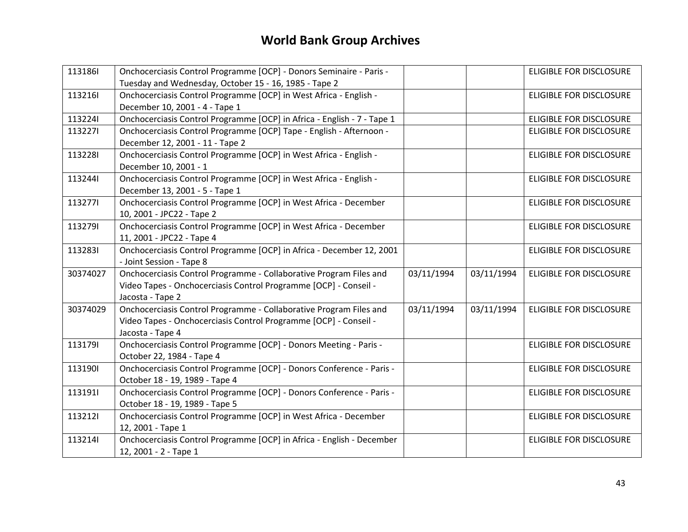| 1131861  | Onchocerciasis Control Programme [OCP] - Donors Seminaire - Paris -     |            |            | <b>ELIGIBLE FOR DISCLOSURE</b> |
|----------|-------------------------------------------------------------------------|------------|------------|--------------------------------|
|          | Tuesday and Wednesday, October 15 - 16, 1985 - Tape 2                   |            |            |                                |
| 1132161  | Onchocerciasis Control Programme [OCP] in West Africa - English -       |            |            | <b>ELIGIBLE FOR DISCLOSURE</b> |
|          | December 10, 2001 - 4 - Tape 1                                          |            |            |                                |
| 1132241  | Onchocerciasis Control Programme [OCP] in Africa - English - 7 - Tape 1 |            |            | <b>ELIGIBLE FOR DISCLOSURE</b> |
| 1132271  | Onchocerciasis Control Programme [OCP] Tape - English - Afternoon -     |            |            | ELIGIBLE FOR DISCLOSURE        |
|          | December 12, 2001 - 11 - Tape 2                                         |            |            |                                |
| 1132281  | Onchocerciasis Control Programme [OCP] in West Africa - English -       |            |            | ELIGIBLE FOR DISCLOSURE        |
|          | December 10, 2001 - 1                                                   |            |            |                                |
| 1132441  | Onchocerciasis Control Programme [OCP] in West Africa - English -       |            |            | ELIGIBLE FOR DISCLOSURE        |
|          | December 13, 2001 - 5 - Tape 1                                          |            |            |                                |
| 1132771  | Onchocerciasis Control Programme [OCP] in West Africa - December        |            |            | <b>ELIGIBLE FOR DISCLOSURE</b> |
|          | 10, 2001 - JPC22 - Tape 2                                               |            |            |                                |
| 1132791  | Onchocerciasis Control Programme [OCP] in West Africa - December        |            |            | ELIGIBLE FOR DISCLOSURE        |
|          | 11, 2001 - JPC22 - Tape 4                                               |            |            |                                |
| 1132831  | Onchocerciasis Control Programme [OCP] in Africa - December 12, 2001    |            |            | <b>ELIGIBLE FOR DISCLOSURE</b> |
|          | - Joint Session - Tape 8                                                |            |            |                                |
| 30374027 | Onchocerciasis Control Programme - Collaborative Program Files and      | 03/11/1994 | 03/11/1994 | ELIGIBLE FOR DISCLOSURE        |
|          | Video Tapes - Onchocerciasis Control Programme [OCP] - Conseil -        |            |            |                                |
|          | Jacosta - Tape 2                                                        |            |            |                                |
| 30374029 | Onchocerciasis Control Programme - Collaborative Program Files and      | 03/11/1994 | 03/11/1994 | <b>ELIGIBLE FOR DISCLOSURE</b> |
|          | Video Tapes - Onchocerciasis Control Programme [OCP] - Conseil -        |            |            |                                |
|          | Jacosta - Tape 4                                                        |            |            |                                |
| 1131791  | Onchocerciasis Control Programme [OCP] - Donors Meeting - Paris -       |            |            | <b>ELIGIBLE FOR DISCLOSURE</b> |
|          | October 22, 1984 - Tape 4                                               |            |            |                                |
| 1131901  | Onchocerciasis Control Programme [OCP] - Donors Conference - Paris -    |            |            | <b>ELIGIBLE FOR DISCLOSURE</b> |
|          | October 18 - 19, 1989 - Tape 4                                          |            |            |                                |
| 1131911  | Onchocerciasis Control Programme [OCP] - Donors Conference - Paris -    |            |            | ELIGIBLE FOR DISCLOSURE        |
|          | October 18 - 19, 1989 - Tape 5                                          |            |            |                                |
| 1132121  | Onchocerciasis Control Programme [OCP] in West Africa - December        |            |            | ELIGIBLE FOR DISCLOSURE        |
|          | 12, 2001 - Tape 1                                                       |            |            |                                |
| 1132141  | Onchocerciasis Control Programme [OCP] in Africa - English - December   |            |            | ELIGIBLE FOR DISCLOSURE        |
|          | 12, 2001 - 2 - Tape 1                                                   |            |            |                                |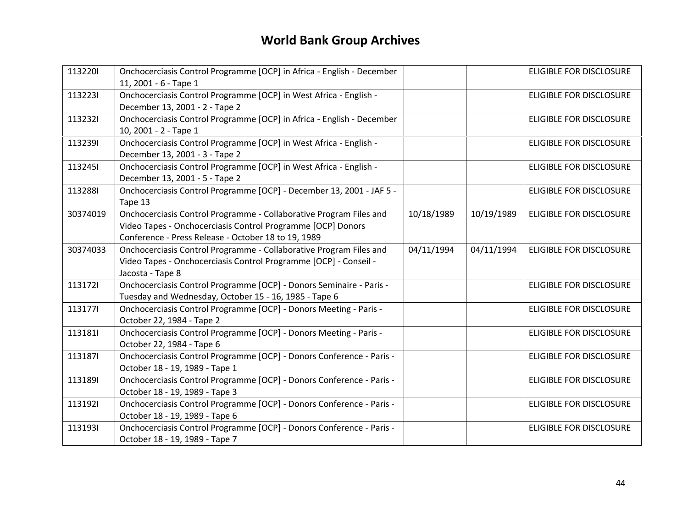| 1132201  | Onchocerciasis Control Programme [OCP] in Africa - English - December<br>11, 2001 - 6 - Tape 1                                                                                           |            |            | <b>ELIGIBLE FOR DISCLOSURE</b> |
|----------|------------------------------------------------------------------------------------------------------------------------------------------------------------------------------------------|------------|------------|--------------------------------|
| 1132231  | Onchocerciasis Control Programme [OCP] in West Africa - English -<br>December 13, 2001 - 2 - Tape 2                                                                                      |            |            | ELIGIBLE FOR DISCLOSURE        |
| 1132321  | Onchocerciasis Control Programme [OCP] in Africa - English - December<br>10, 2001 - 2 - Tape 1                                                                                           |            |            | ELIGIBLE FOR DISCLOSURE        |
| 1132391  | Onchocerciasis Control Programme [OCP] in West Africa - English -<br>December 13, 2001 - 3 - Tape 2                                                                                      |            |            | ELIGIBLE FOR DISCLOSURE        |
| 1132451  | Onchocerciasis Control Programme [OCP] in West Africa - English -<br>December 13, 2001 - 5 - Tape 2                                                                                      |            |            | <b>ELIGIBLE FOR DISCLOSURE</b> |
| 1132881  | Onchocerciasis Control Programme [OCP] - December 13, 2001 - JAF 5 -<br>Tape 13                                                                                                          |            |            | ELIGIBLE FOR DISCLOSURE        |
| 30374019 | Onchocerciasis Control Programme - Collaborative Program Files and<br>Video Tapes - Onchocerciasis Control Programme [OCP] Donors<br>Conference - Press Release - October 18 to 19, 1989 | 10/18/1989 | 10/19/1989 | ELIGIBLE FOR DISCLOSURE        |
| 30374033 | Onchocerciasis Control Programme - Collaborative Program Files and<br>Video Tapes - Onchocerciasis Control Programme [OCP] - Conseil -<br>Jacosta - Tape 8                               | 04/11/1994 | 04/11/1994 | <b>ELIGIBLE FOR DISCLOSURE</b> |
| 1131721  | Onchocerciasis Control Programme [OCP] - Donors Seminaire - Paris -<br>Tuesday and Wednesday, October 15 - 16, 1985 - Tape 6                                                             |            |            | ELIGIBLE FOR DISCLOSURE        |
| 1131771  | Onchocerciasis Control Programme [OCP] - Donors Meeting - Paris -<br>October 22, 1984 - Tape 2                                                                                           |            |            | <b>ELIGIBLE FOR DISCLOSURE</b> |
| 1131811  | Onchocerciasis Control Programme [OCP] - Donors Meeting - Paris -<br>October 22, 1984 - Tape 6                                                                                           |            |            | ELIGIBLE FOR DISCLOSURE        |
| 1131871  | Onchocerciasis Control Programme [OCP] - Donors Conference - Paris -<br>October 18 - 19, 1989 - Tape 1                                                                                   |            |            | ELIGIBLE FOR DISCLOSURE        |
| 1131891  | Onchocerciasis Control Programme [OCP] - Donors Conference - Paris -<br>October 18 - 19, 1989 - Tape 3                                                                                   |            |            | <b>ELIGIBLE FOR DISCLOSURE</b> |
| 1131921  | Onchocerciasis Control Programme [OCP] - Donors Conference - Paris -<br>October 18 - 19, 1989 - Tape 6                                                                                   |            |            | <b>ELIGIBLE FOR DISCLOSURE</b> |
| 1131931  | Onchocerciasis Control Programme [OCP] - Donors Conference - Paris -<br>October 18 - 19, 1989 - Tape 7                                                                                   |            |            | ELIGIBLE FOR DISCLOSURE        |